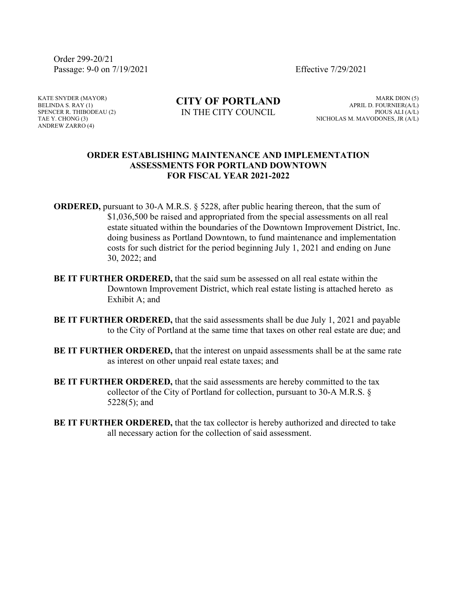Order 299-20/21 Passage: 9-0 on 7/19/2021 Effective 7/29/2021

KATE SNYDER (MAYOR) BELINDA S. RAY (1) SPENCER R. THIBODEAU (2) TAE Y. CHONG (3) ANDREW ZARRO (4)

**CITY OF PORTLAND** IN THE CITY COUNCIL

MARK DION (5) APRIL D. FOURNIER(A/L) PIOUS ALI (A/L) NICHOLAS M. MAVODONES, JR (A/L)

## **ORDER ESTABLISHING MAINTENANCE AND IMPLEMENTATION ASSESSMENTS FOR PORTLAND DOWNTOWN FOR FISCAL YEAR 2021-2022**

**ORDERED,** pursuant to 30-A M.R.S. § 5228, after public hearing thereon, that the sum of \$1,036,500 be raised and appropriated from the special assessments on all real estate situated within the boundaries of the Downtown Improvement District, Inc. doing business as Portland Downtown, to fund maintenance and implementation costs for such district for the period beginning July 1, 2021 and ending on June 30, 2022; and

- **BE IT FURTHER ORDERED,** that the said sum be assessed on all real estate within the Downtown Improvement District, which real estate listing is attached hereto as Exhibit A; and
- **BE IT FURTHER ORDERED,** that the said assessments shall be due July 1, 2021 and payable to the City of Portland at the same time that taxes on other real estate are due; and
- **BE IT FURTHER ORDERED,** that the interest on unpaid assessments shall be at the same rate as interest on other unpaid real estate taxes; and
- **BE IT FURTHER ORDERED,** that the said assessments are hereby committed to the tax collector of the City of Portland for collection, pursuant to 30-A M.R.S. § 5228(5); and
- **BE IT FURTHER ORDERED,** that the tax collector is hereby authorized and directed to take all necessary action for the collection of said assessment.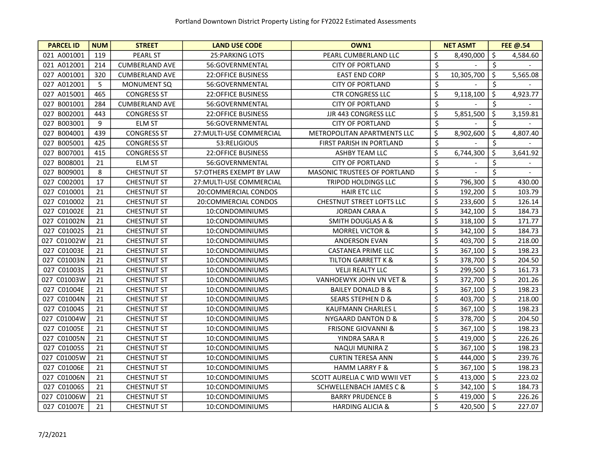| <b>PARCEL ID</b> | <b>NUM</b> | <b>STREET</b>         | <b>LAND USE CODE</b>      | OWN1                               |                         | <b>NET ASMT</b> |         | FEE @.54 |
|------------------|------------|-----------------------|---------------------------|------------------------------------|-------------------------|-----------------|---------|----------|
| 021 A001001      | 119        | <b>PEARL ST</b>       | <b>25: PARKING LOTS</b>   | PEARL CUMBERLAND LLC               | \$                      | 8,490,000       | \$      | 4,584.60 |
| 021 A012001      | 214        | <b>CUMBERLAND AVE</b> | 56:GOVERNMENTAL           | <b>CITY OF PORTLAND</b>            | \$                      |                 | \$      |          |
| 027 A001001      | 320        | <b>CUMBERLAND AVE</b> | <b>22:OFFICE BUSINESS</b> | <b>EAST END CORP</b>               | \$                      | 10,305,700      | $\zeta$ | 5,565.08 |
| 027 A012001      | 5          | <b>MONUMENT SQ</b>    | 56:GOVERNMENTAL           | <b>CITY OF PORTLAND</b>            | \$                      |                 | \$      |          |
| 027 A015001      | 465        | <b>CONGRESS ST</b>    | 22:OFFICE BUSINESS        | <b>CTR CONGRESS LLC</b>            | \$                      | 9,118,100       | $\zeta$ | 4,923.77 |
| 027 B001001      | 284        | <b>CUMBERLAND AVE</b> | 56:GOVERNMENTAL           | <b>CITY OF PORTLAND</b>            | \$                      |                 | \$      |          |
| 027 B002001      | 443        | <b>CONGRESS ST</b>    | <b>22:OFFICE BUSINESS</b> | <b>JJR 443 CONGRESS LLC</b>        | \$                      | 5,851,500       | $\zeta$ | 3,159.81 |
| 027 B003001      | 9          | <b>ELM ST</b>         | 56:GOVERNMENTAL           | <b>CITY OF PORTLAND</b>            | \$                      |                 | \$      |          |
| 027 B004001      | 439        | <b>CONGRESS ST</b>    | 27: MULTI-USE COMMERCIAL  | METROPOLITAN APARTMENTS LLC        | \$                      | 8,902,600       | \$      | 4,807.40 |
| 027 B005001      | 425        | <b>CONGRESS ST</b>    | 53:RELIGIOUS              | FIRST PARISH IN PORTLAND           | $\overline{\mathsf{S}}$ |                 | \$      |          |
| 027 B007001      | 415        | <b>CONGRESS ST</b>    | <b>22:OFFICE BUSINESS</b> | ASHBY TEAM LLC                     | \$                      | 6,744,300       | \$      | 3,641.92 |
| 027 B008001      | 21         | <b>ELM ST</b>         | 56:GOVERNMENTAL           | <b>CITY OF PORTLAND</b>            | \$                      |                 | \$      |          |
| 027 B009001      | 8          | <b>CHESTNUT ST</b>    | 57:OTHERS EXEMPT BY LAW   | MASONIC TRUSTEES OF PORTLAND       | \$                      |                 | \$      |          |
| 027 C002001      | 17         | <b>CHESTNUT ST</b>    | 27: MULTI-USE COMMERCIAL  | TRIPOD HOLDINGS LLC                | \$                      | 796,300         | \$      | 430.00   |
| 027 C010001      | 21         | <b>CHESTNUT ST</b>    | 20:COMMERCIAL CONDOS      | <b>HAIR ETC LLC</b>                | \$                      | 192,200         | $\zeta$ | 103.79   |
| 027 C010002      | 21         | <b>CHESTNUT ST</b>    | 20:COMMERCIAL CONDOS      | CHESTNUT STREET LOFTS LLC          | \$                      | 233,600         | \$      | 126.14   |
| 027 C01002E      | 21         | <b>CHESTNUT ST</b>    | 10:CONDOMINIUMS           | <b>JORDAN CARA A</b>               | \$                      | 342,100         | \$      | 184.73   |
| 027 C01002N      | 21         | <b>CHESTNUT ST</b>    | 10:CONDOMINIUMS           | <b>SMITH DOUGLAS A &amp;</b>       | \$                      | 318,100         | \$      | 171.77   |
| 027 C01002S      | 21         | <b>CHESTNUT ST</b>    | 10:CONDOMINIUMS           | <b>MORREL VICTOR &amp;</b>         | \$                      | 342,100         | \$      | 184.73   |
| 027 C01002W      | 21         | <b>CHESTNUT ST</b>    | 10:CONDOMINIUMS           | <b>ANDERSON EVAN</b>               | \$                      | 403,700         | \$      | 218.00   |
| 027 C01003E      | 21         | <b>CHESTNUT ST</b>    | 10:CONDOMINIUMS           | <b>CASTANEA PRIME LLC</b>          | \$                      | 367,100         | \$      | 198.23   |
| 027 C01003N      | 21         | <b>CHESTNUT ST</b>    | 10:CONDOMINIUMS           | <b>TILTON GARRETT K &amp;</b>      | \$                      | 378,700         | \$      | 204.50   |
| 027 C01003S      | 21         | <b>CHESTNUT ST</b>    | 10:CONDOMINIUMS           | <b>VELJI REALTY LLC</b>            | \$                      | 299,500         | \$      | 161.73   |
| 027 C01003W      | 21         | <b>CHESTNUT ST</b>    | 10:CONDOMINIUMS           | VANHOEWYK JOHN VN VET &            | \$                      | 372,700         | \$      | 201.26   |
| 027 C01004E      | 21         | <b>CHESTNUT ST</b>    | 10:CONDOMINIUMS           | <b>BAILEY DONALD B &amp;</b>       | \$                      | 367,100         | \$      | 198.23   |
| 027 C01004N      | 21         | <b>CHESTNUT ST</b>    | 10:CONDOMINIUMS           | <b>SEARS STEPHEN D &amp;</b>       | \$                      | 403,700         | \$      | 218.00   |
| 027 C01004S      | 21         | <b>CHESTNUT ST</b>    | 10:CONDOMINIUMS           | <b>KAUFMANN CHARLES L</b>          | \$                      | 367,100         | \$      | 198.23   |
| 027 C01004W      | 21         | <b>CHESTNUT ST</b>    | 10:CONDOMINIUMS           | NYGAARD DANTON D &                 | \$                      | 378,700         | $\zeta$ | 204.50   |
| 027 C01005E      | 21         | <b>CHESTNUT ST</b>    | 10:CONDOMINIUMS           | <b>FRISONE GIOVANNI &amp;</b>      | \$                      | 367,100         | \$      | 198.23   |
| 027 C01005N      | 21         | <b>CHESTNUT ST</b>    | 10:CONDOMINIUMS           | YINDRA SARA R                      | \$                      | 419,000         | \$      | 226.26   |
| 027 C01005S      | 21         | <b>CHESTNUT ST</b>    | 10:CONDOMINIUMS           | NAQUI MUNIRA Z                     | \$                      | 367,100         | \$      | 198.23   |
| 027 C01005W      | 21         | <b>CHESTNUT ST</b>    | 10:CONDOMINIUMS           | <b>CURTIN TERESA ANN</b>           | \$                      | 444,000         | $\zeta$ | 239.76   |
| 027 C01006E      | 21         | <b>CHESTNUT ST</b>    | 10:CONDOMINIUMS           | <b>HAMM LARRY F &amp;</b>          | \$                      | 367,100         | $\zeta$ | 198.23   |
| 027 C01006N      | 21         | <b>CHESTNUT ST</b>    | 10:CONDOMINIUMS           | SCOTT AURELIA C WID WWII VET       | \$                      | 413,000         | \$      | 223.02   |
| 027 C01006S      | 21         | <b>CHESTNUT ST</b>    | 10:CONDOMINIUMS           | <b>SCHWELLENBACH JAMES C &amp;</b> | \$                      | 342,100         | \$      | 184.73   |
| 027 C01006W      | 21         | <b>CHESTNUT ST</b>    | 10:CONDOMINIUMS           | <b>BARRY PRUDENCE B</b>            | \$                      | 419,000         | $\zeta$ | 226.26   |
| 027 C01007E      | 21         | <b>CHESTNUT ST</b>    | 10:CONDOMINIUMS           | <b>HARDING ALICIA &amp;</b>        | \$                      | 420,500         | \$      | 227.07   |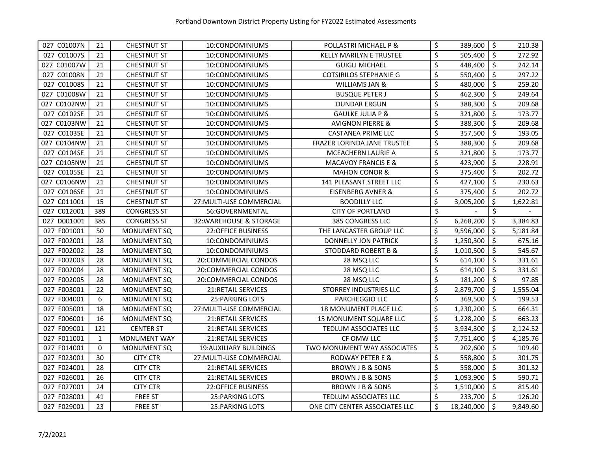| 027 C01007N | 21           | <b>CHESTNUT ST</b>  | 10:CONDOMINIUMS               | POLLASTRI MICHAEL P &          | \$<br>389,600    | $\ddot{\circ}$      | 210.38   |
|-------------|--------------|---------------------|-------------------------------|--------------------------------|------------------|---------------------|----------|
| 027 C01007S | 21           | <b>CHESTNUT ST</b>  | 10:CONDOMINIUMS               | <b>KELLY MARILYN E TRUSTEE</b> | \$<br>505,400    | $\ddot{\mathsf{S}}$ | 272.92   |
| 027 C01007W | 21           | <b>CHESTNUT ST</b>  | 10:CONDOMINIUMS               | <b>GUIGLI MICHAEL</b>          | \$<br>448,400    | $\ddot{\mathsf{S}}$ | 242.14   |
| 027 C01008N | 21           | <b>CHESTNUT ST</b>  | 10:CONDOMINIUMS               | <b>COTSIRILOS STEPHANIE G</b>  | \$<br>550,400    | \$                  | 297.22   |
| 027 C01008S | 21           | <b>CHESTNUT ST</b>  | 10:CONDOMINIUMS               | WILLIAMS JAN &                 | \$<br>480,000    | $\zeta$             | 259.20   |
| 027 C01008W | 21           | <b>CHESTNUT ST</b>  | 10:CONDOMINIUMS               | <b>BUSQUE PETER J</b>          | \$<br>462,300    | \$                  | 249.64   |
| 027 C0102NW | 21           | <b>CHESTNUT ST</b>  | 10:CONDOMINIUMS               | <b>DUNDAR ERGUN</b>            | \$<br>388,300    | \$                  | 209.68   |
| 027 C0102SE | 21           | <b>CHESTNUT ST</b>  | 10:CONDOMINIUMS               | <b>GAULKE JULIA P &amp;</b>    | \$<br>321,800    | \$                  | 173.77   |
| 027 C0103NW | 21           | <b>CHESTNUT ST</b>  | 10:CONDOMINIUMS               | <b>AVIGNON PIERRE &amp;</b>    | \$<br>388,300    | \$                  | 209.68   |
| 027 C0103SE | 21           | <b>CHESTNUT ST</b>  | 10:CONDOMINIUMS               | <b>CASTANEA PRIME LLC</b>      | \$<br>357,500    | \$                  | 193.05   |
| 027 C0104NW | 21           | <b>CHESTNUT ST</b>  | 10:CONDOMINIUMS               | FRAZER LORINDA JANE TRUSTEE    | \$<br>388,300    | \$                  | 209.68   |
| 027 C0104SE | 21           | <b>CHESTNUT ST</b>  | 10:CONDOMINIUMS               | MCEACHERN LAURIE A             | \$<br>321,800    | \$                  | 173.77   |
| 027 C0105NW | 21           | <b>CHESTNUT ST</b>  | 10:CONDOMINIUMS               | MACAVOY FRANCIS E &            | \$<br>423,900    | \$                  | 228.91   |
| 027 C0105SE | 21           | <b>CHESTNUT ST</b>  | 10:CONDOMINIUMS               | <b>MAHON CONOR &amp;</b>       | \$<br>375,400    | \$                  | 202.72   |
| 027 C0106NW | 21           | <b>CHESTNUT ST</b>  | 10:CONDOMINIUMS               | 141 PLEASANT STREET LLC        | \$<br>427,100    | \$                  | 230.63   |
| 027 C0106SE | 21           | <b>CHESTNUT ST</b>  | 10:CONDOMINIUMS               | <b>EISENBERG AVNER &amp;</b>   | \$<br>375,400    | $\zeta$             | 202.72   |
| 027 C011001 | 15           | <b>CHESTNUT ST</b>  | 27: MULTI-USE COMMERCIAL      | <b>BOODILLY LLC</b>            | \$<br>3,005,200  | \$                  | 1,622.81 |
| 027 C012001 | 389          | <b>CONGRESS ST</b>  | 56:GOVERNMENTAL               | <b>CITY OF PORTLAND</b>        | \$               | \$                  |          |
| 027 D001001 | 385          | <b>CONGRESS ST</b>  | 32: WAREHOUSE & STORAGE       | 385 CONGRESS LLC               | \$<br>6,268,200  | \$                  | 3,384.83 |
| 027 F001001 | 50           | <b>MONUMENT SQ</b>  | 22:OFFICE BUSINESS            | THE LANCASTER GROUP LLC        | \$<br>9,596,000  | \$                  | 5,181.84 |
| 027 F002001 | 28           | <b>MONUMENT SQ</b>  | 10:CONDOMINIUMS               | <b>DONNELLY JON PATRICK</b>    | \$<br>1,250,300  | \$                  | 675.16   |
| 027 F002002 | 28           | <b>MONUMENT SQ</b>  | 10:CONDOMINIUMS               | STODDARD ROBERT B &            | \$<br>1,010,500  | \$                  | 545.67   |
| 027 F002003 | 28           | <b>MONUMENT SQ</b>  | 20:COMMERCIAL CONDOS          | 28 MSQ LLC                     | \$<br>614,100    | \$                  | 331.61   |
| 027 F002004 | 28           | <b>MONUMENT SQ</b>  | 20:COMMERCIAL CONDOS          | 28 MSQ LLC                     | \$<br>614,100    | \$                  | 331.61   |
| 027 F002005 | 28           | <b>MONUMENT SQ</b>  | 20:COMMERCIAL CONDOS          | 28 MSQ LLC                     | \$<br>181,200    | \$                  | 97.85    |
| 027 F003001 | 22           | <b>MONUMENT SQ</b>  | 21: RETAIL SERVICES           | STORREY INDUSTRIES LLC         | \$<br>2,879,700  | \$                  | 1,555.04 |
| 027 F004001 | 6            | <b>MONUMENT SQ</b>  | 25: PARKING LOTS              | PARCHEGGIO LLC                 | \$<br>369,500    | \$                  | 199.53   |
| 027 F005001 | 18           | <b>MONUMENT SQ</b>  | 27: MULTI-USE COMMERCIAL      | <b>18 MONUMENT PLACE LLC</b>   | \$<br>1,230,200  | \$                  | 664.31   |
| 027 F006001 | 16           | <b>MONUMENT SQ</b>  | 21:RETAIL SERVICES            | 15 MONUMENT SQUARE LLC         | \$<br>1,228,200  | $\zeta$             | 663.23   |
| 027 F009001 | 121          | <b>CENTER ST</b>    | 21:RETAIL SERVICES            | TEDLUM ASSOCIATES LLC          | \$<br>3,934,300  | \$                  | 2,124.52 |
| 027 F011001 | $\mathbf{1}$ | <b>MONUMENT WAY</b> | 21:RETAIL SERVICES            | CF OMW LLC                     | \$<br>7,751,400  | $\zeta$             | 4,185.76 |
| 027 F014001 | $\Omega$     | <b>MONUMENT SQ</b>  | <b>19:AUXILIARY BUILDINGS</b> | TWO MONUMENT WAY ASSOCIATES    | \$<br>202,600    | $\zeta$             | 109.40   |
| 027 F023001 | 30           | <b>CITY CTR</b>     | 27: MULTI-USE COMMERCIAL      | RODWAY PETER E &               | \$<br>558,800    | $\zeta$             | 301.75   |
| 027 F024001 | 28           | <b>CITY CTR</b>     | 21:RETAIL SERVICES            | BROWN J B & SONS               | \$<br>558,000    | $\zeta$             | 301.32   |
| 027 F026001 | 26           | <b>CITY CTR</b>     | <b>21:RETAIL SERVICES</b>     | <b>BROWN J B &amp; SONS</b>    | \$<br>1,093,900  | \$                  | 590.71   |
| 027 F027001 | 24           | <b>CITY CTR</b>     | 22:OFFICE BUSINESS            | BROWN J B & SONS               | \$<br>1,510,000  | \$                  | 815.40   |
| 027 F028001 | 41           | <b>FREE ST</b>      | <b>25: PARKING LOTS</b>       | <b>TEDLUM ASSOCIATES LLC</b>   | \$<br>233,700    | $\zeta$             | 126.20   |
| 027 F029001 | 23           | <b>FREE ST</b>      | <b>25: PARKING LOTS</b>       | ONE CITY CENTER ASSOCIATES LLC | \$<br>18,240,000 | $\zeta$             | 9,849.60 |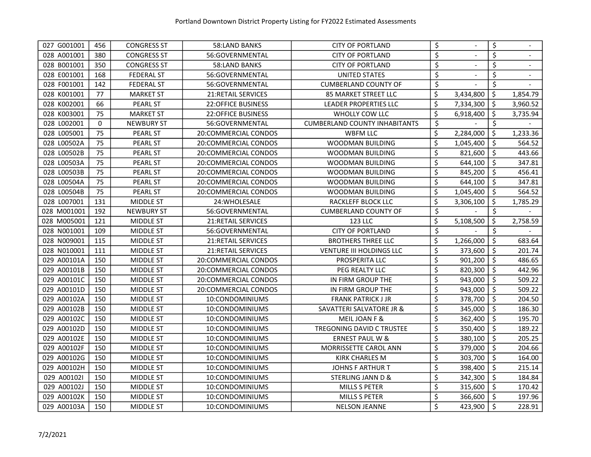| 027 G001001 | 456 | <b>CONGRESS ST</b> | 58:LAND BANKS             | <b>CITY OF PORTLAND</b>              | \$               |           | \$                  |          |
|-------------|-----|--------------------|---------------------------|--------------------------------------|------------------|-----------|---------------------|----------|
| 028 A001001 | 380 | <b>CONGRESS ST</b> | 56:GOVERNMENTAL           | <b>CITY OF PORTLAND</b>              | $\overline{\xi}$ |           | \$                  |          |
| 028 B001001 | 350 | <b>CONGRESS ST</b> | 58:LAND BANKS             | <b>CITY OF PORTLAND</b>              | \$               |           | \$                  |          |
| 028 E001001 | 168 | <b>FEDERAL ST</b>  | 56:GOVERNMENTAL           | UNITED STATES                        | \$               |           | \$                  |          |
| 028 F001001 | 142 | <b>FEDERAL ST</b>  | 56:GOVERNMENTAL           | <b>CUMBERLAND COUNTY OF</b>          | \$               |           | \$                  |          |
| 028 K001001 | 77  | <b>MARKET ST</b>   | <b>21:RETAIL SERVICES</b> | <b>85 MARKET STREET LLC</b>          | \$               | 3,434,800 | \$                  | 1,854.79 |
| 028 K002001 | 66  | <b>PEARL ST</b>    | <b>22:OFFICE BUSINESS</b> | <b>LEADER PROPERTIES LLC</b>         | \$               | 7,334,300 | \$                  | 3,960.52 |
| 028 K003001 | 75  | <b>MARKET ST</b>   | <b>22:OFFICE BUSINESS</b> | WHOLLY COW LLC                       | \$               | 6,918,400 | \$                  | 3,735.94 |
| 028 L002001 | 0   | <b>NEWBURY ST</b>  | 56:GOVERNMENTAL           | <b>CUMBERLAND COUNTY INHABITANTS</b> | \$               |           | \$                  |          |
| 028 L005001 | 75  | <b>PEARL ST</b>    | 20:COMMERCIAL CONDOS      | WBFM LLC                             | \$               | 2,284,000 | \$                  | 1,233.36 |
| 028 L00502A | 75  | <b>PEARL ST</b>    | 20:COMMERCIAL CONDOS      | WOODMAN BUILDING                     | \$               | 1,045,400 | \$                  | 564.52   |
| 028 L00502B | 75  | <b>PEARL ST</b>    | 20:COMMERCIAL CONDOS      | WOODMAN BUILDING                     | \$               | 821,600   | \$                  | 443.66   |
| 028 L00503A | 75  | <b>PEARL ST</b>    | 20:COMMERCIAL CONDOS      | WOODMAN BUILDING                     | \$               | 644,100   | $\zeta$             | 347.81   |
| 028 L00503B | 75  | <b>PEARL ST</b>    | 20:COMMERCIAL CONDOS      | <b>WOODMAN BUILDING</b>              | \$               | 845,200   | \$                  | 456.41   |
| 028 L00504A | 75  | <b>PEARL ST</b>    | 20:COMMERCIAL CONDOS      | WOODMAN BUILDING                     | \$               | 644,100   | $\zeta$             | 347.81   |
| 028 L00504B | 75  | <b>PEARL ST</b>    | 20:COMMERCIAL CONDOS      | WOODMAN BUILDING                     | \$               | 1,045,400 | \$                  | 564.52   |
| 028 L007001 | 131 | MIDDLE ST          | 24: WHOLESALE             | RACKLEFF BLOCK LLC                   | \$               | 3,306,100 | \$                  | 1,785.29 |
| 028 M001001 | 192 | <b>NEWBURY ST</b>  | 56:GOVERNMENTAL           | <b>CUMBERLAND COUNTY OF</b>          | \$               |           | \$                  |          |
| 028 M005001 | 121 | MIDDLE ST          | <b>21:RETAIL SERVICES</b> | 123 LLC                              | \$               | 5,108,500 | \$                  | 2,758.59 |
| 028 N001001 | 109 | MIDDLE ST          | 56:GOVERNMENTAL           | <b>CITY OF PORTLAND</b>              | \$               |           | \$                  |          |
| 028 N009001 | 115 | MIDDLE ST          | <b>21:RETAIL SERVICES</b> | <b>BROTHERS THREE LLC</b>            | \$               | 1,266,000 | \$                  | 683.64   |
| 028 N010001 | 111 | MIDDLE ST          | 21:RETAIL SERVICES        | <b>VENTURE III HOLDINGS LLC</b>      | \$               | 373,600   | \$                  | 201.74   |
| 029 A00101A | 150 | MIDDLE ST          | 20:COMMERCIAL CONDOS      | PROSPERITA LLC                       | \$               | 901,200   | \$                  | 486.65   |
| 029 A00101B | 150 | MIDDLE ST          | 20:COMMERCIAL CONDOS      | PEG REALTY LLC                       | \$               | 820,300   | $\zeta$             | 442.96   |
| 029 A00101C | 150 | MIDDLE ST          | 20:COMMERCIAL CONDOS      | IN FIRM GROUP THE                    | \$               | 943,000   | \$                  | 509.22   |
| 029 A00101D | 150 | MIDDLE ST          | 20:COMMERCIAL CONDOS      | IN FIRM GROUP THE                    | \$               | 943,000   | $\zeta$             | 509.22   |
| 029 A00102A | 150 | <b>MIDDLE ST</b>   | 10:CONDOMINIUMS           | <b>FRANK PATRICK J JR</b>            | \$               | 378,700   | $\zeta$             | 204.50   |
| 029 A00102B | 150 | MIDDLE ST          | 10:CONDOMINIUMS           | <b>SAVATTERI SALVATORE JR &amp;</b>  | \$               | 345,000   | $\ddot{\mathsf{S}}$ | 186.30   |
| 029 A00102C | 150 | MIDDLE ST          | 10:CONDOMINIUMS           | MEIL JOAN F &                        | \$               | 362,400   | \$                  | 195.70   |
| 029 A00102D | 150 | MIDDLE ST          | 10:CONDOMINIUMS           | TREGONING DAVID C TRUSTEE            | \$               | 350,400   | $\zeta$             | 189.22   |
| 029 A00102E | 150 | MIDDLE ST          | 10:CONDOMINIUMS           | <b>ERNEST PAUL W &amp;</b>           | \$               | 380,100   | \$                  | 205.25   |
| 029 A00102F | 150 | <b>MIDDLE ST</b>   | 10:CONDOMINIUMS           | MORRISSETTE CAROL ANN                | \$               | 379,000   | \$                  | 204.66   |
| 029 A00102G | 150 | MIDDLE ST          | 10:CONDOMINIUMS           | <b>KIRK CHARLES M</b>                | \$               | 303,700   | \$                  | 164.00   |
| 029 A00102H | 150 | MIDDLE ST          | 10:CONDOMINIUMS           | <b>JOHNS F ARTHUR T</b>              | \$               | 398,400   | \$                  | 215.14   |
| 029 A00102I | 150 | MIDDLE ST          | 10:CONDOMINIUMS           | <b>STERLING JANN D &amp;</b>         | \$               | 342,300   | \$                  | 184.84   |
| 029 A00102J | 150 | MIDDLE ST          | 10:CONDOMINIUMS           | MILLS S PETER                        | \$               | 315,600   | \$                  | 170.42   |
| 029 A00102K | 150 | MIDDLE ST          | 10:CONDOMINIUMS           | MILLS S PETER                        | \$               | 366,600   | \$                  | 197.96   |
| 029 A00103A | 150 | <b>MIDDLE ST</b>   | 10:CONDOMINIUMS           | <b>NELSON JEANNE</b>                 | \$               | 423,900   | $\zeta$             | 228.91   |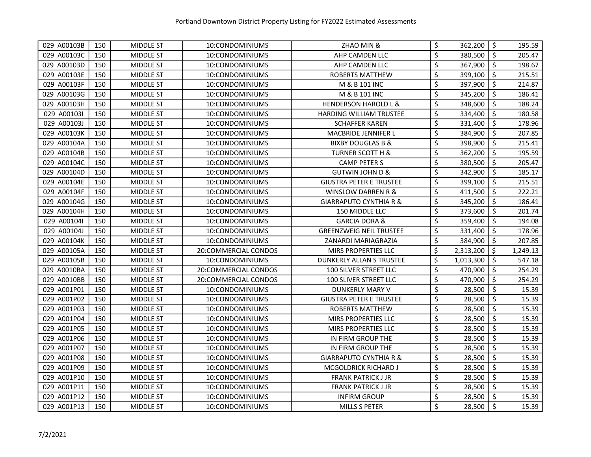| 029 A00103B | 150 | MIDDLE ST        | 10:CONDOMINIUMS      | ZHAO MIN &                        | \$               | 362,200   | \$      | 195.59   |
|-------------|-----|------------------|----------------------|-----------------------------------|------------------|-----------|---------|----------|
| 029 A00103C | 150 | <b>MIDDLE ST</b> | 10:CONDOMINIUMS      | AHP CAMDEN LLC                    | $\overline{\xi}$ | 380,500   | \$      | 205.47   |
| 029 A00103D | 150 | MIDDLE ST        | 10:CONDOMINIUMS      | AHP CAMDEN LLC                    | \$               | 367,900   | $\zeta$ | 198.67   |
| 029 A00103E | 150 | MIDDLE ST        | 10:CONDOMINIUMS      | ROBERTS MATTHEW                   | \$               | 399,100   | $\zeta$ | 215.51   |
| 029 A00103F | 150 | MIDDLE ST        | 10:CONDOMINIUMS      | M & B 101 INC                     | \$               | 397,900   | \$      | 214.87   |
| 029 A00103G | 150 | <b>MIDDLE ST</b> | 10:CONDOMINIUMS      | M & B 101 INC                     | \$               | 345,200   | \$      | 186.41   |
| 029 A00103H | 150 | <b>MIDDLE ST</b> | 10:CONDOMINIUMS      | <b>HENDERSON HAROLD L &amp;</b>   | \$               | 348,600   | \$      | 188.24   |
| 029 A00103I | 150 | <b>MIDDLE ST</b> | 10:CONDOMINIUMS      | <b>HARDING WILLIAM TRUSTEE</b>    | \$               | 334,400   | $\zeta$ | 180.58   |
| 029 A00103J | 150 | MIDDLE ST        | 10:CONDOMINIUMS      | <b>SCHAFFER KAREN</b>             | \$               | 331,400   | $\zeta$ | 178.96   |
| 029 A00103K | 150 | MIDDLE ST        | 10:CONDOMINIUMS      | <b>MACBRIDE JENNIFER L</b>        | \$               | 384,900   | $\zeta$ | 207.85   |
| 029 A00104A | 150 | MIDDLE ST        | 10:CONDOMINIUMS      | <b>BIXBY DOUGLAS B &amp;</b>      | \$               | 398,900   | \$      | 215.41   |
| 029 A00104B | 150 | <b>MIDDLE ST</b> | 10:CONDOMINIUMS      | <b>TURNER SCOTT H &amp;</b>       | \$               | 362,200   | \$      | 195.59   |
| 029 A00104C | 150 | MIDDLE ST        | 10:CONDOMINIUMS      | <b>CAMP PETER S</b>               | \$               | 380,500   | $\zeta$ | 205.47   |
| 029 A00104D | 150 | MIDDLE ST        | 10:CONDOMINIUMS      | <b>GUTWIN JOHN D &amp;</b>        | \$               | 342,900   | \$      | 185.17   |
| 029 A00104E | 150 | MIDDLE ST        | 10:CONDOMINIUMS      | <b>GIUSTRA PETER E TRUSTEE</b>    | \$               | 399,100   | \$      | 215.51   |
| 029 A00104F | 150 | MIDDLE ST        | 10:CONDOMINIUMS      | <b>WINSLOW DARREN R &amp;</b>     | \$               | 411,500   | \$      | 222.21   |
| 029 A00104G | 150 | <b>MIDDLE ST</b> | 10:CONDOMINIUMS      | <b>GIARRAPUTO CYNTHIA R &amp;</b> | \$               | 345,200   | \$      | 186.41   |
| 029 A00104H | 150 | MIDDLE ST        | 10:CONDOMINIUMS      | 150 MIDDLE LLC                    | \$               | 373,600   | $\zeta$ | 201.74   |
| 029 A00104I | 150 | <b>MIDDLE ST</b> | 10:CONDOMINIUMS      | <b>GARCIA DORA &amp;</b>          | \$               | 359,400   | \$      | 194.08   |
| 029 A00104J | 150 | MIDDLE ST        | 10:CONDOMINIUMS      | <b>GREENZWEIG NEIL TRUSTEE</b>    | \$               | 331,400   | \$      | 178.96   |
| 029 A00104K | 150 | MIDDLE ST        | 10:CONDOMINIUMS      | ZANARDI MARIAGRAZIA               | \$               | 384,900   | \$      | 207.85   |
| 029 A00105A | 150 | MIDDLE ST        | 20:COMMERCIAL CONDOS | <b>MIRS PROPERTIES LLC</b>        | \$               | 2,313,200 | \$      | 1,249.13 |
| 029 A00105B | 150 | MIDDLE ST        | 10:CONDOMINIUMS      | DUNKERLY ALLAN S TRUSTEE          | \$               | 1,013,300 | \$      | 547.18   |
| 029 A0010BA | 150 | MIDDLE ST        | 20:COMMERCIAL CONDOS | 100 SILVER STREET LLC             | \$               | 470,900   | \$      | 254.29   |
| 029 A0010BB | 150 | MIDDLE ST        | 20:COMMERCIAL CONDOS | 100 SLIVER STREET LLC             | $\zeta$          | 470,900   | $\zeta$ | 254.29   |
| 029 A001P01 | 150 | MIDDLE ST        | 10:CONDOMINIUMS      | DUNKERLY MARY V                   | \$               | 28,500    | $\zeta$ | 15.39    |
| 029 A001P02 | 150 | MIDDLE ST        | 10:CONDOMINIUMS      | <b>GIUSTRA PETER E TRUSTEE</b>    | \$               | 28,500    | $\zeta$ | 15.39    |
| 029 A001P03 | 150 | <b>MIDDLE ST</b> | 10:CONDOMINIUMS      | <b>ROBERTS MATTHEW</b>            | \$               | 28,500    | $\zeta$ | 15.39    |
| 029 A001P04 | 150 | MIDDLE ST        | 10:CONDOMINIUMS      | <b>MIRS PROPERTIES LLC</b>        | \$               | 28,500    | \$      | 15.39    |
| 029 A001P05 | 150 | MIDDLE ST        | 10:CONDOMINIUMS      | <b>MIRS PROPERTIES LLC</b>        | \$               | 28,500    | \$      | 15.39    |
| 029 A001P06 | 150 | <b>MIDDLE ST</b> | 10:CONDOMINIUMS      | IN FIRM GROUP THE                 | \$               | 28,500    | \$      | 15.39    |
| 029 A001P07 | 150 | MIDDLE ST        | 10:CONDOMINIUMS      | IN FIRM GROUP THE                 | \$               | 28,500    | \$      | 15.39    |
| 029 A001P08 | 150 | <b>MIDDLE ST</b> | 10:CONDOMINIUMS      | <b>GIARRAPUTO CYNTHIA R &amp;</b> | \$               | 28,500    | \$      | 15.39    |
| 029 A001P09 | 150 | MIDDLE ST        | 10:CONDOMINIUMS      | MCGOLDRICK RICHARD J              | \$               | 28,500    | \$      | 15.39    |
| 029 A001P10 | 150 | MIDDLE ST        | 10:CONDOMINIUMS      | <b>FRANK PATRICK J JR</b>         | \$               | 28,500    | \$      | 15.39    |
| 029 A001P11 | 150 | MIDDLE ST        | 10:CONDOMINIUMS      | <b>FRANK PATRICK J JR</b>         | \$               | 28,500    | $\zeta$ | 15.39    |
| 029 A001P12 | 150 | MIDDLE ST        | 10:CONDOMINIUMS      | <b>INFIRM GROUP</b>               | \$               | 28,500    | \$      | 15.39    |
| 029 A001P13 | 150 | <b>MIDDLE ST</b> | 10:CONDOMINIUMS      | MILLS S PETER                     | \$               | 28,500    | $\zeta$ | 15.39    |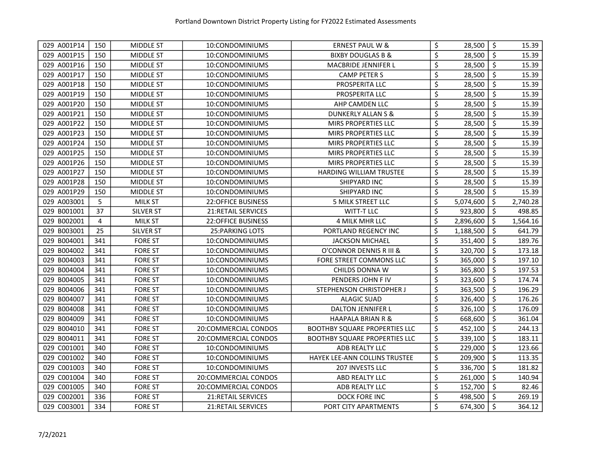| 029 A001P14 | 150            | <b>MIDDLE ST</b> | 10:CONDOMINIUMS           | <b>ERNEST PAUL W &amp;</b>           | \$                     | 28,500    | $\zeta$ | 15.39    |
|-------------|----------------|------------------|---------------------------|--------------------------------------|------------------------|-----------|---------|----------|
| 029 A001P15 | 150            | <b>MIDDLE ST</b> | 10:CONDOMINIUMS           | <b>BIXBY DOUGLAS B &amp;</b>         | $\overline{\varsigma}$ | 28,500    | \$      | 15.39    |
| 029 A001P16 | 150            | MIDDLE ST        | 10:CONDOMINIUMS           | MACBRIDE JENNIFER L                  | \$                     | 28,500    | \$      | 15.39    |
| 029 A001P17 | 150            | MIDDLE ST        | 10:CONDOMINIUMS           | <b>CAMP PETER S</b>                  | \$                     | 28,500    | \$      | 15.39    |
| 029 A001P18 | 150            | MIDDLE ST        | 10:CONDOMINIUMS           | PROSPERITA LLC                       | \$                     | 28,500    | \$      | 15.39    |
| 029 A001P19 | 150            | <b>MIDDLE ST</b> | 10:CONDOMINIUMS           | PROSPERITA LLC                       | \$                     | 28,500    | \$      | 15.39    |
| 029 A001P20 | 150            | <b>MIDDLE ST</b> | 10:CONDOMINIUMS           | AHP CAMDEN LLC                       | \$                     | 28,500    | $\zeta$ | 15.39    |
| 029 A001P21 | 150            | MIDDLE ST        | 10:CONDOMINIUMS           | DUNKERLY ALLAN S &                   | \$                     | 28,500    | $\zeta$ | 15.39    |
| 029 A001P22 | 150            | MIDDLE ST        | 10:CONDOMINIUMS           | MIRS PROPERTIES LLC                  | \$                     | 28,500    | $\zeta$ | 15.39    |
| 029 A001P23 | 150            | MIDDLE ST        | 10:CONDOMINIUMS           | MIRS PROPERTIES LLC                  | \$                     | 28,500    | $\zeta$ | 15.39    |
| 029 A001P24 | 150            | MIDDLE ST        | 10:CONDOMINIUMS           | MIRS PROPERTIES LLC                  | \$                     | 28,500    | $\zeta$ | 15.39    |
| 029 A001P25 | 150            | MIDDLE ST        | 10:CONDOMINIUMS           | MIRS PROPERTIES LLC                  | \$                     | 28,500    | $\zeta$ | 15.39    |
| 029 A001P26 | 150            | MIDDLE ST        | 10:CONDOMINIUMS           | MIRS PROPERTIES LLC                  | \$                     | 28,500    | \$      | 15.39    |
| 029 A001P27 | 150            | MIDDLE ST        | 10:CONDOMINIUMS           | <b>HARDING WILLIAM TRUSTEE</b>       | \$                     | 28,500    | \$      | 15.39    |
| 029 A001P28 | 150            | MIDDLE ST        | 10:CONDOMINIUMS           | SHIPYARD INC                         | \$                     | 28,500    | \$      | 15.39    |
| 029 A001P29 | 150            | MIDDLE ST        | 10:CONDOMINIUMS           | SHIPYARD INC                         | \$                     | 28,500    | \$      | 15.39    |
| 029 A003001 | 5              | <b>MILK ST</b>   | <b>22:OFFICE BUSINESS</b> | 5 MILK STREET LLC                    | \$                     | 5,074,600 | \$      | 2,740.28 |
| 029 B001001 | 37             | SILVER ST        | 21:RETAIL SERVICES        | <b>WITT-T LLC</b>                    | \$                     | 923,800   | \$      | 498.85   |
| 029 B002001 | $\overline{4}$ | <b>MILK ST</b>   | <b>22:OFFICE BUSINESS</b> | 4 MILK MHR LLC                       | \$                     | 2,896,600 | \$      | 1,564.16 |
| 029 B003001 | 25             | SILVER ST        | 25: PARKING LOTS          | PORTLAND REGENCY INC                 | \$                     | 1,188,500 | \$      | 641.79   |
| 029 B004001 | 341            | <b>FORE ST</b>   | 10:CONDOMINIUMS           | <b>JACKSON MICHAEL</b>               | \$                     | 351,400   | \$      | 189.76   |
| 029 B004002 | 341            | <b>FORE ST</b>   | 10:CONDOMINIUMS           | O'CONNOR DENNIS R III &              | \$                     | 320,700   | $\zeta$ | 173.18   |
| 029 B004003 | 341            | <b>FORE ST</b>   | 10:CONDOMINIUMS           | FORE STREET COMMONS LLC              | \$                     | 365,000   | \$      | 197.10   |
| 029 B004004 | 341            | <b>FORE ST</b>   | 10:CONDOMINIUMS           | CHILDS DONNA W                       | \$                     | 365,800   | \$      | 197.53   |
| 029 B004005 | 341            | <b>FORE ST</b>   | 10:CONDOMINIUMS           | PENDERS JOHN F IV                    | \$                     | 323,600   | $\zeta$ | 174.74   |
| 029 B004006 | 341            | <b>FORE ST</b>   | 10:CONDOMINIUMS           | STEPHENSON CHRISTOPHER J             | \$                     | 363,500   | $\zeta$ | 196.29   |
| 029 B004007 | 341            | <b>FORE ST</b>   | 10:CONDOMINIUMS           | <b>ALAGIC SUAD</b>                   | $\overline{\xi}$       | 326,400   | \$      | 176.26   |
| 029 B004008 | 341            | <b>FORE ST</b>   | 10:CONDOMINIUMS           | <b>DALTON JENNIFER L</b>             | \$                     | 326,100   | \$      | 176.09   |
| 029 B004009 | 341            | <b>FORE ST</b>   | 10:CONDOMINIUMS           | <b>HAAPALA BRIAN R &amp;</b>         | \$                     | 668,600   | \$      | 361.04   |
| 029 B004010 | 341            | <b>FORE ST</b>   | 20:COMMERCIAL CONDOS      | <b>BOOTHBY SQUARE PROPERTIES LLC</b> | \$                     | 452,100   | \$      | 244.13   |
| 029 B004011 | 341            | <b>FORE ST</b>   | 20:COMMERCIAL CONDOS      | <b>BOOTHBY SQUARE PROPERTIES LLC</b> | \$                     | 339,100   | \$      | 183.11   |
| 029 C001001 | 340            | <b>FORE ST</b>   | 10:CONDOMINIUMS           | ADB REALTY LLC                       | \$                     | 229,000   | \$      | 123.66   |
| 029 C001002 | 340            | <b>FORE ST</b>   | 10:CONDOMINIUMS           | HAYEK LEE-ANN COLLINS TRUSTEE        | $\zeta$                | 209,900   | $\zeta$ | 113.35   |
| 029 C001003 | 340            | <b>FORE ST</b>   | 10:CONDOMINIUMS           | 207 INVESTS LLC                      | \$                     | 336,700   | $\zeta$ | 181.82   |
| 029 C001004 | 340            | <b>FORE ST</b>   | 20:COMMERCIAL CONDOS      | ABD REALTY LLC                       | \$                     | 261,000   | $\zeta$ | 140.94   |
| 029 C001005 | 340            | <b>FORE ST</b>   | 20:COMMERCIAL CONDOS      | ADB REALTY LLC                       | \$                     | 152,700   | $\zeta$ | 82.46    |
| 029 C002001 | 336            | <b>FORE ST</b>   | 21:RETAIL SERVICES        | DOCK FORE INC                        | \$                     | 498,500   | $\zeta$ | 269.19   |
| 029 C003001 | 334            | <b>FORE ST</b>   | 21:RETAIL SERVICES        | PORT CITY APARTMENTS                 | \$                     | 674,300   | $\zeta$ | 364.12   |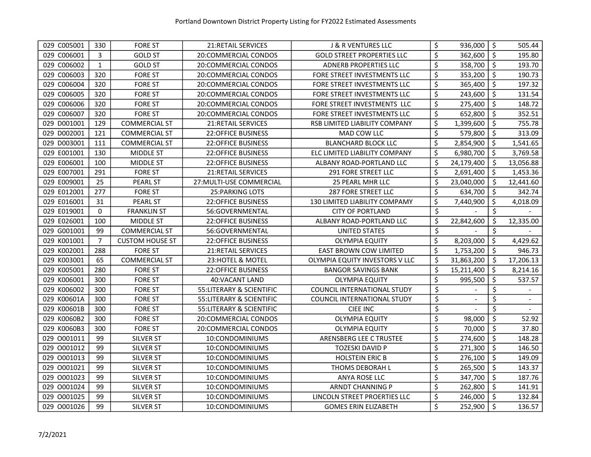| 029 C005001    | 330            | <b>FORE ST</b>         | 21:RETAIL SERVICES        | <b>J &amp; R VENTURES LLC</b>         | \$<br>936,000    | \$                  | 505.44    |
|----------------|----------------|------------------------|---------------------------|---------------------------------------|------------------|---------------------|-----------|
| 029 C006001    | 3              | <b>GOLD ST</b>         | 20:COMMERCIAL CONDOS      | <b>GOLD STREET PROPERTIES LLC</b>     | \$<br>362,600    | $\ddot{\mathsf{s}}$ | 195.80    |
| 029 C006002    | $\mathbf{1}$   | <b>GOLD ST</b>         | 20:COMMERCIAL CONDOS      | <b>ADNERB PROPERTIES LLC</b>          | \$<br>358,700    | $\zeta$             | 193.70    |
| 029 C006003    | 320            | <b>FORE ST</b>         | 20:COMMERCIAL CONDOS      | FORE STREET INVESTMENTS LLC           | \$<br>353,200    | \$                  | 190.73    |
| 029 C006004    | 320            | <b>FORE ST</b>         | 20:COMMERCIAL CONDOS      | FORE STREET INVESTMENTS LLC           | \$<br>365,400    | $\zeta$             | 197.32    |
| 029 C006005    | 320            | <b>FORE ST</b>         | 20:COMMERCIAL CONDOS      | FORE STREET INVESTMENTS LLC           | \$<br>243,600    | \$                  | 131.54    |
| 029 C006006    | 320            | <b>FORE ST</b>         | 20:COMMERCIAL CONDOS      | FORE STREET INVESTMENTS LLC           | \$<br>275,400    | \$                  | 148.72    |
| 029 C006007    | 320            | <b>FORE ST</b>         | 20:COMMERCIAL CONDOS      | FORE STREET INVESTMENTS LLC           | \$<br>652,800    | \$                  | 352.51    |
| 029 D001001    | 129            | <b>COMMERCIAL ST</b>   | <b>21:RETAIL SERVICES</b> | RSB LIMITED LIABILITY COMPANY         | \$<br>1,399,600  | $\zeta$             | 755.78    |
| D002001<br>029 | 121            | <b>COMMERCIAL ST</b>   | 22:OFFICE BUSINESS        | MAD COW LLC                           | \$<br>579,800    | $\zeta$             | 313.09    |
| 029 D003001    | 111            | <b>COMMERCIAL ST</b>   | <b>22:OFFICE BUSINESS</b> | <b>BLANCHARD BLOCK LLC</b>            | \$<br>2,854,900  | \$                  | 1,541.65  |
| 029 E001001    | 130            | MIDDLE ST              | 22:OFFICE BUSINESS        | ELC LIMITED LIABILITY COMPANY         | \$<br>6,980,700  | $\zeta$             | 3,769.58  |
| 029 E006001    | 100            | MIDDLE ST              | <b>22:OFFICE BUSINESS</b> | ALBANY ROAD-PORTLAND LLC              | \$<br>24,179,400 | $\zeta$             | 13,056.88 |
| 029 E007001    | 291            | <b>FORE ST</b>         | 21:RETAIL SERVICES        | 291 FORE STREET LLC                   | \$<br>2,691,400  | \$                  | 1,453.36  |
| 029 E009001    | 25             | <b>PEARL ST</b>        | 27: MULTI-USE COMMERCIAL  | 25 PEARL MHR LLC                      | \$<br>23,040,000 | \$                  | 12,441.60 |
| 029 E012001    | 277            | <b>FORE ST</b>         | 25: PARKING LOTS          | 287 FORE STREET LLC                   | \$<br>634,700    | $\zeta$             | 342.74    |
| 029 E016001    | 31             | <b>PEARL ST</b>        | <b>22:OFFICE BUSINESS</b> | 130 LIMITED LIABILITY COMPAMY         | \$<br>7,440,900  | \$                  | 4,018.09  |
| 029 E019001    | 0              | <b>FRANKLIN ST</b>     | 56:GOVERNMENTAL           | <b>CITY OF PORTLAND</b>               | \$               | \$                  |           |
| 029 E026001    | 100            | <b>MIDDLE ST</b>       | 22:OFFICE BUSINESS        | ALBANY ROAD-PORTLAND LLC              | \$<br>22,842,600 | \$                  | 12,335.00 |
| 029 G001001    | 99             | <b>COMMERCIAL ST</b>   | 56:GOVERNMENTAL           | <b>UNITED STATES</b>                  | \$               | \$                  |           |
| 029 K001001    | $\overline{7}$ | <b>CUSTOM HOUSE ST</b> | <b>22:OFFICE BUSINESS</b> | <b>OLYMPIA EQUITY</b>                 | \$<br>8,203,000  | \$                  | 4,429.62  |
| 029 K002001    | 288            | <b>FORE ST</b>         | <b>21:RETAIL SERVICES</b> | EAST BROWN COW LIMITED                | \$<br>1,753,200  | \$                  | 946.73    |
| 029 K003001    | 65             | <b>COMMERCIAL ST</b>   | 23: HOTEL & MOTEL         | <b>OLYMPIA EQUITY INVESTORS V LLC</b> | \$<br>31,863,200 | $\zeta$             | 17,206.13 |
| 029 K005001    | 280            | <b>FORE ST</b>         | <b>22:OFFICE BUSINESS</b> | <b>BANGOR SAVINGS BANK</b>            | \$<br>15,211,400 | \$                  | 8,214.16  |
| 029 K006001    | 300            | <b>FORE ST</b>         | 40:VACANT LAND            | OLYMPIA EQUITY                        | \$<br>995,500    | \$                  | 537.57    |
| 029 K006002    | 300            | <b>FORE ST</b>         | 55: LITERARY & SCIENTIFIC | COUNCIL INTERNATIONAL STUDY           | \$               | \$                  |           |
| 029 K00601A    | 300            | <b>FORE ST</b>         | 55: LITERARY & SCIENTIFIC | COUNCIL INTERNATIONAL STUDY           | \$               | \$                  |           |
| 029 K00601B    | 300            | <b>FORE ST</b>         | 55: LITERARY & SCIENTIFIC | <b>CIEE INC</b>                       | \$               | \$                  |           |
| 029 K0060B2    | 300            | <b>FORE ST</b>         | 20:COMMERCIAL CONDOS      | <b>OLYMPIA EQUITY</b>                 | \$<br>98,000     | $\zeta$             | 52.92     |
| 029 K0060B3    | 300            | <b>FORE ST</b>         | 20:COMMERCIAL CONDOS      | <b>OLYMPIA EQUITY</b>                 | \$<br>70,000     | $\zeta$             | 37.80     |
| 029 0001011    | 99             | <b>SILVER ST</b>       | 10:CONDOMINIUMS           | ARENSBERG LEE C TRUSTEE               | \$<br>274,600    | $\zeta$             | 148.28    |
| 029 0001012    | 99             | SILVER ST              | 10:CONDOMINIUMS           | <b>TOZESKI DAVID P</b>                | \$<br>271,300    | \$                  | 146.50    |
| 029 0001013    | 99             | <b>SILVER ST</b>       | 10:CONDOMINIUMS           | <b>HOLSTEIN ERIC B</b>                | \$<br>276,100    | $\zeta$             | 149.09    |
| 029 0001021    | 99             | SILVER ST              | 10:CONDOMINIUMS           | THOMS DEBORAH L                       | \$<br>265,500    | $\zeta$             | 143.37    |
| 029 0001023    | 99             | <b>SILVER ST</b>       | 10:CONDOMINIUMS           | ANYA ROSE LLC                         | \$<br>347,700    | $\zeta$             | 187.76    |
| 029 0001024    | 99             | <b>SILVER ST</b>       | 10:CONDOMINIUMS           | ARNDT CHANNING P                      | \$<br>262,800    | \$                  | 141.91    |
| 029 0001025    | 99             | SILVER ST              | 10:CONDOMINIUMS           | LINCOLN STREET PROERTIES LLC          | \$<br>246,000    | \$                  | 132.84    |
| 029 0001026    | 99             | <b>SILVER ST</b>       | 10:CONDOMINIUMS           | <b>GOMES ERIN ELIZABETH</b>           | \$<br>252,900    | $\zeta$             | 136.57    |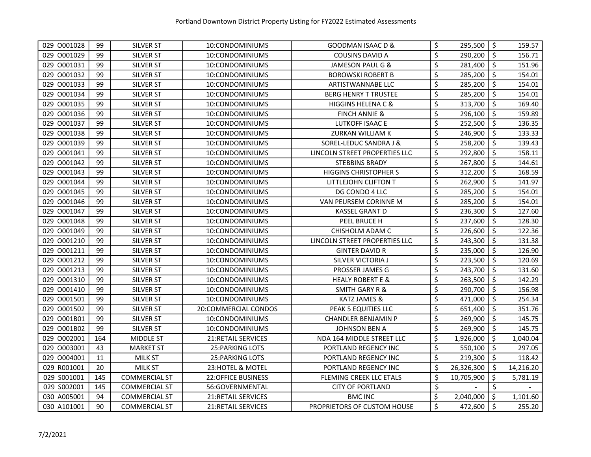| 029 0001028 | 99  | SILVER ST            | 10:CONDOMINIUMS           | GOODMAN ISAAC D &              | \$<br>295,500    | \$      | 159.57    |
|-------------|-----|----------------------|---------------------------|--------------------------------|------------------|---------|-----------|
| 029 0001029 | 99  | SILVER ST            | 10:CONDOMINIUMS           | <b>COUSINS DAVID A</b>         | \$<br>290,200    | \$      | 156.71    |
| 029 0001031 | 99  | <b>SILVER ST</b>     | 10:CONDOMINIUMS           | JAMESON PAUL G &               | \$<br>281,400    | $\zeta$ | 151.96    |
| 029 0001032 | 99  | SILVER ST            | 10:CONDOMINIUMS           | <b>BOROWSKI ROBERT B</b>       | \$<br>285,200    | \$      | 154.01    |
| 029 0001033 | 99  | SILVER ST            | 10:CONDOMINIUMS           | ARTISTWANNABE LLC              | \$<br>285,200    | \$      | 154.01    |
| 029 0001034 | 99  | SILVER ST            | 10:CONDOMINIUMS           | BERG HENRY T TRUSTEE           | \$<br>285,200    | \$      | 154.01    |
| 029 0001035 | 99  | SILVER ST            | 10:CONDOMINIUMS           | <b>HIGGINS HELENA C &amp;</b>  | \$<br>313,700    | $\zeta$ | 169.40    |
| 029 0001036 | 99  | SILVER ST            | 10:CONDOMINIUMS           | <b>FINCH ANNIE &amp;</b>       | \$<br>296,100    | \$      | 159.89    |
| 029 0001037 | 99  | SILVER ST            | 10:CONDOMINIUMS           | LUTKOFF ISAAC E                | \$<br>252,500    | \$      | 136.35    |
| 029 0001038 | 99  | SILVER ST            | 10:CONDOMINIUMS           | ZURKAN WILLIAM K               | \$<br>246,900    | $\zeta$ | 133.33    |
| 029 0001039 | 99  | SILVER ST            | 10:CONDOMINIUMS           | SOREL-LEDUC SANDRA J &         | \$<br>258,200    | \$      | 139.43    |
| 029 0001041 | 99  | SILVER ST            | 10:CONDOMINIUMS           | LINCOLN STREET PROPERTIES LLC  | \$<br>292,800    | \$      | 158.11    |
| 029 0001042 | 99  | SILVER ST            | 10:CONDOMINIUMS           | <b>STEBBINS BRADY</b>          | \$<br>267,800    | $\zeta$ | 144.61    |
| 029 0001043 | 99  | SILVER ST            | 10:CONDOMINIUMS           | <b>HIGGINS CHRISTOPHER S</b>   | \$<br>312,200    | \$      | 168.59    |
| 029 0001044 | 99  | SILVER ST            | 10:CONDOMINIUMS           | LITTLEJOHN CLIFTON T           | \$<br>262,900    | $\zeta$ | 141.97    |
| 029 0001045 | 99  | SILVER ST            | 10:CONDOMINIUMS           | DG CONDO 4 LLC                 | \$<br>285,200    | \$      | 154.01    |
| 029 0001046 | 99  | SILVER ST            | 10:CONDOMINIUMS           | VAN PEURSEM CORINNE M          | \$<br>285,200    | \$      | 154.01    |
| 029 0001047 | 99  | SILVER ST            | 10:CONDOMINIUMS           | KASSEL GRANT D                 | \$<br>236,300    | \$      | 127.60    |
| 029 0001048 | 99  | SILVER ST            | 10:CONDOMINIUMS           | PEEL BRUCE H                   | \$<br>237,600    | \$      | 128.30    |
| 029 0001049 | 99  | SILVER ST            | 10:CONDOMINIUMS           | CHISHOLM ADAM C                | \$<br>226,600    | \$      | 122.36    |
| 029 0001210 | 99  | SILVER ST            | 10:CONDOMINIUMS           | LINCOLN STREET PROPERTIES LLC  | \$<br>243,300    | \$      | 131.38    |
| 029 0001211 | 99  | SILVER ST            | 10:CONDOMINIUMS           | <b>GINTER DAVID R</b>          | \$<br>235,000    | \$      | 126.90    |
| 029 0001212 | 99  | SILVER ST            | 10:CONDOMINIUMS           | SILVER VICTORIA J              | \$<br>223,500    | \$      | 120.69    |
| 029 0001213 | 99  | SILVER ST            | 10:CONDOMINIUMS           | PROSSER JAMES G                | \$<br>243,700    | \$      | 131.60    |
| 029 0001310 | 99  | SILVER ST            | 10:CONDOMINIUMS           | <b>HEALY ROBERT E &amp;</b>    | \$<br>263,500    | \$      | 142.29    |
| 029 0001410 | 99  | SILVER ST            | 10:CONDOMINIUMS           | <b>SMITH GARY R &amp;</b>      | \$<br>290,700    | $\zeta$ | 156.98    |
| 029 0001501 | 99  | SILVER ST            | 10:CONDOMINIUMS           | KATZ JAMES &                   | \$<br>471,000    | $\zeta$ | 254.34    |
| 029 0001502 | 99  | SILVER ST            | 20:COMMERCIAL CONDOS      | PEAK 5 EQUITIES LLC            | \$<br>651,400    | \$      | 351.76    |
| 029 O001B01 | 99  | SILVER ST            | 10:CONDOMINIUMS           | CHANDLER BENJAMIN P            | \$<br>269,900    | $\zeta$ | 145.75    |
| 029 0001B02 | 99  | SILVER ST            | 10:CONDOMINIUMS           | <b>JOHNSON BEN A</b>           | \$<br>269,900    | \$      | 145.75    |
| 029 0002001 | 164 | <b>MIDDLE ST</b>     | 21: RETAIL SERVICES       | NDA 164 MIDDLE STREET LLC      | \$<br>1,926,000  | \$      | 1,040.04  |
| 029 0003001 | 43  | <b>MARKET ST</b>     | 25: PARKING LOTS          | PORTLAND REGENCY INC           | \$<br>550,100    | \$      | 297.05    |
| 029 0004001 | 11  | <b>MILK ST</b>       | <b>25: PARKING LOTS</b>   | PORTLAND REGENCY INC           | \$<br>219,300    | $\zeta$ | 118.42    |
| 029 R001001 | 20  | <b>MILK ST</b>       | 23:HOTEL & MOTEL          | PORTLAND REGENCY INC           | \$<br>26,326,300 | \$      | 14,216.20 |
| 029 S001001 | 145 | <b>COMMERCIAL ST</b> | <b>22:OFFICE BUSINESS</b> | <b>FLEMING CREEK LLC ETALS</b> | \$<br>10,705,900 | \$      | 5,781.19  |
| 029 S002001 | 145 | <b>COMMERCIAL ST</b> | 56:GOVERNMENTAL           | <b>CITY OF PORTLAND</b>        | \$               | \$      |           |
| 030 A005001 | 94  | <b>COMMERCIAL ST</b> | 21:RETAIL SERVICES        | <b>BMC INC</b>                 | \$<br>2,040,000  | \$      | 1,101.60  |
| 030 A101001 | 90  | <b>COMMERCIAL ST</b> | 21:RETAIL SERVICES        | PROPRIETORS OF CUSTOM HOUSE    | \$<br>472,600    | \$      | 255.20    |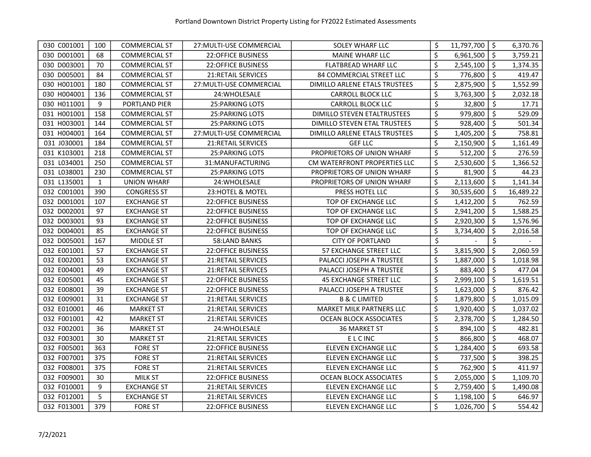| 030 C001001 | 100          | <b>COMMERCIAL ST</b> | 27: MULTI-USE COMMERCIAL  | SOLEY WHARF LLC                 | \$<br>11,797,700 | $\sqrt{5}$          | 6,370.76  |
|-------------|--------------|----------------------|---------------------------|---------------------------------|------------------|---------------------|-----------|
| 030 D001001 | 68           | <b>COMMERCIAL ST</b> | 22:OFFICE BUSINESS        | <b>MAINE WHARF LLC</b>          | \$<br>6,961,500  | $\ddot{\varsigma}$  | 3,759.21  |
| 030 D003001 | 70           | <b>COMMERCIAL ST</b> | <b>22:OFFICE BUSINESS</b> | <b>FLATBREAD WHARF LLC</b>      | \$<br>2,545,100  | $\ddot{\mathsf{S}}$ | 1,374.35  |
| 030 D005001 | 84           | <b>COMMERCIAL ST</b> | <b>21:RETAIL SERVICES</b> | 84 COMMERCIAL STREET LLC        | \$<br>776,800    | \$                  | 419.47    |
| 030 H001001 | 180          | <b>COMMERCIAL ST</b> | 27: MULTI-USE COMMERCIAL  | DIMILLO ARLENE ETALS TRUSTEES   | \$<br>2,875,900  | \$                  | 1,552.99  |
| 030 H004001 | 136          | <b>COMMERCIAL ST</b> | 24: WHOLESALE             | <b>CARROLL BLOCK LLC</b>        | \$<br>3,763,300  | \$                  | 2,032.18  |
| 030 H011001 | 9            | PORTLAND PIER        | <b>25: PARKING LOTS</b>   | <b>CARROLL BLOCK LLC</b>        | \$<br>32,800     | \$                  | 17.71     |
| 031 H001001 | 158          | <b>COMMERCIAL ST</b> | <b>25: PARKING LOTS</b>   | DIMILLO STEVEN ETALTRUSTEES     | \$<br>979,800    | $\zeta$             | 529.09    |
| 031 H003001 | 144          | <b>COMMERCIAL ST</b> | <b>25: PARKING LOTS</b>   | DIMILLO STEVEN ETAL TRUSTEES    | \$<br>928,400    | \$                  | 501.34    |
| 031 H004001 | 164          | <b>COMMERCIAL ST</b> | 27: MULTI-USE COMMERCIAL  | DIMILLO ARLENE ETALS TRUSTEES   | \$<br>1,405,200  | \$                  | 758.81    |
| 031 J030001 | 184          | <b>COMMERCIAL ST</b> | 21:RETAIL SERVICES        | <b>GEF LLC</b>                  | \$<br>2,150,900  | $\zeta$             | 1,161.49  |
| 031 K103001 | 218          | <b>COMMERCIAL ST</b> | 25: PARKING LOTS          | PROPRIETORS OF UNION WHARF      | \$<br>512,200    | \$                  | 276.59    |
| 031 L034001 | 250          | <b>COMMERCIAL ST</b> | 31:MANUFACTURING          | CM WATERFRONT PROPERTIES LLC    | \$<br>2,530,600  | \$                  | 1,366.52  |
| 031 L038001 | 230          | <b>COMMERCIAL ST</b> | <b>25: PARKING LOTS</b>   | PROPRIETORS OF UNION WHARF      | \$<br>81,900     | \$                  | 44.23     |
| 031 L135001 | $\mathbf{1}$ | <b>UNION WHARF</b>   | 24:WHOLESALE              | PROPRIETORS OF UNION WHARF      | \$<br>2,113,600  | \$                  | 1,141.34  |
| 032 C001001 | 390          | <b>CONGRESS ST</b>   | 23:HOTEL & MOTEL          | PRESS HOTEL LLC                 | \$<br>30,535,600 | \$                  | 16,489.22 |
| 032 D001001 | 107          | <b>EXCHANGE ST</b>   | <b>22:OFFICE BUSINESS</b> | TOP OF EXCHANGE LLC             | \$<br>1,412,200  | \$                  | 762.59    |
| 032 D002001 | 97           | <b>EXCHANGE ST</b>   | 22:OFFICE BUSINESS        | TOP OF EXCHANGE LLC             | \$<br>2,941,200  | \$                  | 1,588.25  |
| 032 D003001 | 93           | <b>EXCHANGE ST</b>   | <b>22:OFFICE BUSINESS</b> | TOP OF EXCHANGE LLC             | \$<br>2,920,300  | \$                  | 1,576.96  |
| 032 D004001 | 85           | <b>EXCHANGE ST</b>   | <b>22:OFFICE BUSINESS</b> | TOP OF EXCHANGE LLC             | \$<br>3,734,400  | \$                  | 2,016.58  |
| 032 D005001 | 167          | <b>MIDDLE ST</b>     | 58:LAND BANKS             | <b>CITY OF PORTLAND</b>         | \$               | \$                  |           |
| 032 E001001 | 57           | <b>EXCHANGE ST</b>   | <b>22:OFFICE BUSINESS</b> | 57 EXCHANGE STREET LLC          | \$<br>3,815,900  | \$                  | 2,060.59  |
| 032 E002001 | 53           | <b>EXCHANGE ST</b>   | <b>21:RETAIL SERVICES</b> | PALACCI JOSEPH A TRUSTEE        | \$<br>1,887,000  | \$                  | 1,018.98  |
| 032 E004001 | 49           | <b>EXCHANGE ST</b>   | 21: RETAIL SERVICES       | PALACCI JOSEPH A TRUSTEE        | \$<br>883,400    | $\zeta$             | 477.04    |
| 032 E005001 | 45           | <b>EXCHANGE ST</b>   | <b>22:OFFICE BUSINESS</b> | <b>45 EXCHANGE STREET LLC</b>   | \$<br>2,999,100  | \$                  | 1,619.51  |
| 032 E008001 | 39           | <b>EXCHANGE ST</b>   | 22:OFFICE BUSINESS        | PALACCI JOSEPH A TRUSTEE        | \$<br>1,623,000  | $\zeta$             | 876.42    |
| 032 E009001 | 31           | <b>EXCHANGE ST</b>   | 21:RETAIL SERVICES        | <b>B &amp; C LIMITED</b>        | \$<br>1,879,800  | $\zeta$             | 1,015.09  |
| 032 E010001 | 46           | <b>MARKET ST</b>     | 21: RETAIL SERVICES       | <b>MARKET MILK PARTNERS LLC</b> | \$<br>1,920,400  | $\zeta$             | 1,037.02  |
| 032 F001001 | 42           | <b>MARKET ST</b>     | <b>21:RETAIL SERVICES</b> | <b>OCEAN BLOCK ASSOCIATES</b>   | \$<br>2,378,700  | $\zeta$             | 1,284.50  |
| 032 F002001 | 36           | <b>MARKET ST</b>     | 24: WHOLESALE             | <b>36 MARKET ST</b>             | \$<br>894,100    | $\zeta$             | 482.81    |
| 032 F003001 | 30           | <b>MARKET ST</b>     | <b>21:RETAIL SERVICES</b> | <b>ELCINC</b>                   | \$<br>866,800    | \$                  | 468.07    |
| 032 F005001 | 363          | <b>FORE ST</b>       | <b>22:OFFICE BUSINESS</b> | ELEVEN EXCHANGE LLC             | \$<br>1,284,400  | \$                  | 693.58    |
| 032 F007001 | 375          | <b>FORE ST</b>       | 21:RETAIL SERVICES        | ELEVEN EXCHANGE LLC             | \$<br>737,500    | $\zeta$             | 398.25    |
| 032 F008001 | 375          | <b>FORE ST</b>       | 21:RETAIL SERVICES        | <b>ELEVEN EXCHANGE LLC</b>      | \$<br>762,900    | \$                  | 411.97    |
| 032 F009001 | 30           | <b>MILK ST</b>       | 22:OFFICE BUSINESS        | <b>OCEAN BLOCK ASSOCIATES</b>   | \$<br>2,055,000  | \$                  | 1,109.70  |
| 032 F010001 | 9            | <b>EXCHANGE ST</b>   | 21:RETAIL SERVICES        | <b>ELEVEN EXCHANGE LLC</b>      | \$<br>2,759,400  | $\zeta$             | 1,490.08  |
| 032 F012001 | 5            | <b>EXCHANGE ST</b>   | 21:RETAIL SERVICES        | ELEVEN EXCHANGE LLC             | \$<br>1,198,100  | \$                  | 646.97    |
| 032 F013001 | 379          | <b>FORE ST</b>       | <b>22:OFFICE BUSINESS</b> | <b>ELEVEN EXCHANGE LLC</b>      | \$<br>1,026,700  | $\ddot{\mathsf{s}}$ | 554.42    |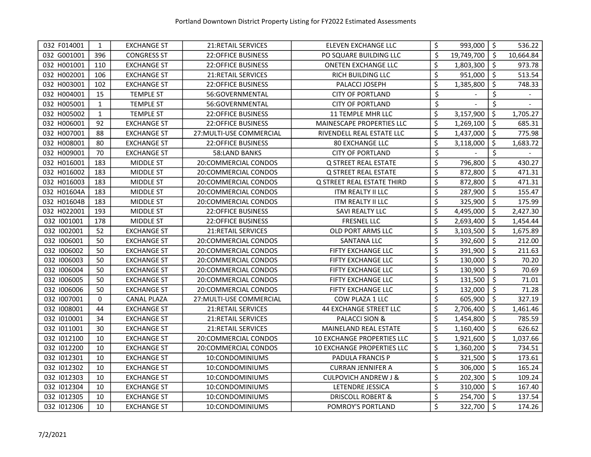| 032 F014001 | 1            | <b>EXCHANGE ST</b> | 21: RETAIL SERVICES       | ELEVEN EXCHANGE LLC               | \$               | 993,000    | $\zeta$ | 536.22    |
|-------------|--------------|--------------------|---------------------------|-----------------------------------|------------------|------------|---------|-----------|
| 032 G001001 | 396          | <b>CONGRESS ST</b> | <b>22:OFFICE BUSINESS</b> | PO SQUARE BUILDING LLC            | \$               | 19,749,700 | \$      | 10,664.84 |
| 032 H001001 | 110          | <b>EXCHANGE ST</b> | <b>22:OFFICE BUSINESS</b> | <b>ONETEN EXCHANGE LLC</b>        | \$               | 1,803,300  | \$      | 973.78    |
| 032 H002001 | 106          | <b>EXCHANGE ST</b> | <b>21:RETAIL SERVICES</b> | RICH BUILDING LLC                 | $\overline{\xi}$ | 951,000    | \$      | 513.54    |
| 032 H003001 | 102          | <b>EXCHANGE ST</b> | <b>22:OFFICE BUSINESS</b> | PALACCI JOSEPH                    | \$               | 1,385,800  | \$      | 748.33    |
| 032 H004001 | 15           | <b>TEMPLE ST</b>   | 56:GOVERNMENTAL           | <b>CITY OF PORTLAND</b>           | \$               |            | \$      |           |
| 032 H005001 | $\mathbf{1}$ | <b>TEMPLE ST</b>   | 56:GOVERNMENTAL           | <b>CITY OF PORTLAND</b>           | \$               |            | \$      |           |
| 032 H005002 | $\mathbf{1}$ | <b>TEMPLE ST</b>   | <b>22:OFFICE BUSINESS</b> | 11 TEMPLE MHR LLC                 | \$               | 3,157,900  | $\zeta$ | 1,705.27  |
| 032 H006001 | 92           | <b>EXCHANGE ST</b> | <b>22:OFFICE BUSINESS</b> | MAINESCAPE PROPERTIES LLC         | \$               | 1,269,100  | \$      | 685.31    |
| 032 H007001 | 88           | <b>EXCHANGE ST</b> | 27: MULTI-USE COMMERCIAL  | RIVENDELL REAL ESTATE LLC         | \$               | 1,437,000  | \$      | 775.98    |
| 032 H008001 | 80           | <b>EXCHANGE ST</b> | <b>22:OFFICE BUSINESS</b> | <b>80 EXCHANGE LLC</b>            | \$               | 3,118,000  | \$      | 1,683.72  |
| 032 H009001 | 70           | <b>EXCHANGE ST</b> | 58:LAND BANKS             | <b>CITY OF PORTLAND</b>           | \$               |            | \$      |           |
| 032 H016001 | 183          | <b>MIDDLE ST</b>   | 20:COMMERCIAL CONDOS      | Q STREET REAL ESTATE              | \$               | 796,800    | \$      | 430.27    |
| 032 H016002 | 183          | MIDDLE ST          | 20:COMMERCIAL CONDOS      | Q STREET REAL ESTATE              | \$               | 872,800    | \$      | 471.31    |
| 032 H016003 | 183          | MIDDLE ST          | 20:COMMERCIAL CONDOS      | Q STREET REAL ESTATE THIRD        | \$               | 872,800    | \$      | 471.31    |
| 032 H01604A | 183          | MIDDLE ST          | 20:COMMERCIAL CONDOS      | ITM REALTY II LLC                 | \$               | 287,900    | \$      | 155.47    |
| 032 H01604B | 183          | MIDDLE ST          | 20:COMMERCIAL CONDOS      | ITM REALTY II LLC                 | \$               | 325,900    | \$      | 175.99    |
| 032 H022001 | 193          | <b>MIDDLE ST</b>   | <b>22:OFFICE BUSINESS</b> | SAVI REALTY LLC                   | \$               | 4,495,000  | \$      | 2,427.30  |
| 032 1001001 | 178          | <b>MIDDLE ST</b>   | <b>22:OFFICE BUSINESS</b> | FRESNEL LLC                       | \$               | 2,693,400  | \$      | 1,454.44  |
| 032 1002001 | 52           | <b>EXCHANGE ST</b> | <b>21:RETAIL SERVICES</b> | OLD PORT ARMS LLC                 | \$               | 3,103,500  | \$      | 1,675.89  |
| 032 1006001 | 50           | EXCHANGE ST        | 20:COMMERCIAL CONDOS      | <b>SANTANA LLC</b>                | \$               | 392,600    | \$      | 212.00    |
| 032 1006002 | 50           | <b>EXCHANGE ST</b> | 20:COMMERCIAL CONDOS      | <b>FIFTY EXCHANGE LLC</b>         | \$               | 391,900    | \$      | 211.63    |
| 032 1006003 | 50           | EXCHANGE ST        | 20:COMMERCIAL CONDOS      | <b>FIFTY EXCHANGE LLC</b>         | \$               | 130,000    | \$      | 70.20     |
| 032 1006004 | 50           | <b>EXCHANGE ST</b> | 20:COMMERCIAL CONDOS      | <b>FIFTY EXCHANGE LLC</b>         | \$               | 130,900    | \$      | 70.69     |
| 032 1006005 | 50           | <b>EXCHANGE ST</b> | 20:COMMERCIAL CONDOS      | <b>FIFTY EXCHANGE LLC</b>         | \$               | 131,500    | \$      | 71.01     |
| 032 1006006 | 50           | <b>EXCHANGE ST</b> | 20:COMMERCIAL CONDOS      | <b>FIFTY EXCHANGE LLC</b>         | \$               | 132,000    | \$      | 71.28     |
| 032 1007001 | 0            | <b>CANAL PLAZA</b> | 27: MULTI-USE COMMERCIAL  | COW PLAZA 1 LLC                   | \$               | 605,900    | $\zeta$ | 327.19    |
| 032 1008001 | 44           | <b>EXCHANGE ST</b> | <b>21:RETAIL SERVICES</b> | <b>44 EXCHANGE STREET LLC</b>     | \$               | 2,706,400  | \$      | 1,461.46  |
| 032 1010001 | 34           | <b>EXCHANGE ST</b> | <b>21:RETAIL SERVICES</b> | <b>PALACCI SION &amp;</b>         | \$               | 1,454,800  | \$      | 785.59    |
| 032 1011001 | 30           | <b>EXCHANGE ST</b> | 21: RETAIL SERVICES       | <b>MAINELAND REAL ESTATE</b>      | \$               | 1,160,400  | \$      | 626.62    |
| 032 1012100 | 10           | <b>EXCHANGE ST</b> | 20:COMMERCIAL CONDOS      | <b>10 EXCHANGE PROPERTIES LLC</b> | \$               | 1,921,600  | \$      | 1,037.66  |
| 032 1012200 | 10           | <b>EXCHANGE ST</b> | 20:COMMERCIAL CONDOS      | 10 EXCHANGE PROPERTIES LLC        | \$               | 1,360,200  | \$      | 734.51    |
| 032 1012301 | 10           | <b>EXCHANGE ST</b> | 10:CONDOMINIUMS           | PADULA FRANCIS P                  | \$               | 321,500    | \$      | 173.61    |
| 032 1012302 | 10           | <b>EXCHANGE ST</b> | 10:CONDOMINIUMS           | <b>CURRAN JENNIFER A</b>          | \$               | 306,000    | \$      | 165.24    |
| 032 1012303 | 10           | <b>EXCHANGE ST</b> | 10:CONDOMINIUMS           | <b>CULPOVICH ANDREW J &amp;</b>   | \$               | 202,300    | \$      | 109.24    |
| 032 1012304 | 10           | <b>EXCHANGE ST</b> | 10:CONDOMINIUMS           | LETENDRE JESSICA                  | \$               | 310,000    | \$      | 167.40    |
| 032 1012305 | 10           | <b>EXCHANGE ST</b> | 10:CONDOMINIUMS           | <b>DRISCOLL ROBERT &amp;</b>      | \$               | 254,700    | \$      | 137.54    |
| 032 1012306 | 10           | <b>EXCHANGE ST</b> | 10:CONDOMINIUMS           | POMROY'S PORTLAND                 | \$               | 322,700    | \$      | 174.26    |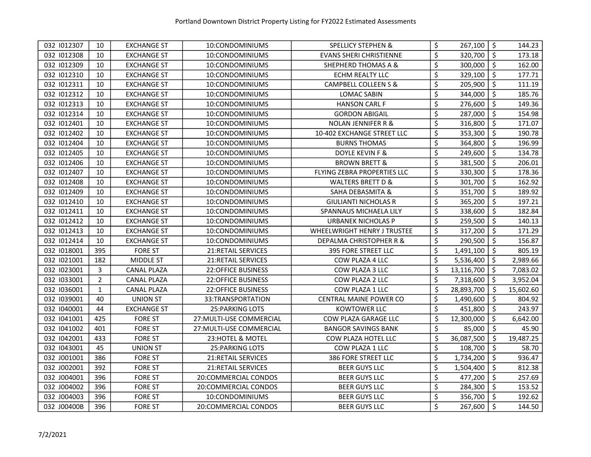| 032 1012307 | 10             | <b>EXCHANGE ST</b> | 10:CONDOMINIUMS           | <b>SPELLICY STEPHEN &amp;</b>  | \$               | $267,100$   \$ |                     | 144.23    |
|-------------|----------------|--------------------|---------------------------|--------------------------------|------------------|----------------|---------------------|-----------|
| 032 1012308 | 10             | <b>EXCHANGE ST</b> | 10:CONDOMINIUMS           | <b>EVANS SHERI CHRISTIENNE</b> | $\overline{\xi}$ | 320,700        | \$                  | 173.18    |
| 032 1012309 | 10             | <b>EXCHANGE ST</b> | 10:CONDOMINIUMS           | SHEPHERD THOMAS A &            | \$               | 300,000        | $\mathsf{\dot{S}}$  | 162.00    |
| 032 1012310 | 10             | <b>EXCHANGE ST</b> | 10:CONDOMINIUMS           | <b>ECHM REALTY LLC</b>         | \$               | 329,100        | \$                  | 177.71    |
| 032 1012311 | 10             | <b>EXCHANGE ST</b> | 10:CONDOMINIUMS           | CAMPBELL COLLEEN S &           | \$               | 205,900        | $\zeta$             | 111.19    |
| 032 1012312 | 10             | <b>EXCHANGE ST</b> | 10:CONDOMINIUMS           | LOMAC SABIN                    | \$               | 344,000        | \$                  | 185.76    |
| 032 1012313 | 10             | <b>EXCHANGE ST</b> | 10:CONDOMINIUMS           | <b>HANSON CARL F</b>           | \$               | 276,600        | \$                  | 149.36    |
| 032 1012314 | 10             | <b>EXCHANGE ST</b> | 10:CONDOMINIUMS           | <b>GORDON ABIGAIL</b>          | \$               | 287,000        | $\zeta$             | 154.98    |
| 032 1012401 | 10             | <b>EXCHANGE ST</b> | 10:CONDOMINIUMS           | <b>NOLAN JENNIFER R &amp;</b>  | \$               | 316,800        | $\zeta$             | 171.07    |
| 032 1012402 | 10             | <b>EXCHANGE ST</b> | 10:CONDOMINIUMS           | 10-402 EXCHANGE STREET LLC     | \$               | 353,300        | $\zeta$             | 190.78    |
| 032 1012404 | 10             | <b>EXCHANGE ST</b> | 10:CONDOMINIUMS           | <b>BURNS THOMAS</b>            | \$               | 364,800        | \$                  | 196.99    |
| 032 1012405 | 10             | <b>EXCHANGE ST</b> | 10:CONDOMINIUMS           | DOYLE KEVIN F &                | \$               | 249,600        | $\zeta$             | 134.78    |
| 032 1012406 | 10             | <b>EXCHANGE ST</b> | 10:CONDOMINIUMS           | <b>BROWN BRETT &amp;</b>       | \$               | 381,500        | $\zeta$             | 206.01    |
| 032 1012407 | 10             | <b>EXCHANGE ST</b> | 10:CONDOMINIUMS           | FLYING ZEBRA PROPERTIES LLC    | \$               | 330,300        | $\ddot{\mathsf{s}}$ | 178.36    |
| 032 1012408 | 10             | <b>EXCHANGE ST</b> | 10:CONDOMINIUMS           | <b>WALTERS BRETT D &amp;</b>   | \$               | 301,700        | $\zeta$             | 162.92    |
| 032 1012409 | 10             | <b>EXCHANGE ST</b> | 10:CONDOMINIUMS           | SAHA DEBASMITA &               | \$               | 351,700        | \$                  | 189.92    |
| 032 1012410 | 10             | <b>EXCHANGE ST</b> | 10:CONDOMINIUMS           | GIULIANTI NICHOLAS R           | \$               | 365,200        | \$                  | 197.21    |
| 032 1012411 | 10             | <b>EXCHANGE ST</b> | 10:CONDOMINIUMS           | SPANNAUS MICHAELA LILY         | \$               | 338,600        | \$                  | 182.84    |
| 032 1012412 | 10             | <b>EXCHANGE ST</b> | 10:CONDOMINIUMS           | URBANEK NICHOLAS P             | \$               | 259,500        | \$                  | 140.13    |
| 032 1012413 | 10             | <b>EXCHANGE ST</b> | 10:CONDOMINIUMS           | WHEELWRIGHT HENRY J TRUSTEE    | \$               | 317,200        | \$                  | 171.29    |
| 032 1012414 | 10             | <b>EXCHANGE ST</b> | 10:CONDOMINIUMS           | DEPALMA CHRISTOPHER R &        | \$               | 290,500        | \$                  | 156.87    |
| 032 1018001 | 395            | <b>FORE ST</b>     | <b>21:RETAIL SERVICES</b> | <b>395 FORE STREET LLC</b>     | \$               | 1,491,100      | \$                  | 805.19    |
| 032 1021001 | 182            | MIDDLE ST          | 21: RETAIL SERVICES       | COW PLAZA 4 LLC                | \$               | 5,536,400      | \$                  | 2,989.66  |
| 032 1023001 | 3              | <b>CANAL PLAZA</b> | <b>22:OFFICE BUSINESS</b> | COW PLAZA 3 LLC                | \$               | 13,116,700     | \$                  | 7,083.02  |
| 032 1033001 | $\overline{2}$ | <b>CANAL PLAZA</b> | 22:OFFICE BUSINESS        | COW PLAZA 2 LLC                | \$               | 7,318,600      | $\zeta$             | 3,952.04  |
| 032 1036001 | $\mathbf{1}$   | <b>CANAL PLAZA</b> | <b>22:OFFICE BUSINESS</b> | COW PLAZA 1 LLC                | \$               | 28,893,700     | $\zeta$             | 15,602.60 |
| 032 1039001 | 40             | UNION ST           | 33:TRANSPORTATION         | CENTRAL MAINE POWER CO         | \$               | 1,490,600      | $\zeta$             | 804.92    |
| 032 1040001 | 44             | <b>EXCHANGE ST</b> | <b>25: PARKING LOTS</b>   | <b>KOWTOWER LLC</b>            | \$               | 451,800        | $\ddot{\mathsf{s}}$ | 243.97    |
| 032 1041001 | 425            | <b>FORE ST</b>     | 27: MULTI-USE COMMERCIAL  | COW PLAZA GARAGE LLC           | \$               | 12,300,000     | $\zeta$             | 6,642.00  |
| 032 1041002 | 401            | <b>FORE ST</b>     | 27: MULTI-USE COMMERCIAL  | <b>BANGOR SAVINGS BANK</b>     | \$               | 85,000         | \$                  | 45.90     |
| 032 1042001 | 433            | <b>FORE ST</b>     | 23:HOTEL & MOTEL          | COW PLAZA HOTEL LLC            | \$               | 36,087,500     | \$                  | 19,487.25 |
| 032 1043001 | 45             | <b>UNION ST</b>    | <b>25: PARKING LOTS</b>   | COW PLAZA 1 LLC                | \$               | 108,700        | \$                  | 58.70     |
| 032 J001001 | 386            | <b>FORE ST</b>     | 21:RETAIL SERVICES        | 386 FORE STREET LLC            | \$               | 1,734,200      | \$                  | 936.47    |
| 032 J002001 | 392            | <b>FORE ST</b>     | <b>21:RETAIL SERVICES</b> | <b>BEER GUYS LLC</b>           | \$               | 1,504,400      | $\zeta$             | 812.38    |
| 032 J004001 | 396            | <b>FORE ST</b>     | 20:COMMERCIAL CONDOS      | <b>BEER GUYS LLC</b>           | \$               | 477,200        | $\zeta$             | 257.69    |
| 032 J004002 | 396            | <b>FORE ST</b>     | 20:COMMERCIAL CONDOS      | <b>BEER GUYS LLC</b>           | \$               | 284,300        | $\ddot{\bm{\zeta}}$ | 153.52    |
| 032 J004003 | 396            | <b>FORE ST</b>     | 10:CONDOMINIUMS           | <b>BEER GUYS LLC</b>           | \$               | 356,700        | $\zeta$             | 192.62    |
| 032 J00400B | 396            | <b>FORE ST</b>     | 20:COMMERCIAL CONDOS      | <b>BEER GUYS LLC</b>           | \$               | 267,600        | $\ddot{\mathsf{s}}$ | 144.50    |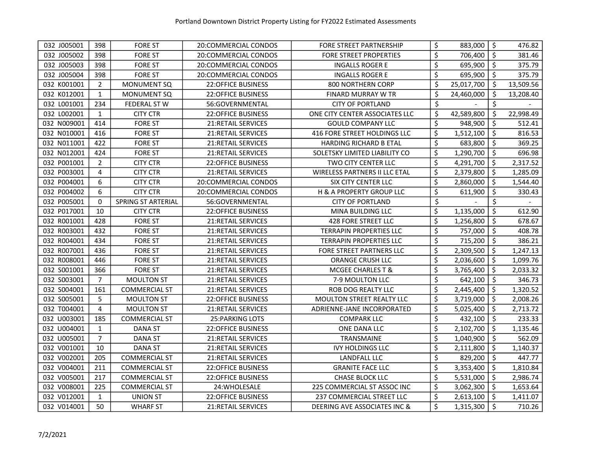| 032 J005001 | 398            | <b>FORE ST</b>            | 20:COMMERCIAL CONDOS      | FORE STREET PARTNERSHIP          | \$<br>883,000    | \$      | 476.82    |
|-------------|----------------|---------------------------|---------------------------|----------------------------------|------------------|---------|-----------|
| 032 J005002 | 398            | <b>FORE ST</b>            | 20:COMMERCIAL CONDOS      | <b>FORE STREET PROPERTIES</b>    | \$<br>706,400    | \$      | 381.46    |
| 032 J005003 | 398            | <b>FORE ST</b>            | 20:COMMERCIAL CONDOS      | <b>INGALLS ROGER E</b>           | \$<br>695,900    | $\zeta$ | 375.79    |
| 032 J005004 | 398            | <b>FORE ST</b>            | 20:COMMERCIAL CONDOS      | <b>INGALLS ROGER E</b>           | \$<br>695,900    | \$      | 375.79    |
| 032 K001001 | $\overline{2}$ | <b>MONUMENT SQ</b>        | <b>22:OFFICE BUSINESS</b> | 800 NORTHERN CORP                | \$<br>25,017,700 | $\zeta$ | 13,509.56 |
| 032 K012001 | $\mathbf{1}$   | <b>MONUMENT SQ</b>        | <b>22:OFFICE BUSINESS</b> | <b>FINARD MURRAY W TR</b>        | \$<br>24,460,000 | \$      | 13,208.40 |
| 032 L001001 | 234            | <b>FEDERAL ST W</b>       | 56:GOVERNMENTAL           | <b>CITY OF PORTLAND</b>          | \$               | \$      |           |
| 032 L002001 | $\mathbf{1}$   | <b>CITY CTR</b>           | <b>22:OFFICE BUSINESS</b> | ONE CITY CENTER ASSOCIATES LLC   | \$<br>42,589,800 | $\zeta$ | 22,998.49 |
| 032 N009001 | 414            | <b>FORE ST</b>            | <b>21:RETAIL SERVICES</b> | <b>GOULD COMPANY LLC</b>         | \$<br>948,900    | \$      | 512.41    |
| 032 N010001 | 416            | <b>FORE ST</b>            | <b>21:RETAIL SERVICES</b> | 416 FORE STREET HOLDINGS LLC     | \$<br>1,512,100  | \$      | 816.53    |
| 032 N011001 | 422            | <b>FORE ST</b>            | 21:RETAIL SERVICES        | HARDING RICHARD B ETAL           | \$<br>683,800    | \$      | 369.25    |
| 032 N012001 | 424            | <b>FORE ST</b>            | 21:RETAIL SERVICES        | SOLETSKY LIMITED LIABILITY CO    | \$<br>1,290,700  | $\zeta$ | 696.98    |
| 032 P001001 | $\overline{2}$ | <b>CITY CTR</b>           | 22:OFFICE BUSINESS        | TWO CITY CENTER LLC              | \$<br>4,291,700  | $\zeta$ | 2,317.52  |
| 032 P003001 | 4              | <b>CITY CTR</b>           | <b>21:RETAIL SERVICES</b> | WIRELESS PARTNERS II LLC ETAL    | \$<br>2,379,800  | $\zeta$ | 1,285.09  |
| 032 P004001 | 6              | <b>CITY CTR</b>           | 20:COMMERCIAL CONDOS      | SIX CITY CENTER LLC              | \$<br>2,860,000  | \$      | 1,544.40  |
| 032 P004002 | 6              | <b>CITY CTR</b>           | 20:COMMERCIAL CONDOS      | H & A PROPERTY GROUP LLC         | \$<br>611,900    | \$      | 330.43    |
| 032 P005001 | $\Omega$       | <b>SPRING ST ARTERIAL</b> | 56:GOVERNMENTAL           | <b>CITY OF PORTLAND</b>          | \$               | \$      |           |
| 032 P017001 | 10             | <b>CITY CTR</b>           | 22:OFFICE BUSINESS        | MINA BUILDING LLC                | \$<br>1,135,000  | \$      | 612.90    |
| 032 R001001 | 428            | <b>FORE ST</b>            | <b>21:RETAIL SERVICES</b> | 428 FORE STREET LLC              | \$<br>1,256,800  | \$      | 678.67    |
| 032 R003001 | 432            | <b>FORE ST</b>            | <b>21:RETAIL SERVICES</b> | <b>TERRAPIN PROPERTIES LLC</b>   | \$<br>757,000    | \$      | 408.78    |
| 032 R004001 | 434            | <b>FORE ST</b>            | <b>21:RETAIL SERVICES</b> | <b>TERRAPIN PROPERTIES LLC</b>   | \$<br>715,200    | \$      | 386.21    |
| 032 R007001 | 436            | <b>FORE ST</b>            | 21: RETAIL SERVICES       | FORE STREET PARTNERS LLC         | \$<br>2,309,500  | \$      | 1,247.13  |
| 032 R008001 | 446            | <b>FORE ST</b>            | <b>21:RETAIL SERVICES</b> | <b>ORANGE CRUSH LLC</b>          | \$<br>2,036,600  | \$      | 1,099.76  |
| 032 S001001 | 366            | <b>FORE ST</b>            | 21: RETAIL SERVICES       | MCGEE CHARLES T &                | \$<br>3,765,400  | \$      | 2,033.32  |
| 032 S003001 | $\overline{7}$ | <b>MOULTON ST</b>         | 21:RETAIL SERVICES        | 7-9 MOULTON LLC                  | \$<br>642,100    | \$      | 346.73    |
| 032 S004001 | 161            | <b>COMMERCIAL ST</b>      | <b>21:RETAIL SERVICES</b> | <b>ROB DOG REALTY LLC</b>        | \$<br>2,445,400  | \$      | 1,320.52  |
| 032 S005001 | 5              | <b>MOULTON ST</b>         | 22:OFFICE BUSINESS        | <b>MOULTON STREET REALTY LLC</b> | \$<br>3,719,000  | $\zeta$ | 2,008.26  |
| 032 T004001 | 4              | <b>MOULTON ST</b>         | <b>21:RETAIL SERVICES</b> | ADRIENNE-JANE INCORPORATED       | \$<br>5,025,400  | \$      | 2,713.72  |
| 032 U003001 | 185            | <b>COMMERCIAL ST</b>      | 25: PARKING LOTS          | <b>COMPARK LLC</b>               | \$<br>432,100    | $\zeta$ | 233.33    |
| 032 U004001 | $\mathbf{1}$   | <b>DANA ST</b>            | <b>22:OFFICE BUSINESS</b> | ONE DANA LLC                     | \$<br>2,102,700  | \$      | 1,135.46  |
| 032 U005001 | $\overline{7}$ | DANA ST                   | 21: RETAIL SERVICES       | TRANSMAINE                       | \$<br>1,040,900  | \$      | 562.09    |
| 032 V001001 | 10             | <b>DANA ST</b>            | <b>21:RETAIL SERVICES</b> | <b>IVY HOLDINGS LLC</b>          | \$<br>2,111,800  | \$      | 1,140.37  |
| 032 V002001 | 205            | <b>COMMERCIAL ST</b>      | <b>21:RETAIL SERVICES</b> | LANDFALL LLC                     | \$<br>829,200    | $\zeta$ | 447.77    |
| 032 V004001 | 211            | <b>COMMERCIAL ST</b>      | <b>22:OFFICE BUSINESS</b> | <b>GRANITE FACE LLC</b>          | \$<br>3,353,400  | \$      | 1,810.84  |
| 032 V005001 | 217            | <b>COMMERCIAL ST</b>      | <b>22:OFFICE BUSINESS</b> | <b>CHASE BLOCK LLC</b>           | \$<br>5,531,000  | \$      | 2,986.74  |
| 032 V008001 | 225            | <b>COMMERCIAL ST</b>      | 24: WHOLESALE             | 225 COMMERCIAL ST ASSOC INC      | \$<br>3,062,300  | \$      | 1,653.64  |
| 032 V012001 | $\mathbf{1}$   | <b>UNION ST</b>           | 22:OFFICE BUSINESS        | 237 COMMERCIAL STREET LLC        | \$<br>2,613,100  | \$      | 1,411.07  |
| 032 V014001 | 50             | <b>WHARF ST</b>           | <b>21:RETAIL SERVICES</b> | DEERING AVE ASSOCIATES INC &     | \$<br>1,315,300  | $\zeta$ | 710.26    |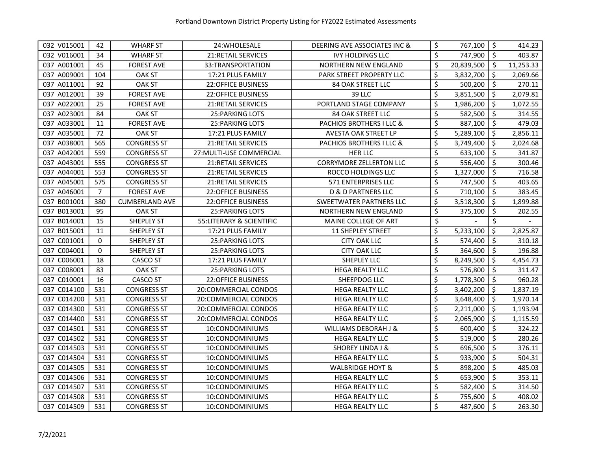| 032 V015001 | 42             | <b>WHARF ST</b>       | 24: WHOLESALE             | DEERING AVE ASSOCIATES INC &   | \$<br>767,100    | \$                  | 414.23    |
|-------------|----------------|-----------------------|---------------------------|--------------------------------|------------------|---------------------|-----------|
| 032 V016001 | 34             | <b>WHARF ST</b>       | <b>21:RETAIL SERVICES</b> | <b>IVY HOLDINGS LLC</b>        | \$<br>747,900    | \$                  | 403.87    |
| 037 A001001 | 45             | <b>FOREST AVE</b>     | 33:TRANSPORTATION         | NORTHERN NEW ENGLAND           | \$<br>20,839,500 | \$                  | 11,253.33 |
| 037 A009001 | 104            | OAK ST                | 17:21 PLUS FAMILY         | PARK STREET PROPERTY LLC       | \$<br>3,832,700  | $\ddot{\mathsf{S}}$ | 2,069.66  |
| 037 A011001 | 92             | <b>OAK ST</b>         | <b>22:OFFICE BUSINESS</b> | 84 OAK STREET LLC              | \$<br>500,200    | \$                  | 270.11    |
| 037 A012001 | 39             | <b>FOREST AVE</b>     | <b>22:OFFICE BUSINESS</b> | 39 LLC                         | \$<br>3,851,500  | \$                  | 2,079.81  |
| 037 A022001 | 25             | <b>FOREST AVE</b>     | 21: RETAIL SERVICES       | PORTLAND STAGE COMPANY         | \$<br>1,986,200  | \$                  | 1,072.55  |
| 037 A023001 | 84             | <b>OAK ST</b>         | <b>25: PARKING LOTS</b>   | <b>84 OAK STREET LLC</b>       | \$<br>582,500    | \$                  | 314.55    |
| 037 A033001 | 11             | <b>FOREST AVE</b>     | <b>25: PARKING LOTS</b>   | PACHIOS BROTHERS I LLC &       | \$<br>887,100    | \$                  | 479.03    |
| 037 A035001 | 72             | <b>OAK ST</b>         | 17:21 PLUS FAMILY         | AVESTA OAK STREET LP           | \$<br>5,289,100  | \$                  | 2,856.11  |
| 037 A038001 | 565            | <b>CONGRESS ST</b>    | <b>21:RETAIL SERVICES</b> | PACHIOS BROTHERS I LLC &       | \$<br>3,749,400  | \$                  | 2,024.68  |
| 037 A042001 | 559            | <b>CONGRESS ST</b>    | 27: MULTI-USE COMMERCIAL  | <b>HER LLC</b>                 | \$<br>633,100    | \$                  | 341.87    |
| 037 A043001 | 555            | <b>CONGRESS ST</b>    | <b>21:RETAIL SERVICES</b> | <b>CORRYMORE ZELLERTON LLC</b> | \$<br>556,400    | $\zeta$             | 300.46    |
| 037 A044001 | 553            | <b>CONGRESS ST</b>    | 21:RETAIL SERVICES        | ROCCO HOLDINGS LLC             | \$<br>1,327,000  | \$                  | 716.58    |
| 037 A045001 | 575            | <b>CONGRESS ST</b>    | <b>21:RETAIL SERVICES</b> | 571 ENTERPRISES LLC            | \$<br>747,500    | $\zeta$             | 403.65    |
| 037 A046001 | $\overline{7}$ | <b>FOREST AVE</b>     | <b>22:OFFICE BUSINESS</b> | <b>D &amp; D PARTNERS LLC</b>  | \$<br>710,100    | \$                  | 383.45    |
| 037 B001001 | 380            | <b>CUMBERLAND AVE</b> | <b>22:OFFICE BUSINESS</b> | SWEETWATER PARTNERS LLC        | \$<br>3,518,300  | \$                  | 1,899.88  |
| 037 B013001 | 95             | <b>OAK ST</b>         | 25: PARKING LOTS          | NORTHERN NEW ENGLAND           | \$<br>375,100    | \$                  | 202.55    |
| 037 B014001 | 15             | <b>SHEPLEY ST</b>     | 55: LITERARY & SCIENTIFIC | MAINE COLLEGE OF ART           | \$               | \$                  |           |
| 037 B015001 | 11             | SHEPLEY ST            | 17:21 PLUS FAMILY         | <b>11 SHEPLEY STREET</b>       | \$<br>5,233,100  | \$                  | 2,825.87  |
| 037 C001001 | 0              | <b>SHEPLEY ST</b>     | <b>25: PARKING LOTS</b>   | <b>CITY OAK LLC</b>            | \$<br>574,400    | \$                  | 310.18    |
| 037 C004001 | 0              | SHEPLEY ST            | 25: PARKING LOTS          | <b>CITY OAK LLC</b>            | \$<br>364,600    | \$                  | 196.88    |
| 037 C006001 | 18             | CASCO ST              | 17:21 PLUS FAMILY         | SHEPLEY LLC                    | \$<br>8,249,500  | \$                  | 4,454.73  |
| 037 C008001 | 83             | OAK ST                | 25: PARKING LOTS          | <b>HEGA REALTY LLC</b>         | \$<br>576,800    | \$                  | 311.47    |
| 037 C010001 | 16             | <b>CASCO ST</b>       | <b>22:OFFICE BUSINESS</b> | SHEEPDOG LLC                   | \$<br>1,778,300  | $\zeta$             | 960.28    |
| 037 C014100 | 531            | <b>CONGRESS ST</b>    | 20:COMMERCIAL CONDOS      | <b>HEGA REALTY LLC</b>         | \$<br>3,402,200  | \$                  | 1,837.19  |
| 037 C014200 | 531            | <b>CONGRESS ST</b>    | 20:COMMERCIAL CONDOS      | <b>HEGA REALTY LLC</b>         | \$<br>3,648,400  | $\zeta$             | 1,970.14  |
| 037 C014300 | 531            | <b>CONGRESS ST</b>    | 20:COMMERCIAL CONDOS      | HEGA REALTY LLC                | \$<br>2,211,000  | $\zeta$             | 1,193.94  |
| 037 C014400 | 531            | <b>CONGRESS ST</b>    | 20:COMMERCIAL CONDOS      | <b>HEGA REALTY LLC</b>         | \$<br>2,065,900  | \$                  | 1,115.59  |
| 037 C014501 | 531            | <b>CONGRESS ST</b>    | 10:CONDOMINIUMS           | WILLIAMS DEBORAH J &           | \$<br>600,400    | \$                  | 324.22    |
| 037 C014502 | 531            | <b>CONGRESS ST</b>    | 10:CONDOMINIUMS           | <b>HEGA REALTY LLC</b>         | \$<br>519,000    | \$                  | 280.26    |
| 037 C014503 | 531            | <b>CONGRESS ST</b>    | 10:CONDOMINIUMS           | <b>SHOREY LINDA J &amp;</b>    | \$<br>696,500    | \$                  | 376.11    |
| 037 C014504 | 531            | <b>CONGRESS ST</b>    | 10:CONDOMINIUMS           | <b>HEGA REALTY LLC</b>         | \$<br>933,900    | \$                  | 504.31    |
| 037 C014505 | 531            | <b>CONGRESS ST</b>    | 10:CONDOMINIUMS           | WALBRIDGE HOYT &               | \$<br>898,200    | \$                  | 485.03    |
| 037 C014506 | 531            | <b>CONGRESS ST</b>    | 10:CONDOMINIUMS           | <b>HEGA REALTY LLC</b>         | \$<br>653,900    | \$                  | 353.11    |
| 037 C014507 | 531            | <b>CONGRESS ST</b>    | 10:CONDOMINIUMS           | <b>HEGA REALTY LLC</b>         | \$<br>582,400    | $\zeta$             | 314.50    |
| 037 C014508 | 531            | <b>CONGRESS ST</b>    | 10:CONDOMINIUMS           | HEGA REALTY LLC                | \$<br>755,600    | $\zeta$             | 408.02    |
| 037 C014509 | 531            | <b>CONGRESS ST</b>    | 10:CONDOMINIUMS           | <b>HEGA REALTY LLC</b>         | \$<br>487,600    | $\zeta$             | 263.30    |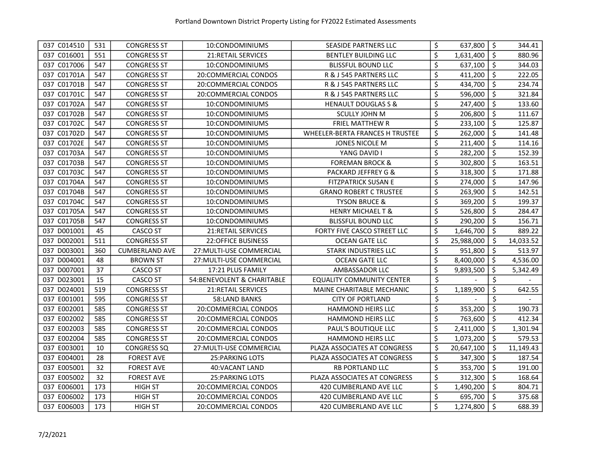| 037 C014510    | 531 | <b>CONGRESS ST</b>    | 10:CONDOMINIUMS             | SEASIDE PARTNERS LLC             | \$                              | 637,800    | \$                  | 344.41    |
|----------------|-----|-----------------------|-----------------------------|----------------------------------|---------------------------------|------------|---------------------|-----------|
| 037 C016001    | 551 | <b>CONGRESS ST</b>    | <b>21:RETAIL SERVICES</b>   | <b>BENTLEY BUILDING LLC</b>      | \$                              | 1,631,400  | $\ddot{\mathsf{s}}$ | 880.96    |
| 037 C017006    | 547 | <b>CONGRESS ST</b>    | 10:CONDOMINIUMS             | <b>BLISSFUL BOUND LLC</b>        | \$                              | 637,100    | $\ddot{\mathsf{s}}$ | 344.03    |
| 037 C01701A    | 547 | <b>CONGRESS ST</b>    | 20:COMMERCIAL CONDOS        | R & J 545 PARTNERS LLC           | \$                              | 411,200    | \$                  | 222.05    |
| 037 C01701B    | 547 | <b>CONGRESS ST</b>    | 20:COMMERCIAL CONDOS        | R & J 545 PARTNERS LLC           | \$                              | 434,700    | \$                  | 234.74    |
| 037 C01701C    | 547 | <b>CONGRESS ST</b>    | 20:COMMERCIAL CONDOS        | R & J 545 PARTNERS LLC           | \$                              | 596,000    | \$                  | 321.84    |
| 037 C01702A    | 547 | <b>CONGRESS ST</b>    | 10:CONDOMINIUMS             | <b>HENAULT DOUGLAS S &amp;</b>   | \$                              | 247,400    | \$                  | 133.60    |
| 037 C01702B    | 547 | <b>CONGRESS ST</b>    | 10:CONDOMINIUMS             | <b>SCULLY JOHN M</b>             | \$                              | 206,800    | \$                  | 111.67    |
| 037 C01702C    | 547 | <b>CONGRESS ST</b>    | 10:CONDOMINIUMS             | <b>FRIEL MATTHEW R</b>           | \$                              | 233,100    | \$                  | 125.87    |
| 037 C01702D    | 547 | <b>CONGRESS ST</b>    | 10:CONDOMINIUMS             | WHEELER-BERTA FRANCES H TRUSTEE  | \$                              | 262,000    | $\zeta$             | 141.48    |
| 037 C01702E    | 547 | <b>CONGRESS ST</b>    | 10:CONDOMINIUMS             | JONES NICOLE M                   | \$                              | 211,400    | $\zeta$             | 114.16    |
| 037 C01703A    | 547 | <b>CONGRESS ST</b>    | 10:CONDOMINIUMS             | YANG DAVID I                     | $\overline{\boldsymbol{\zeta}}$ | 282,200    | \$                  | 152.39    |
| 037 C01703B    | 547 | <b>CONGRESS ST</b>    | 10:CONDOMINIUMS             | <b>FOREMAN BROCK &amp;</b>       | \$                              | 302,800    | $\zeta$             | 163.51    |
| 037 C01703C    | 547 | <b>CONGRESS ST</b>    | 10:CONDOMINIUMS             | PACKARD JEFFREY G &              | \$                              | 318,300    | \$                  | 171.88    |
| 037 C01704A    | 547 | <b>CONGRESS ST</b>    | 10:CONDOMINIUMS             | <b>FITZPATRICK SUSAN E</b>       | \$                              | 274,000    | $\zeta$             | 147.96    |
| 037 C01704B    | 547 | <b>CONGRESS ST</b>    | 10:CONDOMINIUMS             | <b>GRANO ROBERT C TRUSTEE</b>    | \$                              | 263,900    | \$                  | 142.51    |
| 037 C01704C    | 547 | <b>CONGRESS ST</b>    | 10:CONDOMINIUMS             | <b>TYSON BRUCE &amp;</b>         | \$                              | 369,200    | \$                  | 199.37    |
| 037 C01705A    | 547 | <b>CONGRESS ST</b>    | 10:CONDOMINIUMS             | <b>HENRY MICHAEL T &amp;</b>     | \$                              | 526,800    | \$                  | 284.47    |
| 037 C01705B    | 547 | <b>CONGRESS ST</b>    | 10:CONDOMINIUMS             | <b>BLISSFUL BOUND LLC</b>        | \$                              | 290,200    | \$                  | 156.71    |
| 037 D001001    | 45  | <b>CASCO ST</b>       | <b>21:RETAIL SERVICES</b>   | FORTY FIVE CASCO STREET LLC      | \$                              | 1,646,700  | \$                  | 889.22    |
| 037 D002001    | 511 | <b>CONGRESS ST</b>    | <b>22:OFFICE BUSINESS</b>   | OCEAN GATE LLC                   | \$                              | 25,988,000 | \$                  | 14,033.52 |
| D003001<br>037 | 360 | <b>CUMBERLAND AVE</b> | 27: MULTI-USE COMMERCIAL    | STARK INDUSTRIES LLC             | \$                              | 951,800    | \$                  | 513.97    |
| 037 D004001    | 48  | <b>BROWN ST</b>       | 27: MULTI-USE COMMERCIAL    | OCEAN GATE LLC                   | \$                              | 8,400,000  | \$                  | 4,536.00  |
| 037 D007001    | 37  | CASCO ST              | 17:21 PLUS FAMILY           | AMBASSADOR LLC                   | \$                              | 9,893,500  | \$                  | 5,342.49  |
| 037 D023001    | 15  | <b>CASCO ST</b>       | 54: BENEVOLENT & CHARITABLE | <b>EQUALITY COMMUNITY CENTER</b> | \$                              |            | \$                  |           |
| 037 D024001    | 519 | <b>CONGRESS ST</b>    | 21: RETAIL SERVICES         | MAINE CHARITABLE MECHANIC        | \$                              | 1,189,900  | \$                  | 642.55    |
| 037 E001001    | 595 | <b>CONGRESS ST</b>    | 58:LAND BANKS               | <b>CITY OF PORTLAND</b>          | $\zeta$                         |            | \$                  |           |
| 037 E002001    | 585 | <b>CONGRESS ST</b>    | 20:COMMERCIAL CONDOS        | <b>HAMMOND HEIRS LLC</b>         | \$                              | 353,200    | $\zeta$             | 190.73    |
| 037 E002002    | 585 | <b>CONGRESS ST</b>    | 20:COMMERCIAL CONDOS        | <b>HAMMOND HEIRS LLC</b>         | \$                              | 763,600    | $\zeta$             | 412.34    |
| 037 E002003    | 585 | <b>CONGRESS ST</b>    | 20:COMMERCIAL CONDOS        | PAUL'S BOUTIQUE LLC              | \$                              | 2,411,000  | \$                  | 1,301.94  |
| 037 E002004    | 585 | <b>CONGRESS ST</b>    | 20:COMMERCIAL CONDOS        | <b>HAMMOND HEIRS LLC</b>         | \$                              | 1,073,200  | \$                  | 579.53    |
| 037 E003001    | 10  | <b>CONGRESS SQ</b>    | 27: MULTI-USE COMMERCIAL    | PLAZA ASSOCIATES AT CONGRESS     | \$                              | 20,647,100 | \$                  | 11,149.43 |
| 037 E004001    | 28  | <b>FOREST AVE</b>     | 25: PARKING LOTS            | PLAZA ASSOCIATES AT CONGRESS     | \$                              | 347,300    | \$                  | 187.54    |
| 037 E005001    | 32  | <b>FOREST AVE</b>     | 40: VACANT LAND             | RB PORTLAND LLC                  | \$                              | 353,700    | \$                  | 191.00    |
| 037 E005002    | 32  | <b>FOREST AVE</b>     | 25: PARKING LOTS            | PLAZA ASSOCIATES AT CONGRESS     | \$                              | 312,300    | \$                  | 168.64    |
| 037 E006001    | 173 | <b>HIGH ST</b>        | 20:COMMERCIAL CONDOS        | 420 CUMBERLAND AVE LLC           | \$                              | 1,490,200  | \$                  | 804.71    |
| 037 E006002    | 173 | <b>HIGH ST</b>        | 20:COMMERCIAL CONDOS        | 420 CUMBERLAND AVE LLC           | \$                              | 695,700    | $\zeta$             | 375.68    |
| 037 E006003    | 173 | <b>HIGH ST</b>        | 20:COMMERCIAL CONDOS        | 420 CUMBERLAND AVE LLC           | \$                              | 1,274,800  | $\ddot{\mathsf{s}}$ | 688.39    |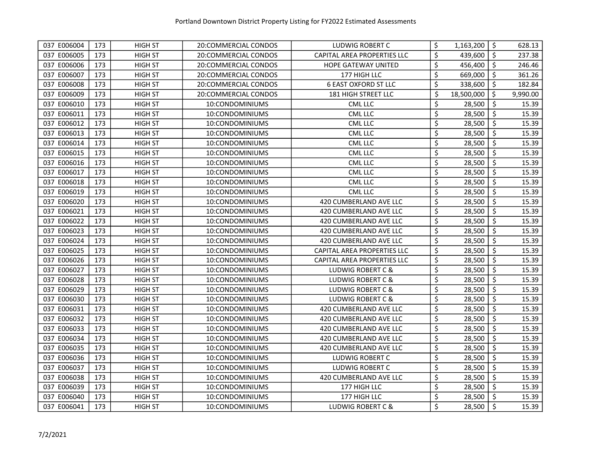| 037 E006004 | 173 | HIGH ST        | 20:COMMERCIAL CONDOS | LUDWIG ROBERT C              | \$<br>1,163,200  | \$                  | 628.13   |
|-------------|-----|----------------|----------------------|------------------------------|------------------|---------------------|----------|
| 037 E006005 | 173 | <b>HIGH ST</b> | 20:COMMERCIAL CONDOS | CAPITAL AREA PROPERTIES LLC  | \$<br>439,600    | $\ddot{\mathsf{s}}$ | 237.38   |
| 037 E006006 | 173 | <b>HIGH ST</b> | 20:COMMERCIAL CONDOS | <b>HOPE GATEWAY UNITED</b>   | \$<br>456,400    | $\zeta$             | 246.46   |
| 037 E006007 | 173 | <b>HIGH ST</b> | 20:COMMERCIAL CONDOS | 177 HIGH LLC                 | \$<br>669,000    | \$                  | 361.26   |
| 037 E006008 | 173 | <b>HIGH ST</b> | 20:COMMERCIAL CONDOS | <b>6 EAST OXFORD ST LLC</b>  | \$<br>338,600    | $\zeta$             | 182.84   |
| 037 E006009 | 173 | <b>HIGH ST</b> | 20:COMMERCIAL CONDOS | <b>181 HIGH STREET LLC</b>   | \$<br>18,500,000 | \$                  | 9,990.00 |
| 037 E006010 | 173 | <b>HIGH ST</b> | 10:CONDOMINIUMS      | <b>CML LLC</b>               | \$<br>28,500     | \$                  | 15.39    |
| 037 E006011 | 173 | <b>HIGH ST</b> | 10:CONDOMINIUMS      | <b>CML LLC</b>               | \$<br>28,500     | $\zeta$             | 15.39    |
| 037 E006012 | 173 | <b>HIGH ST</b> | 10:CONDOMINIUMS      | <b>CML LLC</b>               | \$<br>28,500     | $\zeta$             | 15.39    |
| 037 E006013 | 173 | <b>HIGH ST</b> | 10:CONDOMINIUMS      | <b>CML LLC</b>               | \$<br>28,500     | $\zeta$             | 15.39    |
| 037 E006014 | 173 | <b>HIGH ST</b> | 10:CONDOMINIUMS      | <b>CML LLC</b>               | \$<br>28,500     | $\zeta$             | 15.39    |
| 037 E006015 | 173 | <b>HIGH ST</b> | 10:CONDOMINIUMS      | <b>CML LLC</b>               | \$<br>28,500     | $\zeta$             | 15.39    |
| 037 E006016 | 173 | <b>HIGH ST</b> | 10:CONDOMINIUMS      | <b>CML LLC</b>               | \$<br>28,500     | \$                  | 15.39    |
| 037 E006017 | 173 | <b>HIGH ST</b> | 10:CONDOMINIUMS      | <b>CML LLC</b>               | \$<br>28,500     | $\zeta$             | 15.39    |
| 037 E006018 | 173 | <b>HIGH ST</b> | 10:CONDOMINIUMS      | <b>CML LLC</b>               | \$<br>28,500     | \$                  | 15.39    |
| 037 E006019 | 173 | <b>HIGH ST</b> | 10:CONDOMINIUMS      | <b>CML LLC</b>               | \$<br>28,500     | $\zeta$             | 15.39    |
| 037 E006020 | 173 | <b>HIGH ST</b> | 10:CONDOMINIUMS      | 420 CUMBERLAND AVE LLC       | \$<br>28,500     | \$                  | 15.39    |
| 037 E006021 | 173 | <b>HIGH ST</b> | 10:CONDOMINIUMS      | 420 CUMBERLAND AVE LLC       | \$<br>28,500     | \$                  | 15.39    |
| 037 E006022 | 173 | <b>HIGH ST</b> | 10:CONDOMINIUMS      | 420 CUMBERLAND AVE LLC       | \$<br>28,500     | \$                  | 15.39    |
| 037 E006023 | 173 | <b>HIGH ST</b> | 10:CONDOMINIUMS      | 420 CUMBERLAND AVE LLC       | \$<br>28,500     | \$                  | 15.39    |
| 037 E006024 | 173 | <b>HIGH ST</b> | 10:CONDOMINIUMS      | 420 CUMBERLAND AVE LLC       | \$<br>28,500     | \$                  | 15.39    |
| 037 E006025 | 173 | <b>HIGH ST</b> | 10:CONDOMINIUMS      | CAPITAL AREA PROPERTIES LLC  | \$<br>28,500     | \$                  | 15.39    |
| 037 E006026 | 173 | <b>HIGH ST</b> | 10:CONDOMINIUMS      | CAPITAL AREA PROPERTIES LLC  | \$<br>28,500     | \$                  | 15.39    |
| 037 E006027 | 173 | <b>HIGH ST</b> | 10:CONDOMINIUMS      | <b>LUDWIG ROBERT C &amp;</b> | \$<br>28,500     | \$                  | 15.39    |
| 037 E006028 | 173 | <b>HIGH ST</b> | 10:CONDOMINIUMS      | LUDWIG ROBERT C &            | \$<br>28,500     | \$                  | 15.39    |
| 037 E006029 | 173 | <b>HIGH ST</b> | 10:CONDOMINIUMS      | LUDWIG ROBERT C &            | \$<br>28,500     | $\zeta$             | 15.39    |
| 037 E006030 | 173 | <b>HIGH ST</b> | 10:CONDOMINIUMS      | LUDWIG ROBERT C &            | \$<br>28,500     | $\zeta$             | 15.39    |
| 037 E006031 | 173 | <b>HIGH ST</b> | 10:CONDOMINIUMS      | 420 CUMBERLAND AVE LLC       | \$<br>28,500     | $\zeta$             | 15.39    |
| 037 E006032 | 173 | <b>HIGH ST</b> | 10:CONDOMINIUMS      | 420 CUMBERLAND AVE LLC       | \$<br>28,500     | $\zeta$             | 15.39    |
| 037 E006033 | 173 | <b>HIGH ST</b> | 10:CONDOMINIUMS      | 420 CUMBERLAND AVE LLC       | \$<br>28,500     | $\zeta$             | 15.39    |
| 037 E006034 | 173 | <b>HIGH ST</b> | 10:CONDOMINIUMS      | 420 CUMBERLAND AVE LLC       | \$<br>28,500     | \$                  | 15.39    |
| 037 E006035 | 173 | <b>HIGH ST</b> | 10:CONDOMINIUMS      | 420 CUMBERLAND AVE LLC       | \$<br>28,500     | \$                  | 15.39    |
| 037 E006036 | 173 | <b>HIGH ST</b> | 10:CONDOMINIUMS      | LUDWIG ROBERT C              | \$<br>28,500     | \$                  | 15.39    |
| 037 E006037 | 173 | <b>HIGH ST</b> | 10:CONDOMINIUMS      | LUDWIG ROBERT C              | \$<br>28,500     | \$                  | 15.39    |
| 037 E006038 | 173 | <b>HIGH ST</b> | 10:CONDOMINIUMS      | 420 CUMBERLAND AVE LLC       | \$<br>28,500     | $\zeta$             | 15.39    |
| 037 E006039 | 173 | <b>HIGH ST</b> | 10:CONDOMINIUMS      | 177 HIGH LLC                 | \$<br>28,500     | $\zeta$             | 15.39    |
| 037 E006040 | 173 | <b>HIGH ST</b> | 10:CONDOMINIUMS      | 177 HIGH LLC                 | \$<br>28,500     | $\zeta$             | 15.39    |
| 037 E006041 | 173 | <b>HIGH ST</b> | 10:CONDOMINIUMS      | LUDWIG ROBERT C &            | \$<br>28,500     | $\zeta$             | 15.39    |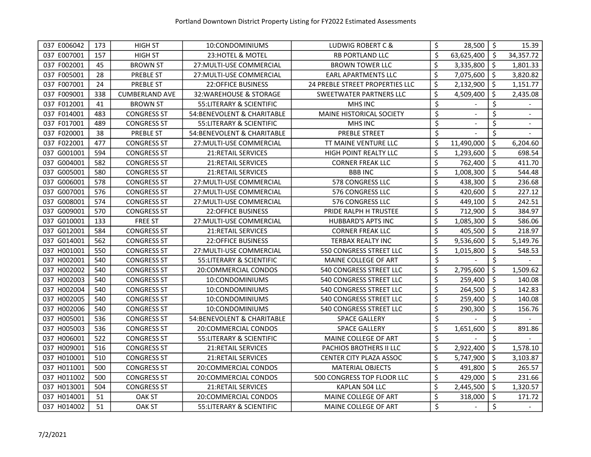| 037 E006042 | 173 | <b>HIGH ST</b>        | 10:CONDOMINIUMS             | LUDWIG ROBERT C &               | \$                              | 28,500     | $\ddot{\mathsf{S}}$ | 15.39     |
|-------------|-----|-----------------------|-----------------------------|---------------------------------|---------------------------------|------------|---------------------|-----------|
| 037 E007001 | 157 | <b>HIGH ST</b>        | 23: HOTEL & MOTEL           | <b>RB PORTLAND LLC</b>          | \$                              | 63,625,400 | -\$                 | 34,357.72 |
| 037 F002001 | 45  | <b>BROWN ST</b>       | 27: MULTI-USE COMMERCIAL    | <b>BROWN TOWER LLC</b>          | \$                              | 3,335,800  | $\zeta$             | 1,801.33  |
| 037 F005001 | 28  | <b>PREBLE ST</b>      | 27: MULTI-USE COMMERCIAL    | <b>EARL APARTMENTS LLC</b>      | \$                              | 7,075,600  | $\ddot{\mathsf{S}}$ | 3,820.82  |
| 037 F007001 | 24  | PREBLE ST             | <b>22:OFFICE BUSINESS</b>   | 24 PREBLE STREET PROPERTIES LLC | \$                              | 2,132,900  | \$                  | 1,151.77  |
| 037 F009001 | 338 | <b>CUMBERLAND AVE</b> | 32: WAREHOUSE & STORAGE     | SWEETWATER PARTNERS LLC         | \$                              | 4,509,400  | \$                  | 2,435.08  |
| 037 F012001 | 41  | <b>BROWN ST</b>       | 55: LITERARY & SCIENTIFIC   | MHS INC                         | \$                              |            | \$                  |           |
| 037 F014001 | 483 | <b>CONGRESS ST</b>    | 54: BENEVOLENT & CHARITABLE | <b>MAINE HISTORICAL SOCIETY</b> | \$                              |            | \$                  |           |
| 037 F017001 | 489 | <b>CONGRESS ST</b>    | 55: LITERARY & SCIENTIFIC   | MHS INC                         | \$                              |            | \$                  |           |
| 037 F020001 | 38  | PREBLE ST             | 54: BENEVOLENT & CHARITABLE | <b>PREBLE STREET</b>            | $\overline{\boldsymbol{\zeta}}$ |            | \$                  |           |
| 037 F022001 | 477 | <b>CONGRESS ST</b>    | 27: MULTI-USE COMMERCIAL    | TT MAINE VENTURE LLC            | \$                              | 11,490,000 | \$                  | 6,204.60  |
| 037 G001001 | 594 | <b>CONGRESS ST</b>    | 21:RETAIL SERVICES          | HIGH POINT REALTY LLC           | \$                              | 1,293,600  | $\zeta$             | 698.54    |
| 037 G004001 | 582 | <b>CONGRESS ST</b>    | 21:RETAIL SERVICES          | <b>CORNER FREAK LLC</b>         | \$                              | 762,400    | $\zeta$             | 411.70    |
| 037 G005001 | 580 | <b>CONGRESS ST</b>    | <b>21:RETAIL SERVICES</b>   | <b>BBBINC</b>                   | \$                              | 1,008,300  | \$                  | 544.48    |
| 037 G006001 | 578 | <b>CONGRESS ST</b>    | 27: MULTI-USE COMMERCIAL    | 578 CONGRESS LLC                | \$                              | 438,300    | $\zeta$             | 236.68    |
| 037 G007001 | 576 | <b>CONGRESS ST</b>    | 27: MULTI-USE COMMERCIAL    | 576 CONGRESS LLC                | \$                              | 420,600    | \$                  | 227.12    |
| 037 G008001 | 574 | <b>CONGRESS ST</b>    | 27: MULTI-USE COMMERCIAL    | 576 CONGRESS LLC                | \$                              | 449,100    | \$                  | 242.51    |
| 037 G009001 | 570 | <b>CONGRESS ST</b>    | 22:OFFICE BUSINESS          | PRIDE RALPH H TRUSTEE           | \$                              | 712,900    | \$                  | 384.97    |
| 037 G010001 | 133 | <b>FREE ST</b>        | 27: MULTI-USE COMMERCIAL    | <b>HUBBARD'S APTS INC</b>       | \$                              | 1,085,300  | \$                  | 586.06    |
| 037 G012001 | 584 | <b>CONGRESS ST</b>    | <b>21:RETAIL SERVICES</b>   | <b>CORNER FREAK LLC</b>         | \$                              | 405,500    | \$                  | 218.97    |
| 037 G014001 | 562 | <b>CONGRESS ST</b>    | <b>22:OFFICE BUSINESS</b>   | <b>TERBAX REALTY INC</b>        | \$                              | 9,536,600  | \$                  | 5,149.76  |
| 037 H001001 | 550 | <b>CONGRESS ST</b>    | 27: MULTI-USE COMMERCIAL    | 550 CONGRESS STREET LLC         | \$                              | 1,015,800  | \$                  | 548.53    |
| 037 H002001 | 540 | <b>CONGRESS ST</b>    | 55: LITERARY & SCIENTIFIC   | MAINE COLLEGE OF ART            | \$                              |            | \$                  |           |
| 037 H002002 | 540 | <b>CONGRESS ST</b>    | 20:COMMERCIAL CONDOS        | 540 CONGRESS STREET LLC         | \$                              | 2,795,600  | $\zeta$             | 1,509.62  |
| 037 H002003 | 540 | <b>CONGRESS ST</b>    | 10:CONDOMINIUMS             | 540 CONGRESS STREET LLC         | \$                              | 259,400    | \$                  | 140.08    |
| 037 H002004 | 540 | <b>CONGRESS ST</b>    | 10:CONDOMINIUMS             | 540 CONGRESS STREET LLC         | \$                              | 264,500    | \$                  | 142.83    |
| 037 H002005 | 540 | <b>CONGRESS ST</b>    | 10:CONDOMINIUMS             | 540 CONGRESS STREET LLC         | \$                              | 259,400    | $\zeta$             | 140.08    |
| 037 H002006 | 540 | <b>CONGRESS ST</b>    | 10:CONDOMINIUMS             | <b>540 CONGRESS STREET LLC</b>  | \$                              | 290,300    | $\zeta$             | 156.76    |
| 037 H005001 | 536 | <b>CONGRESS ST</b>    | 54: BENEVOLENT & CHARITABLE | <b>SPACE GALLERY</b>            | \$                              |            | \$                  |           |
| 037 H005003 | 536 | <b>CONGRESS ST</b>    | 20:COMMERCIAL CONDOS        | <b>SPACE GALLERY</b>            | \$                              | 1,651,600  | \$                  | 891.86    |
| 037 H006001 | 522 | <b>CONGRESS ST</b>    | 55: LITERARY & SCIENTIFIC   | MAINE COLLEGE OF ART            | \$                              |            | \$                  |           |
| 037 H009001 | 516 | <b>CONGRESS ST</b>    | 21: RETAIL SERVICES         | PACHIOS BROTHERS II LLC         | \$                              | 2,922,400  | \$                  | 1,578.10  |
| 037 H010001 | 510 | <b>CONGRESS ST</b>    | <b>21:RETAIL SERVICES</b>   | CENTER CITY PLAZA ASSOC         | \$                              | 5,747,900  | \$                  | 3,103.87  |
| 037 H011001 | 500 | <b>CONGRESS ST</b>    | 20:COMMERCIAL CONDOS        | <b>MATERIAL OBJECTS</b>         | \$                              | 491,800    | \$                  | 265.57    |
| 037 H011002 | 500 | <b>CONGRESS ST</b>    | 20:COMMERCIAL CONDOS        | 500 CONGRESS TOP FLOOR LLC      | \$                              | 429,000    | \$                  | 231.66    |
| 037 H013001 | 504 | <b>CONGRESS ST</b>    | <b>21:RETAIL SERVICES</b>   | KAPLAN 504 LLC                  | \$                              | 2,445,500  | $\zeta$             | 1,320.57  |
| 037 H014001 | 51  | <b>OAK ST</b>         | 20:COMMERCIAL CONDOS        | MAINE COLLEGE OF ART            | \$                              | 318,000    | $\zeta$             | 171.72    |
| 037 H014002 | 51  | <b>OAK ST</b>         | 55:LITERARY & SCIENTIFIC    | MAINE COLLEGE OF ART            | \$                              |            | \$                  |           |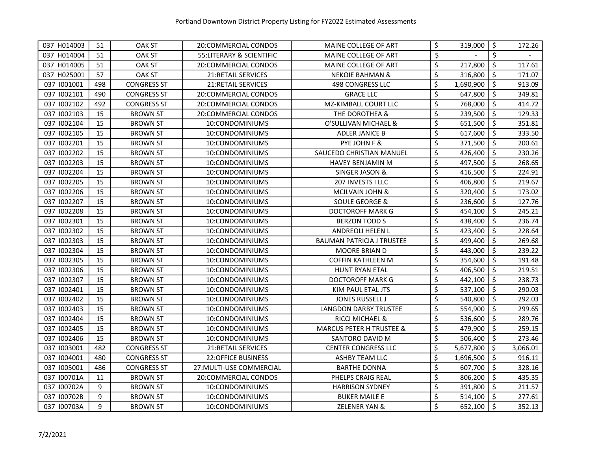| 037 H014003 | 51  | OAK ST             | 20:COMMERCIAL CONDOS      | MAINE COLLEGE OF ART                | \$      | 319,000   | \$      | 172.26   |
|-------------|-----|--------------------|---------------------------|-------------------------------------|---------|-----------|---------|----------|
| 037 H014004 | 51  | <b>OAK ST</b>      | 55:LITERARY & SCIENTIFIC  | MAINE COLLEGE OF ART                | \$      |           | \$      |          |
| 037 H014005 | 51  | <b>OAK ST</b>      | 20:COMMERCIAL CONDOS      | MAINE COLLEGE OF ART                | \$      | 217,800   | \$      | 117.61   |
| 037 H025001 | 57  | <b>OAK ST</b>      | <b>21:RETAIL SERVICES</b> | <b>NEKOIE BAHMAN &amp;</b>          | \$      | 316,800   | \$      | 171.07   |
| 037 1001001 | 498 | <b>CONGRESS ST</b> | <b>21:RETAIL SERVICES</b> | <b>498 CONGRESS LLC</b>             | \$      | 1,690,900 | \$      | 913.09   |
| 037 1002101 | 490 | <b>CONGRESS ST</b> | 20:COMMERCIAL CONDOS      | <b>GRACE LLC</b>                    | \$      | 647,800   | \$      | 349.81   |
| 037 1002102 | 492 | <b>CONGRESS ST</b> | 20:COMMERCIAL CONDOS      | MZ-KIMBALL COURT LLC                | \$      | 768,000   | \$      | 414.72   |
| 037 1002103 | 15  | <b>BROWN ST</b>    | 20:COMMERCIAL CONDOS      | THE DOROTHEA &                      | \$      | 239,500   | \$      | 129.33   |
| 037 1002104 | 15  | <b>BROWN ST</b>    | 10:CONDOMINIUMS           | O'SULLIVAN MICHAEL &                | \$      | 651,500   | $\zeta$ | 351.81   |
| 037 1002105 | 15  | <b>BROWN ST</b>    | 10:CONDOMINIUMS           | ADLER JANICE B                      | \$      | 617,600   | \$      | 333.50   |
| 037 1002201 | 15  | <b>BROWN ST</b>    | 10:CONDOMINIUMS           | PYE JOHN F &                        | \$      | 371,500   | \$      | 200.61   |
| 037 1002202 | 15  | <b>BROWN ST</b>    | 10:CONDOMINIUMS           | SAUCEDO CHRISTIAN MANUEL            | \$      | 426,400   | \$      | 230.26   |
| 037 1002203 | 15  | <b>BROWN ST</b>    | 10:CONDOMINIUMS           | HAVEY BENJAMIN M                    | \$      | 497,500   | $\zeta$ | 268.65   |
| 037 1002204 | 15  | <b>BROWN ST</b>    | 10:CONDOMINIUMS           | <b>SINGER JASON &amp;</b>           | \$      | 416,500   | \$      | 224.91   |
| 037 1002205 | 15  | <b>BROWN ST</b>    | 10:CONDOMINIUMS           | 207 INVESTS I LLC                   | \$      | 406,800   | \$      | 219.67   |
| 037 1002206 | 15  | <b>BROWN ST</b>    | 10:CONDOMINIUMS           | MCILVAIN JOHN &                     | \$      | 320,400   | \$      | 173.02   |
| 037 1002207 | 15  | <b>BROWN ST</b>    | 10:CONDOMINIUMS           | <b>SOULE GEORGE &amp;</b>           | \$      | 236,600   | \$      | 127.76   |
| 037 1002208 | 15  | <b>BROWN ST</b>    | 10:CONDOMINIUMS           | DOCTOROFF MARK G                    | \$      | 454,100   | \$      | 245.21   |
| 037 1002301 | 15  | <b>BROWN ST</b>    | 10:CONDOMINIUMS           | <b>BERZON TODD S</b>                | \$      | 438,400   | \$      | 236.74   |
| 037 1002302 | 15  | <b>BROWN ST</b>    | 10:CONDOMINIUMS           | <b>ANDREOLI HELEN L</b>             | \$      | 423,400   | \$      | 228.64   |
| 037 1002303 | 15  | <b>BROWN ST</b>    | 10:CONDOMINIUMS           | <b>BAUMAN PATRICIA J TRUSTEE</b>    | \$      | 499,400   | \$      | 269.68   |
| 037 1002304 | 15  | <b>BROWN ST</b>    | 10:CONDOMINIUMS           | <b>MOORE BRIAN D</b>                | \$      | 443,000   | \$      | 239.22   |
| 037 1002305 | 15  | <b>BROWN ST</b>    | 10:CONDOMINIUMS           | COFFIN KATHLEEN M                   | \$      | 354,600   | \$      | 191.48   |
| 037 1002306 | 15  | <b>BROWN ST</b>    | 10:CONDOMINIUMS           | <b>HUNT RYAN ETAL</b>               | \$      | 406,500   | \$      | 219.51   |
| 037 1002307 | 15  | <b>BROWN ST</b>    | 10:CONDOMINIUMS           | DOCTOROFF MARK G                    | \$      | 442,100   | \$      | 238.73   |
| 037 1002401 | 15  | <b>BROWN ST</b>    | 10:CONDOMINIUMS           | KIM PAUL ETAL JTS                   | \$      | 537,100   | \$      | 290.03   |
| 037 1002402 | 15  | <b>BROWN ST</b>    | 10:CONDOMINIUMS           | JONES RUSSELL J                     | $\zeta$ | 540,800   | $\zeta$ | 292.03   |
| 037 1002403 | 15  | <b>BROWN ST</b>    | 10:CONDOMINIUMS           | <b>LANGDON DARBY TRUSTEE</b>        | \$      | 554,900   | \$      | 299.65   |
| 037 1002404 | 15  | <b>BROWN ST</b>    | 10:CONDOMINIUMS           | <b>RICCI MICHAEL &amp;</b>          | \$      | 536,600   | \$      | 289.76   |
| 037 1002405 | 15  | <b>BROWN ST</b>    | 10:CONDOMINIUMS           | <b>MARCUS PETER H TRUSTEE &amp;</b> | \$      | 479,900   | \$      | 259.15   |
| 037 1002406 | 15  | <b>BROWN ST</b>    | 10:CONDOMINIUMS           | SANTORO DAVID M                     | \$      | 506,400   | \$      | 273.46   |
| 037 1003001 | 482 | <b>CONGRESS ST</b> | 21:RETAIL SERVICES        | <b>CENTER CONGRESS LLC</b>          | \$      | 5,677,800 | \$      | 3,066.01 |
| 037 1004001 | 480 | <b>CONGRESS ST</b> | <b>22:OFFICE BUSINESS</b> | <b>ASHBY TEAM LLC</b>               | \$      | 1,696,500 | \$      | 916.11   |
| 037 1005001 | 486 | <b>CONGRESS ST</b> | 27: MULTI-USE COMMERCIAL  | <b>BARTHE DONNA</b>                 | \$      | 607,700   | \$      | 328.16   |
| 037 100701A | 11  | <b>BROWN ST</b>    | 20:COMMERCIAL CONDOS      | PHELPS CRAIG REAL                   | \$      | 806,200   | \$      | 435.35   |
| 037 I00702A | 9   | <b>BROWN ST</b>    | 10:CONDOMINIUMS           | <b>HARRISON SYDNEY</b>              | \$      | 391,800   | \$      | 211.57   |
| 037 100702B | 9   | <b>BROWN ST</b>    | 10:CONDOMINIUMS           | <b>BUKER MAILE E</b>                | \$      | 514,100   | \$      | 277.61   |
| 037 I00703A | 9   | <b>BROWN ST</b>    | 10:CONDOMINIUMS           | <b>ZELENER YAN &amp;</b>            | \$      | 652,100   | \$      | 352.13   |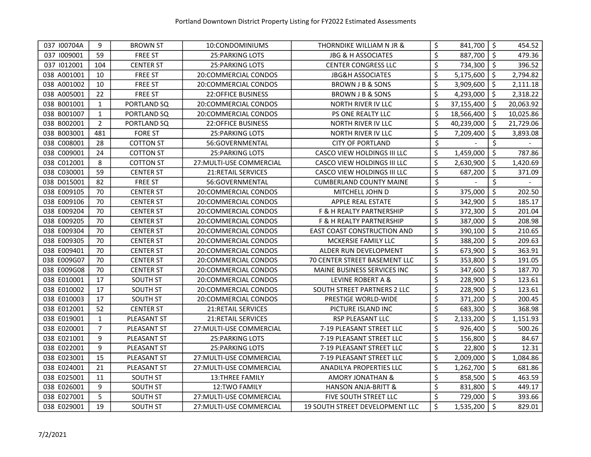| 037 100704A | 9              | <b>BROWN ST</b>  | 10:CONDOMINIUMS           | THORNDIKE WILLIAM N JR &            | \$<br>841,700    | -\$                 | 454.52    |
|-------------|----------------|------------------|---------------------------|-------------------------------------|------------------|---------------------|-----------|
| 037 1009001 | 59             | <b>FREE ST</b>   | <b>25: PARKING LOTS</b>   | <b>JBG &amp; H ASSOCIATES</b>       | \$<br>887,700    | \$                  | 479.36    |
| 037 1012001 | 104            | <b>CENTER ST</b> | <b>25: PARKING LOTS</b>   | <b>CENTER CONGRESS LLC</b>          | \$<br>734,300    | \$                  | 396.52    |
| 038 A001001 | 10             | <b>FREE ST</b>   | 20:COMMERCIAL CONDOS      | <b>JBG&amp;H ASSOCIATES</b>         | \$<br>5,175,600  | \$                  | 2,794.82  |
| 038 A001002 | 10             | <b>FREE ST</b>   | 20:COMMERCIAL CONDOS      | BROWN J B & SONS                    | \$<br>3,909,600  | $\ddot{\mathsf{S}}$ | 2,111.18  |
| 038 A005001 | 22             | <b>FREE ST</b>   | <b>22:OFFICE BUSINESS</b> | BROWN J B & SONS                    | \$<br>4,293,000  | \$                  | 2,318.22  |
| 038 B001001 | $\mathbf{1}$   | PORTLAND SQ      | 20:COMMERCIAL CONDOS      | <b>NORTH RIVER IV LLC</b>           | \$<br>37,155,400 | $\zeta$             | 20,063.92 |
| 038 B001007 | $\mathbf{1}$   | PORTLAND SQ      | 20:COMMERCIAL CONDOS      | PS ONE REALTY LLC                   | \$<br>18,566,400 | $\zeta$             | 10,025.86 |
| 038 B002001 | $\overline{2}$ | PORTLAND SQ      | 22:OFFICE BUSINESS        | NORTH RIVER IV LLC                  | \$<br>40,239,000 | $\zeta$             | 21,729.06 |
| 038 B003001 | 481            | <b>FORE ST</b>   | <b>25: PARKING LOTS</b>   | <b>NORTH RIVER IV LLC</b>           | \$<br>7,209,400  | \$                  | 3,893.08  |
| 038 C008001 | 28             | <b>COTTON ST</b> | 56:GOVERNMENTAL           | <b>CITY OF PORTLAND</b>             | \$               | \$                  |           |
| 038 C009001 | 24             | <b>COTTON ST</b> | <b>25: PARKING LOTS</b>   | CASCO VIEW HOLDINGS III LLC         | \$<br>1,459,000  | \$                  | 787.86    |
| 038 C012001 | 8              | <b>COTTON ST</b> | 27: MULTI-USE COMMERCIAL  | CASCO VIEW HOLDINGS III LLC         | \$<br>2,630,900  | \$                  | 1,420.69  |
| 038 C030001 | 59             | <b>CENTER ST</b> | <b>21:RETAIL SERVICES</b> | CASCO VIEW HOLDINGS III LLC         | \$<br>687,200    | \$                  | 371.09    |
| 038 D015001 | 82             | <b>FREE ST</b>   | 56:GOVERNMENTAL           | <b>CUMBERLAND COUNTY MAINE</b>      | \$               | \$                  |           |
| 038 E009105 | 70             | <b>CENTER ST</b> | 20:COMMERCIAL CONDOS      | MITCHELL JOHN D                     | \$<br>375,000    | \$                  | 202.50    |
| 038 E009106 | 70             | <b>CENTER ST</b> | 20:COMMERCIAL CONDOS      | APPLE REAL ESTATE                   | \$<br>342,900    | \$                  | 185.17    |
| 038 E009204 | 70             | <b>CENTER ST</b> | 20:COMMERCIAL CONDOS      | F & H REALTY PARTNERSHIP            | \$<br>372,300    | \$                  | 201.04    |
| 038 E009205 | 70             | <b>CENTER ST</b> | 20:COMMERCIAL CONDOS      | <b>F &amp; H REALTY PARTNERSHIP</b> | \$<br>387,000    | \$                  | 208.98    |
| 038 E009304 | 70             | <b>CENTER ST</b> | 20:COMMERCIAL CONDOS      | EAST COAST CONSTRUCTION AND         | \$<br>390,100    | \$                  | 210.65    |
| 038 E009305 | 70             | <b>CENTER ST</b> | 20:COMMERCIAL CONDOS      | MCKERSIE FAMILY LLC                 | \$<br>388,200    | \$                  | 209.63    |
| 038 E009401 | 70             | <b>CENTER ST</b> | 20:COMMERCIAL CONDOS      | ALDER RUN DEVELOPMENT               | \$<br>673,900    | \$                  | 363.91    |
| 038 E009G07 | 70             | <b>CENTER ST</b> | 20:COMMERCIAL CONDOS      | 70 CENTER STREET BASEMENT LLC       | \$<br>353,800    | \$                  | 191.05    |
| 038 E009G08 | 70             | <b>CENTER ST</b> | 20:COMMERCIAL CONDOS      | MAINE BUSINESS SERVICES INC         | \$<br>347,600    | \$                  | 187.70    |
| 038 E010001 | 17             | SOUTH ST         | 20:COMMERCIAL CONDOS      | LEVINE ROBERT A &                   | \$<br>228,900    | \$                  | 123.61    |
| 038 E010002 | 17             | <b>SOUTH ST</b>  | 20:COMMERCIAL CONDOS      | SOUTH STREET PARTNERS 2 LLC         | \$<br>228,900    | $\zeta$             | 123.61    |
| 038 E010003 | 17             | SOUTH ST         | 20:COMMERCIAL CONDOS      | PRESTIGE WORLD-WIDE                 | \$<br>371,200    | $\zeta$             | 200.45    |
| 038 E012001 | 52             | <b>CENTER ST</b> | <b>21:RETAIL SERVICES</b> | PICTURE ISLAND INC                  | \$<br>683,300    | \$                  | 368.98    |
| 038 E019001 | $\mathbf{1}$   | PLEASANT ST      | 21: RETAIL SERVICES       | RSP PLEASANT LLC                    | \$<br>2,133,200  | \$                  | 1,151.93  |
| 038 E020001 | 7              | PLEASANT ST      | 27: MULTI-USE COMMERCIAL  | 7-19 PLEASANT STREET LLC            | \$<br>926,400    | \$                  | 500.26    |
| 038 E021001 | 9              | PLEASANT ST      | <b>25: PARKING LOTS</b>   | 7-19 PLEASANT STREET LLC            | \$<br>156,800    | \$                  | 84.67     |
| 038 E022001 | 9              | PLEASANT ST      | <b>25: PARKING LOTS</b>   | 7-19 PLEASANT STREET LLC            | \$<br>22,800     | \$                  | 12.31     |
| 038 E023001 | 15             | PLEASANT ST      | 27: MULTI-USE COMMERCIAL  | 7-19 PLEASANT STREET LLC            | \$<br>2,009,000  | \$                  | 1,084.86  |
| 038 E024001 | 21             | PLEASANT ST      | 27: MULTI-USE COMMERCIAL  | ANADILYA PROPERTIES LLC             | \$<br>1,262,700  | \$                  | 681.86    |
| 038 E025001 | 11             | SOUTH ST         | 13:THREE FAMILY           | AMORY JONATHAN &                    | \$<br>858,500    | \$                  | 463.59    |
| 038 E026001 | 9              | SOUTH ST         | 12:TWO FAMILY             | <b>HANSON ANJA-BRITT &amp;</b>      | \$<br>831,800    | \$                  | 449.17    |
| 038 E027001 | 5              | SOUTH ST         | 27: MULTI-USE COMMERCIAL  | FIVE SOUTH STREET LLC               | \$<br>729,000    | \$                  | 393.66    |
| 038 E029001 | 19             | <b>SOUTH ST</b>  | 27: MULTI-USE COMMERCIAL  | 19 SOUTH STREET DEVELOPMENT LLC     | \$<br>1,535,200  | $\ddot{\mathsf{s}}$ | 829.01    |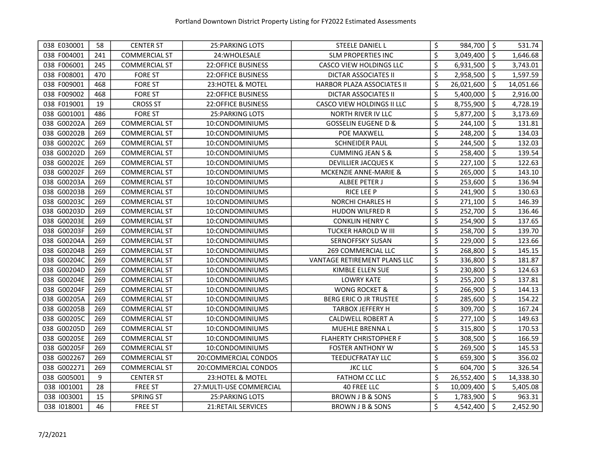| 038 E030001 | 58  | <b>CENTER ST</b>     | <b>25: PARKING LOTS</b>   | STEELE DANIEL L                | \$<br>984,700    | $\zeta$             | 531.74    |
|-------------|-----|----------------------|---------------------------|--------------------------------|------------------|---------------------|-----------|
| 038 F004001 | 241 | <b>COMMERCIAL ST</b> | 24: WHOLESALE             | <b>SLM PROPERTIES INC</b>      | \$<br>3,049,400  | \$                  | 1,646.68  |
| 038 F006001 | 245 | <b>COMMERCIAL ST</b> | <b>22:OFFICE BUSINESS</b> | CASCO VIEW HOLDINGS LLC        | \$<br>6,931,500  | $\ddot{\mathsf{S}}$ | 3,743.01  |
| 038 F008001 | 470 | <b>FORE ST</b>       | <b>22:OFFICE BUSINESS</b> | <b>DICTAR ASSOCIATES II</b>    | \$<br>2,958,500  | \$                  | 1,597.59  |
| 038 F009001 | 468 | <b>FORE ST</b>       | 23:HOTEL & MOTEL          | HARBOR PLAZA ASSOCIATES II     | \$<br>26,021,600 | $\zeta$             | 14,051.66 |
| 038 F009002 | 468 | <b>FORE ST</b>       | <b>22:OFFICE BUSINESS</b> | <b>DICTAR ASSOCIATES II</b>    | \$<br>5,400,000  | \$                  | 2,916.00  |
| 038 F019001 | 19  | <b>CROSS ST</b>      | <b>22:OFFICE BUSINESS</b> | CASCO VIEW HOLDINGS II LLC     | \$<br>8,755,900  | \$                  | 4,728.19  |
| 038 G001001 | 486 | <b>FORE ST</b>       | <b>25: PARKING LOTS</b>   | NORTH RIVER IV LLC             | \$<br>5,877,200  | \$                  | 3,173.69  |
| 038 G00202A | 269 | <b>COMMERCIAL ST</b> | 10:CONDOMINIUMS           | <b>GOSSELIN EUGENE D &amp;</b> | \$<br>244,100    | $\zeta$             | 131.81    |
| 038 G00202B | 269 | <b>COMMERCIAL ST</b> | 10:CONDOMINIUMS           | POE MAXWELL                    | \$<br>248,200    | \$                  | 134.03    |
| 038 G00202C | 269 | <b>COMMERCIAL ST</b> | 10:CONDOMINIUMS           | <b>SCHNEIDER PAUL</b>          | \$<br>244,500    | \$                  | 132.03    |
| 038 G00202D | 269 | <b>COMMERCIAL ST</b> | 10:CONDOMINIUMS           | <b>CUMMING JEAN S &amp;</b>    | \$<br>258,400    | $\zeta$             | 139.54    |
| 038 G00202E | 269 | <b>COMMERCIAL ST</b> | 10:CONDOMINIUMS           | <b>DEVILLIER JACQUES K</b>     | \$<br>227,100    | \$                  | 122.63    |
| 038 G00202F | 269 | <b>COMMERCIAL ST</b> | 10:CONDOMINIUMS           | MCKENZIE ANNE-MARIE &          | \$<br>265,000    | $\zeta$             | 143.10    |
| 038 G00203A | 269 | <b>COMMERCIAL ST</b> | 10:CONDOMINIUMS           | ALBEE PETER J                  | \$<br>253,600    | \$                  | 136.94    |
| 038 G00203B | 269 | <b>COMMERCIAL ST</b> | 10:CONDOMINIUMS           | RICE LEE P                     | \$<br>241,900    | \$                  | 130.63    |
| 038 G00203C | 269 | <b>COMMERCIAL ST</b> | 10:CONDOMINIUMS           | NORCHI CHARLES H               | \$<br>271,100    | \$                  | 146.39    |
| 038 G00203D | 269 | <b>COMMERCIAL ST</b> | 10:CONDOMINIUMS           | <b>HUDON WILFRED R</b>         | \$<br>252,700    | \$                  | 136.46    |
| 038 G00203E | 269 | <b>COMMERCIAL ST</b> | 10:CONDOMINIUMS           | <b>CONKLIN HENRY C</b>         | \$<br>254,900    | \$                  | 137.65    |
| 038 G00203F | 269 | <b>COMMERCIAL ST</b> | 10:CONDOMINIUMS           | <b>TUCKER HAROLD W III</b>     | \$<br>258,700    | \$                  | 139.70    |
| 038 G00204A | 269 | <b>COMMERCIAL ST</b> | 10:CONDOMINIUMS           | <b>SERNOFFSKY SUSAN</b>        | \$<br>229,000    | \$                  | 123.66    |
| 038 G00204B | 269 | <b>COMMERCIAL ST</b> | 10:CONDOMINIUMS           | <b>269 COMMERCIAL LLC</b>      | \$<br>268,800    | \$                  | 145.15    |
| 038 G00204C | 269 | <b>COMMERCIAL ST</b> | 10:CONDOMINIUMS           | VANTAGE RETIREMENT PLANS LLC   | \$<br>336,800    | \$                  | 181.87    |
| 038 G00204D | 269 | <b>COMMERCIAL ST</b> | 10:CONDOMINIUMS           | KIMBLE ELLEN SUE               | \$<br>230,800    | \$                  | 124.63    |
| 038 G00204E | 269 | <b>COMMERCIAL ST</b> | 10:CONDOMINIUMS           | <b>LOWRY KATE</b>              | \$<br>255,200    | \$                  | 137.81    |
| 038 G00204F | 269 | <b>COMMERCIAL ST</b> | 10:CONDOMINIUMS           | <b>WONG ROCKET &amp;</b>       | \$<br>266,900    | $\zeta$             | 144.13    |
| 038 G00205A | 269 | <b>COMMERCIAL ST</b> | 10:CONDOMINIUMS           | <b>BERG ERIC O JR TRUSTEE</b>  | \$<br>285,600    | $\zeta$             | 154.22    |
| 038 G00205B | 269 | <b>COMMERCIAL ST</b> | 10:CONDOMINIUMS           | TARBOX JEFFERY H               | \$<br>309,700    | $\ddot{\bm{\zeta}}$ | 167.24    |
| 038 G00205C | 269 | <b>COMMERCIAL ST</b> | 10:CONDOMINIUMS           | <b>CALDWELL ROBERT A</b>       | \$<br>277,100    | \$                  | 149.63    |
| 038 G00205D | 269 | <b>COMMERCIAL ST</b> | 10:CONDOMINIUMS           | <b>MUEHLE BRENNA L</b>         | \$<br>315,800    | \$                  | 170.53    |
| 038 G00205E | 269 | <b>COMMERCIAL ST</b> | 10:CONDOMINIUMS           | <b>FLAHERTY CHRISTOPHER F</b>  | \$<br>308,500    | \$                  | 166.59    |
| 038 G00205F | 269 | <b>COMMERCIAL ST</b> | 10:CONDOMINIUMS           | <b>FOSTER ANTHONY W</b>        | \$<br>269,500    | $\zeta$             | 145.53    |
| 038 G002267 | 269 | <b>COMMERCIAL ST</b> | 20:COMMERCIAL CONDOS      | <b>TEEDUCFRATAY LLC</b>        | \$<br>659,300    | $\zeta$             | 356.02    |
| 038 G002271 | 269 | <b>COMMERCIAL ST</b> | 20:COMMERCIAL CONDOS      | <b>JKC LLC</b>                 | \$<br>604,700    | \$                  | 326.54    |
| 038 G005001 | 9   | <b>CENTER ST</b>     | 23:HOTEL & MOTEL          | FATHOM CC LLC                  | \$<br>26,552,400 | $\zeta$             | 14,338.30 |
| 038 1001001 | 28  | <b>FREE ST</b>       | 27: MULTI-USE COMMERCIAL  | 40 FREE LLC                    | \$<br>10,009,400 | \$                  | 5,405.08  |
| 038 1003001 | 15  | <b>SPRING ST</b>     | 25: PARKING LOTS          | <b>BROWN J B &amp; SONS</b>    | \$<br>1,783,900  | \$                  | 963.31    |
| 038 1018001 | 46  | <b>FREE ST</b>       | 21:RETAIL SERVICES        | <b>BROWN J B &amp; SONS</b>    | \$<br>4,542,400  | $\zeta$             | 2,452.90  |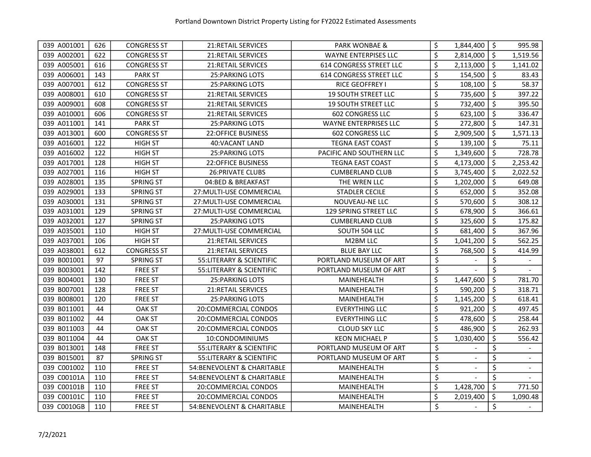| 039 A001001 | 626 | <b>CONGRESS ST</b> | 21: RETAIL SERVICES        | PARK WONBAE &                  | \$               | 1,844,400 | $\zeta$             | 995.98         |
|-------------|-----|--------------------|----------------------------|--------------------------------|------------------|-----------|---------------------|----------------|
| 039 A002001 | 622 | <b>CONGRESS ST</b> | <b>21:RETAIL SERVICES</b>  | <b>WAYNE ENTERPISES LLC</b>    | \$               | 2,814,000 | $\ddot{\mathsf{S}}$ | 1,519.56       |
| 039 A005001 | 616 | <b>CONGRESS ST</b> | <b>21:RETAIL SERVICES</b>  | <b>614 CONGRESS STREET LLC</b> | \$               | 2,113,000 | \$                  | 1,141.02       |
| 039 A006001 | 143 | <b>PARK ST</b>     | <b>25: PARKING LOTS</b>    | <b>614 CONGRESS STREET LLC</b> | \$               | 154,500   | \$                  | 83.43          |
| 039 A007001 | 612 | <b>CONGRESS ST</b> | 25: PARKING LOTS           | <b>RICE GEOFFREY I</b>         | \$               | 108,100   | $\zeta$             | 58.37          |
| 039 A008001 | 610 | <b>CONGRESS ST</b> | <b>21:RETAIL SERVICES</b>  | <b>19 SOUTH STREET LLC</b>     | \$               | 735,600   | \$                  | 397.22         |
| 039 A009001 | 608 | <b>CONGRESS ST</b> | <b>21:RETAIL SERVICES</b>  | <b>19 SOUTH STREET LLC</b>     | \$               | 732,400   | $\zeta$             | 395.50         |
| 039 A010001 | 606 | <b>CONGRESS ST</b> | <b>21:RETAIL SERVICES</b>  | <b>602 CONGRESS LLC</b>        | \$               | 623,100   | $\zeta$             | 336.47         |
| 039 A011001 | 141 | <b>PARK ST</b>     | <b>25: PARKING LOTS</b>    | WAYNE ENTERPRISES LLC          | \$               | 272,800   | $\zeta$             | 147.31         |
| 039 A013001 | 600 | <b>CONGRESS ST</b> | 22:OFFICE BUSINESS         | <b>602 CONGRESS LLC</b>        | \$               | 2,909,500 | \$                  | 1,571.13       |
| 039 A016001 | 122 | <b>HIGH ST</b>     | 40:VACANT LAND             | <b>TEGNA EAST COAST</b>        | \$               | 139,100   | $\zeta$             | 75.11          |
| 039 A016002 | 122 | <b>HIGH ST</b>     | <b>25: PARKING LOTS</b>    | PACIFIC AND SOUTHERN LLC       | \$               | 1,349,600 | \$                  | 728.78         |
| 039 A017001 | 128 | <b>HIGH ST</b>     | <b>22:OFFICE BUSINESS</b>  | <b>TEGNA EAST COAST</b>        | \$               | 4,173,000 | $\zeta$             | 2,253.42       |
| 039 A027001 | 116 | <b>HIGH ST</b>     | <b>26: PRIVATE CLUBS</b>   | <b>CUMBERLAND CLUB</b>         | \$               | 3,745,400 | \$                  | 2,022.52       |
| 039 A028001 | 135 | <b>SPRING ST</b>   | 04:BED & BREAKFAST         | THE WREN LLC                   | \$               | 1,202,000 | \$                  | 649.08         |
| 039 A029001 | 133 | <b>SPRING ST</b>   | 27: MULTI-USE COMMERCIAL   | <b>STADLER CECILE</b>          | \$               | 652,000   | $\zeta$             | 352.08         |
| 039 A030001 | 131 | <b>SPRING ST</b>   | 27: MULTI-USE COMMERCIAL   | NOUVEAU-NE LLC                 | \$               | 570,600   | \$                  | 308.12         |
| 039 A031001 | 129 | <b>SPRING ST</b>   | 27: MULTI-USE COMMERCIAL   | <b>129 SPRING STREET LLC</b>   | $\overline{\xi}$ | 678,900   | \$                  | 366.61         |
| 039 A032001 | 127 | <b>SPRING ST</b>   | <b>25: PARKING LOTS</b>    | <b>CUMBERLAND CLUB</b>         | \$               | 325,600   | \$                  | 175.82         |
| 039 A035001 | 110 | <b>HIGH ST</b>     | 27: MULTI-USE COMMERCIAL   | SOUTH 504 LLC                  | \$               | 681,400   | \$                  | 367.96         |
| 039 A037001 | 106 | <b>HIGH ST</b>     | <b>21:RETAIL SERVICES</b>  | M2BM LLC                       | \$               | 1,041,200 | \$                  | 562.25         |
| 039 A038001 | 612 | <b>CONGRESS ST</b> | 21: RETAIL SERVICES        | <b>BLUE BAY LLC</b>            | \$               | 768,500   | \$                  | 414.99         |
| 039 B001001 | 97  | <b>SPRING ST</b>   | 55: LITERARY & SCIENTIFIC  | PORTLAND MUSEUM OF ART         | \$               |           | \$                  |                |
| 039 B003001 | 142 | <b>FREE ST</b>     | 55:LITERARY & SCIENTIFIC   | PORTLAND MUSEUM OF ART         | \$               |           | \$                  |                |
| 039 B004001 | 130 | <b>FREE ST</b>     | <b>25: PARKING LOTS</b>    | MAINEHEALTH                    | \$               | 1,447,600 | $\zeta$             | 781.70         |
| 039 B007001 | 128 | <b>FREE ST</b>     | <b>21:RETAIL SERVICES</b>  | MAINEHEALTH                    | \$               | 590,200   | $\zeta$             | 318.71         |
| 039 B008001 | 120 | <b>FREE ST</b>     | <b>25: PARKING LOTS</b>    | MAINEHEALTH                    | \$               | 1,145,200 | \$                  | 618.41         |
| 039 B011001 | 44  | <b>OAK ST</b>      | 20:COMMERCIAL CONDOS       | <b>EVERYTHING LLC</b>          | \$               | 921,200   | \$                  | 497.45         |
| 039 B011002 | 44  | <b>OAK ST</b>      | 20:COMMERCIAL CONDOS       | <b>EVERYTHING LLC</b>          | \$               | 478,600   | \$                  | 258.44         |
| 039 B011003 | 44  | <b>OAK ST</b>      | 20:COMMERCIAL CONDOS       | <b>CLOUD SKY LLC</b>           | \$               | 486,900   | \$                  | 262.93         |
| 039 B011004 | 44  | <b>OAK ST</b>      | 10:CONDOMINIUMS            | <b>KEON MICHAEL P</b>          | \$               | 1,030,400 | \$                  | 556.42         |
| 039 B013001 | 148 | <b>FREE ST</b>     | 55:LITERARY & SCIENTIFIC   | PORTLAND MUSEUM OF ART         | \$               |           | \$                  |                |
| 039 B015001 | 87  | <b>SPRING ST</b>   | 55: LITERARY & SCIENTIFIC  | PORTLAND MUSEUM OF ART         | \$               |           | \$                  | $\blacksquare$ |
| 039 C001002 | 110 | <b>FREE ST</b>     | 54:BENEVOLENT & CHARITABLE | MAINEHEALTH                    | \$               |           | \$                  | $\blacksquare$ |
| 039 C00101A | 110 | <b>FREE ST</b>     | 54:BENEVOLENT & CHARITABLE | MAINEHEALTH                    | \$               |           | \$                  |                |
| 039 C00101B | 110 | <b>FREE ST</b>     | 20:COMMERCIAL CONDOS       | MAINEHEALTH                    | \$               | 1,428,700 | \$                  | 771.50         |
| 039 C00101C | 110 | <b>FREE ST</b>     | 20:COMMERCIAL CONDOS       | MAINEHEALTH                    | \$               | 2,019,400 | \$                  | 1,090.48       |
| 039 C0010GB | 110 | <b>FREE ST</b>     | 54:BENEVOLENT & CHARITABLE | MAINEHEALTH                    | \$               |           | \$                  |                |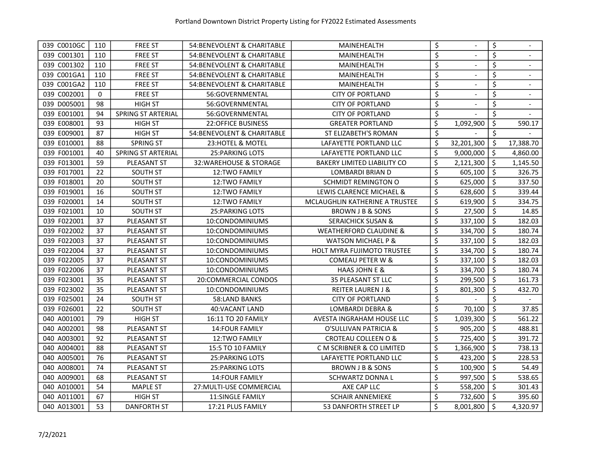| 039 C0010GC | 110 | <b>FREE ST</b>     | 54:BENEVOLENT & CHARITABLE  | MAINEHEALTH                        | \$               | \$      |           |
|-------------|-----|--------------------|-----------------------------|------------------------------------|------------------|---------|-----------|
| 039 C001301 | 110 | <b>FREE ST</b>     | 54: BENEVOLENT & CHARITABLE | MAINEHEALTH                        | \$               | \$      |           |
| 039 C001302 | 110 | <b>FREE ST</b>     | 54: BENEVOLENT & CHARITABLE | MAINEHEALTH                        | \$               | \$      |           |
| 039 C001GA1 | 110 | <b>FREE ST</b>     | 54: BENEVOLENT & CHARITABLE | MAINEHEALTH                        | \$               | \$      |           |
| 039 C001GA2 | 110 | <b>FREE ST</b>     | 54: BENEVOLENT & CHARITABLE | MAINEHEALTH                        | \$               | \$      |           |
| 039 C002001 | 0   | <b>FREE ST</b>     | 56:GOVERNMENTAL             | <b>CITY OF PORTLAND</b>            | \$               | \$      |           |
| 039 D005001 | 98  | <b>HIGH ST</b>     | 56:GOVERNMENTAL             | <b>CITY OF PORTLAND</b>            | \$               | \$      |           |
| 039 E001001 | 94  | SPRING ST ARTERIAL | 56:GOVERNMENTAL             | <b>CITY OF PORTLAND</b>            | \$               | \$      |           |
| 039 E008001 | 93  | <b>HIGH ST</b>     | <b>22:OFFICE BUSINESS</b>   | <b>GREATER PORTLAND</b>            | \$<br>1,092,900  | \$      | 590.17    |
| 039 E009001 | 87  | <b>HIGH ST</b>     | 54: BENEVOLENT & CHARITABLE | ST ELIZABETH'S ROMAN               | \$               | \$      |           |
| 039 E010001 | 88  | <b>SPRING ST</b>   | 23:HOTEL & MOTEL            | LAFAYETTE PORTLAND LLC             | \$<br>32,201,300 | \$      | 17,388.70 |
| 039 F001001 | 40  | SPRING ST ARTERIAL | 25: PARKING LOTS            | LAFAYETTE PORTLAND LLC             | \$<br>9,000,000  | \$      | 4,860.00  |
| 039 F013001 | 59  | <b>PLEASANT ST</b> | 32: WAREHOUSE & STORAGE     | <b>BAKERY LIMITED LIABILITY CO</b> | \$<br>2,121,300  | \$      | 1,145.50  |
| 039 F017001 | 22  | <b>SOUTH ST</b>    | 12:TWO FAMILY               | <b>LOMBARDI BRIAN D</b>            | \$<br>605,100    | $\zeta$ | 326.75    |
| 039 F018001 | 20  | <b>SOUTH ST</b>    | 12:TWO FAMILY               | SCHMIDT REMINGTON O                | \$<br>625,000    | \$      | 337.50    |
| 039 F019001 | 16  | <b>SOUTH ST</b>    | 12:TWO FAMILY               | LEWIS CLARENCE MICHAEL &           | \$<br>628,600    | $\zeta$ | 339.44    |
| 039 F020001 | 14  | <b>SOUTH ST</b>    | <b>12:TWO FAMILY</b>        | MCLAUGHLIN KATHERINE A TRUSTEE     | \$<br>619,900    | \$      | 334.75    |
| 039 F021001 | 10  | SOUTH ST           | <b>25: PARKING LOTS</b>     | BROWN J B & SONS                   | \$<br>27,500     | \$      | 14.85     |
| 039 F022001 | 37  | PLEASANT ST        | 10:CONDOMINIUMS             | <b>SERAICHICK SUSAN &amp;</b>      | \$<br>337,100    | \$      | 182.03    |
| 039 F022002 | 37  | PLEASANT ST        | 10:CONDOMINIUMS             | <b>WEATHERFORD CLAUDINE &amp;</b>  | \$<br>334,700    | \$      | 180.74    |
| 039 F022003 | 37  | PLEASANT ST        | 10:CONDOMINIUMS             | <b>WATSON MICHAEL P &amp;</b>      | \$<br>337,100    | \$      | 182.03    |
| 039 F022004 | 37  | PLEASANT ST        | 10:CONDOMINIUMS             | <b>HOLT MYRA FUJIMOTO TRUSTEE</b>  | \$<br>334,700    | \$      | 180.74    |
| 039 F022005 | 37  | PLEASANT ST        | 10:CONDOMINIUMS             | COMEAU PETER W &                   | \$<br>337,100    | \$      | 182.03    |
| 039 F022006 | 37  | PLEASANT ST        | 10:CONDOMINIUMS             | <b>HAAS JOHN E &amp;</b>           | \$<br>334,700    | \$      | 180.74    |
| 039 F023001 | 35  | PLEASANT ST        | 20:COMMERCIAL CONDOS        | 35 PLEASANT ST LLC                 | \$<br>299,500    | \$      | 161.73    |
| 039 F023002 | 35  | PLEASANT ST        | 10:CONDOMINIUMS             | <b>REITER LAUREN J &amp;</b>       | \$<br>801,300    | \$      | 432.70    |
| 039 F025001 | 24  | <b>SOUTH ST</b>    | 58:LAND BANKS               | <b>CITY OF PORTLAND</b>            | \$               | \$      |           |
| 039 F026001 | 22  | <b>SOUTH ST</b>    | 40: VACANT LAND             | LOMBARDI DEBRA &                   | \$<br>70,100     | \$      | 37.85     |
| 040 A001001 | 79  | <b>HIGH ST</b>     | 16:11 TO 20 FAMILY          | AVESTA INGRAHAM HOUSE LLC          | \$<br>1,039,300  | $\zeta$ | 561.22    |
| 040 A002001 | 98  | <b>PLEASANT ST</b> | <b>14:FOUR FAMILY</b>       | O'SULLIVAN PATRICIA &              | \$<br>905,200    | \$      | 488.81    |
| 040 A003001 | 92  | <b>PLEASANT ST</b> | 12:TWO FAMILY               | CROTEAU COLLEEN O &                | \$<br>725,400    | \$      | 391.72    |
| 040 A004001 | 88  | PLEASANT ST        | 15:5 TO 10 FAMILY           | C M SCRIBNER & CO LIMITED          | \$<br>1,366,900  | \$      | 738.13    |
| 040 A005001 | 76  | PLEASANT ST        | <b>25: PARKING LOTS</b>     | LAFAYETTE PORTLAND LLC             | \$<br>423,200    | \$      | 228.53    |
| 040 A008001 | 74  | PLEASANT ST        | 25: PARKING LOTS            | <b>BROWN J B &amp; SONS</b>        | \$<br>100,900    | \$      | 54.49     |
| 040 A009001 | 68  | PLEASANT ST        | <b>14:FOUR FAMILY</b>       | <b>SCHWARTZ DONNAL</b>             | \$<br>997,500    | \$      | 538.65    |
| 040 A010001 | 54  | <b>MAPLE ST</b>    | 27: MULTI-USE COMMERCIAL    | AXE CAP LLC                        | \$<br>558,200    | \$      | 301.43    |
| 040 A011001 | 67  | <b>HIGH ST</b>     | <b>11:SINGLE FAMILY</b>     | <b>SCHAIR ANNEMIEKE</b>            | \$<br>732,600    | \$      | 395.60    |
| 040 A013001 | 53  | <b>DANFORTH ST</b> | 17:21 PLUS FAMILY           | 53 DANFORTH STREET LP              | \$<br>8,001,800  | $\zeta$ | 4,320.97  |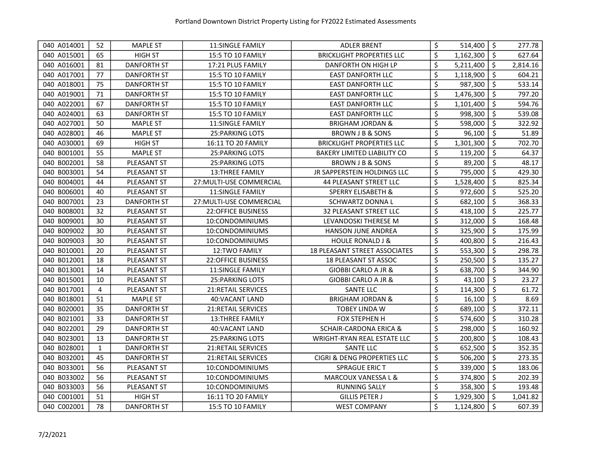| 040 A014001 | 52           | <b>MAPLE ST</b>    | <b>11:SINGLE FAMILY</b>   | <b>ADLER BRENT</b>                   | \$<br>514,400   | \$                  | 277.78   |
|-------------|--------------|--------------------|---------------------------|--------------------------------------|-----------------|---------------------|----------|
| 040 A015001 | 65           | <b>HIGH ST</b>     | <b>15:5 TO 10 FAMILY</b>  | <b>BRICKLIGHT PROPERTIES LLC</b>     | \$<br>1,162,300 | $\ddot{\mathsf{s}}$ | 627.64   |
| 040 A016001 | 81           | <b>DANFORTH ST</b> | 17:21 PLUS FAMILY         | <b>DANFORTH ON HIGH LP</b>           | \$<br>5,211,400 | $\zeta$             | 2,814.16 |
| 040 A017001 | 77           | DANFORTH ST        | <b>15:5 TO 10 FAMILY</b>  | <b>EAST DANFORTH LLC</b>             | \$<br>1,118,900 | \$                  | 604.21   |
| 040 A018001 | 75           | DANFORTH ST        | <b>15:5 TO 10 FAMILY</b>  | <b>EAST DANFORTH LLC</b>             | \$<br>987,300   | \$                  | 533.14   |
| 040 A019001 | 71           | <b>DANFORTH ST</b> | <b>15:5 TO 10 FAMILY</b>  | <b>EAST DANFORTH LLC</b>             | \$<br>1,476,300 | \$                  | 797.20   |
| 040 A022001 | 67           | DANFORTH ST        | 15:5 TO 10 FAMILY         | <b>EAST DANFORTH LLC</b>             | \$<br>1,101,400 | \$                  | 594.76   |
| 040 A024001 | 63           | <b>DANFORTH ST</b> | <b>15:5 TO 10 FAMILY</b>  | <b>EAST DANFORTH LLC</b>             | \$<br>998,300   | \$                  | 539.08   |
| 040 A027001 | 50           | <b>MAPLE ST</b>    | <b>11:SINGLE FAMILY</b>   | <b>BRIGHAM JORDAN &amp;</b>          | \$<br>598,000   | \$                  | 322.92   |
| 040 A028001 | 46           | <b>MAPLE ST</b>    | <b>25: PARKING LOTS</b>   | BROWN J B & SONS                     | \$<br>96,100    | \$                  | 51.89    |
| 040 A030001 | 69           | <b>HIGH ST</b>     | 16:11 TO 20 FAMILY        | <b>BRICKLIGHT PROPERTIES LLC</b>     | \$<br>1,301,300 | $\zeta$             | 702.70   |
| 040 B001001 | 55           | <b>MAPLE ST</b>    | 25: PARKING LOTS          | BAKERY LIMITED LIABILITY CO          | \$<br>119,200   | \$                  | 64.37    |
| 040 B002001 | 58           | PLEASANT ST        | 25: PARKING LOTS          | <b>BROWN J B &amp; SONS</b>          | \$<br>89,200    | $\zeta$             | 48.17    |
| 040 B003001 | 54           | PLEASANT ST        | <b>13:THREE FAMILY</b>    | JR SAPPERSTEIN HOLDINGS LLC          | \$<br>795,000   | \$                  | 429.30   |
| 040 B004001 | 44           | PLEASANT ST        | 27: MULTI-USE COMMERCIAL  | <b>44 PLEASANT STREET LLC</b>        | \$<br>1,528,400 | $\zeta$             | 825.34   |
| 040 B006001 | 40           | PLEASANT ST        | <b>11:SINGLE FAMILY</b>   | <b>SPERRY ELISABETH &amp;</b>        | \$<br>972,600   | \$                  | 525.20   |
| 040 B007001 | 23           | <b>DANFORTH ST</b> | 27: MULTI-USE COMMERCIAL  | <b>SCHWARTZ DONNAL</b>               | \$<br>682,100   | \$                  | 368.33   |
| 040 B008001 | 32           | PLEASANT ST        | 22:OFFICE BUSINESS        | 32 PLEASANT STREET LLC               | \$<br>418,100   | \$                  | 225.77   |
| 040 B009001 | 30           | PLEASANT ST        | 10:CONDOMINIUMS           | LEVANDOSKI THERESE M                 | \$<br>312,000   | \$                  | 168.48   |
| 040 B009002 | 30           | PLEASANT ST        | 10:CONDOMINIUMS           | <b>HANSON JUNE ANDREA</b>            | \$<br>325,900   | \$                  | 175.99   |
| 040 B009003 | 30           | PLEASANT ST        | 10:CONDOMINIUMS           | <b>HOULE RONALD J &amp;</b>          | \$<br>400,800   | \$                  | 216.43   |
| 040 B010001 | 20           | <b>PLEASANT ST</b> | 12:TWO FAMILY             | <b>18 PLEASANT STREET ASSOCIATES</b> | \$<br>553,300   | \$                  | 298.78   |
| 040 B012001 | 18           | PLEASANT ST        | <b>22:OFFICE BUSINESS</b> | <b>18 PLEASANT ST ASSOC</b>          | \$<br>250,500   | \$                  | 135.27   |
| 040 B013001 | 14           | PLEASANT ST        | <b>11:SINGLE FAMILY</b>   | GIOBBI CARLO A JR &                  | \$<br>638,700   | \$                  | 344.90   |
| 040 B015001 | 10           | <b>PLEASANT ST</b> | <b>25: PARKING LOTS</b>   | <b>GIOBBI CARLO A JR &amp;</b>       | \$<br>43,100    | $\zeta$             | 23.27    |
| 040 B017001 | 4            | <b>PLEASANT ST</b> | 21: RETAIL SERVICES       | <b>SANTE LLC</b>                     | \$<br>114,300   | \$                  | 61.72    |
| 040 B018001 | 51           | <b>MAPLE ST</b>    | 40:VACANT LAND            | <b>BRIGHAM JORDAN &amp;</b>          | \$<br>16,100    | $\zeta$             | 8.69     |
| 040 B020001 | 35           | DANFORTH ST        | 21: RETAIL SERVICES       | <b>TOBEY LINDA W</b>                 | \$<br>689,100   | $\zeta$             | 372.11   |
| 040 B021001 | 33           | <b>DANFORTH ST</b> | <b>13:THREE FAMILY</b>    | <b>FOX STEPHEN H</b>                 | \$<br>574,600   | $\zeta$             | 310.28   |
| 040 B022001 | 29           | DANFORTH ST        | 40: VACANT LAND           | <b>SCHAIR-CARDONA ERICA &amp;</b>    | \$<br>298,000   | $\zeta$             | 160.92   |
| 040 B023001 | 13           | DANFORTH ST        | 25: PARKING LOTS          | <b>WRIGHT-RYAN REAL ESTATE LLC</b>   | \$<br>200,800   | \$                  | 108.43   |
| 040 B028001 | $\mathbf{1}$ | DANFORTH ST        | 21: RETAIL SERVICES       | SANTE LLC                            | \$<br>652,500   | \$                  | 352.35   |
| 040 B032001 | 45           | <b>DANFORTH ST</b> | <b>21:RETAIL SERVICES</b> | CIGRI & DENG PROPERTIES LLC          | \$<br>506,200   | $\zeta$             | 273.35   |
| 040 B033001 | 56           | PLEASANT ST        | 10:CONDOMINIUMS           | <b>SPRAGUE ERIC T</b>                | \$<br>339,000   | \$                  | 183.06   |
| 040 B033002 | 56           | PLEASANT ST        | 10:CONDOMINIUMS           | MARCOUX VANESSA L &                  | \$<br>374,800   | \$                  | 202.39   |
| 040 B033003 | 56           | PLEASANT ST        | 10:CONDOMINIUMS           | <b>RUNNING SALLY</b>                 | \$<br>358,300   | $\zeta$             | 193.48   |
| 040 C001001 | 51           | <b>HIGH ST</b>     | 16:11 TO 20 FAMILY        | <b>GILLIS PETER J</b>                | \$<br>1,929,300 | \$                  | 1,041.82 |
| 040 C002001 | 78           | <b>DANFORTH ST</b> | <b>15:5 TO 10 FAMILY</b>  | <b>WEST COMPANY</b>                  | \$<br>1,124,800 | $\zeta$             | 607.39   |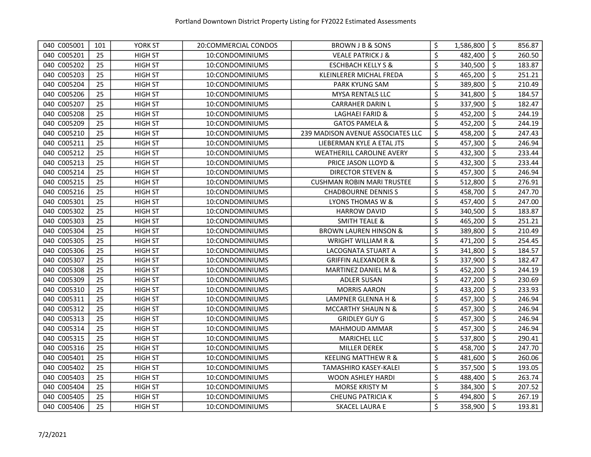| 040 C005001 | 101 | YORK ST        | 20:COMMERCIAL CONDOS | BROWN J B & SONS                  | \$<br>1,586,800 | $\ddot{\bm{\zeta}}$ | 856.87 |
|-------------|-----|----------------|----------------------|-----------------------------------|-----------------|---------------------|--------|
| 040 C005201 | 25  | <b>HIGH ST</b> | 10:CONDOMINIUMS      | <b>VEALE PATRICK J &amp;</b>      | \$<br>482,400   | \$                  | 260.50 |
| 040 C005202 | 25  | <b>HIGH ST</b> | 10:CONDOMINIUMS      | <b>ESCHBACH KELLY S &amp;</b>     | \$<br>340,500   | \$                  | 183.87 |
| 040 C005203 | 25  | <b>HIGH ST</b> | 10:CONDOMINIUMS      | KLEINLERER MICHAL FREDA           | \$<br>465,200   | \$                  | 251.21 |
| 040 C005204 | 25  | <b>HIGH ST</b> | 10:CONDOMINIUMS      | <b>PARK KYUNG SAM</b>             | \$<br>389,800   | \$                  | 210.49 |
| 040 C005206 | 25  | <b>HIGH ST</b> | 10:CONDOMINIUMS      | <b>MYSA RENTALS LLC</b>           | \$<br>341,800   | \$                  | 184.57 |
| 040 C005207 | 25  | <b>HIGH ST</b> | 10:CONDOMINIUMS      | <b>CARRAHER DARIN L</b>           | \$<br>337,900   | \$                  | 182.47 |
| 040 C005208 | 25  | <b>HIGH ST</b> | 10:CONDOMINIUMS      | <b>LAGHAEI FARID &amp;</b>        | \$<br>452,200   | $\zeta$             | 244.19 |
| 040 C005209 | 25  | <b>HIGH ST</b> | 10:CONDOMINIUMS      | <b>GATOS PAMELA &amp;</b>         | \$<br>452,200   | \$                  | 244.19 |
| 040 C005210 | 25  | <b>HIGH ST</b> | 10:CONDOMINIUMS      | 239 MADISON AVENUE ASSOCIATES LLC | \$<br>458,200   | \$                  | 247.43 |
| 040 C005211 | 25  | <b>HIGH ST</b> | 10:CONDOMINIUMS      | LIEBERMAN KYLE A ETAL JTS         | \$<br>457,300   | $\zeta$             | 246.94 |
| 040 C005212 | 25  | <b>HIGH ST</b> | 10:CONDOMINIUMS      | WEATHERILL CAROLINE AVERY         | \$<br>432,300   | $\zeta$             | 233.44 |
| 040 C005213 | 25  | <b>HIGH ST</b> | 10:CONDOMINIUMS      | PRICE JASON LLOYD &               | \$<br>432,300   | $\zeta$             | 233.44 |
| 040 C005214 | 25  | <b>HIGH ST</b> | 10:CONDOMINIUMS      | <b>DIRECTOR STEVEN &amp;</b>      | \$<br>457,300   | \$                  | 246.94 |
| 040 C005215 | 25  | <b>HIGH ST</b> | 10:CONDOMINIUMS      | <b>CUSHMAN ROBIN MARI TRUSTEE</b> | \$<br>512,800   | $\zeta$             | 276.91 |
| 040 C005216 | 25  | <b>HIGH ST</b> | 10:CONDOMINIUMS      | <b>CHADBOURNE DENNISS</b>         | \$<br>458,700   | \$                  | 247.70 |
| 040 C005301 | 25  | <b>HIGH ST</b> | 10:CONDOMINIUMS      | LYONS THOMAS W &                  | \$<br>457,400   | \$                  | 247.00 |
| 040 C005302 | 25  | <b>HIGH ST</b> | 10:CONDOMINIUMS      | <b>HARROW DAVID</b>               | \$<br>340,500   | \$                  | 183.87 |
| 040 C005303 | 25  | <b>HIGH ST</b> | 10:CONDOMINIUMS      | <b>SMITH TEALE &amp;</b>          | \$<br>465,200   | \$                  | 251.21 |
| 040 C005304 | 25  | <b>HIGH ST</b> | 10:CONDOMINIUMS      | <b>BROWN LAUREN HINSON &amp;</b>  | \$<br>389,800   | \$                  | 210.49 |
| 040 C005305 | 25  | <b>HIGH ST</b> | 10:CONDOMINIUMS      | <b>WRIGHT WILLIAM R &amp;</b>     | \$<br>471,200   | \$                  | 254.45 |
| 040 C005306 | 25  | <b>HIGH ST</b> | 10:CONDOMINIUMS      | LACOGNATA STUART A                | \$<br>341,800   | \$                  | 184.57 |
| 040 C005307 | 25  | <b>HIGH ST</b> | 10:CONDOMINIUMS      | <b>GRIFFIN ALEXANDER &amp;</b>    | \$<br>337,900   | \$                  | 182.47 |
| 040 C005308 | 25  | <b>HIGH ST</b> | 10:CONDOMINIUMS      | MARTINEZ DANIEL M &               | \$<br>452,200   | \$                  | 244.19 |
| 040 C005309 | 25  | <b>HIGH ST</b> | 10:CONDOMINIUMS      | <b>ADLER SUSAN</b>                | \$<br>427,200   | \$                  | 230.69 |
| 040 C005310 | 25  | <b>HIGH ST</b> | 10:CONDOMINIUMS      | <b>MORRIS AARON</b>               | \$<br>433,200   | $\zeta$             | 233.93 |
| 040 C005311 | 25  | <b>HIGH ST</b> | 10:CONDOMINIUMS      | LAMPNER GLENNA H &                | \$<br>457,300   | $\zeta$             | 246.94 |
| 040 C005312 | 25  | <b>HIGH ST</b> | 10:CONDOMINIUMS      | MCCARTHY SHAUN N &                | \$<br>457,300   | $\zeta$             | 246.94 |
| 040 C005313 | 25  | <b>HIGH ST</b> | 10:CONDOMINIUMS      | <b>GRIDLEY GUY G</b>              | \$<br>457,300   | \$                  | 246.94 |
| 040 C005314 | 25  | <b>HIGH ST</b> | 10:CONDOMINIUMS      | MAHMOUD AMMAR                     | \$<br>457,300   | Ŝ.                  | 246.94 |
| 040 C005315 | 25  | <b>HIGH ST</b> | 10:CONDOMINIUMS      | MARICHEL LLC                      | \$<br>537,800   | \$                  | 290.41 |
| 040 C005316 | 25  | <b>HIGH ST</b> | 10:CONDOMINIUMS      | <b>MILLER DEREK</b>               | \$<br>458,700   | \$                  | 247.70 |
| 040 C005401 | 25  | <b>HIGH ST</b> | 10:CONDOMINIUMS      | <b>KEELING MATTHEW R &amp;</b>    | \$<br>481,600   | \$                  | 260.06 |
| 040 C005402 | 25  | <b>HIGH ST</b> | 10:CONDOMINIUMS      | TAMASHIRO KASEY-KALEI             | \$<br>357,500   | \$                  | 193.05 |
| 040 C005403 | 25  | <b>HIGH ST</b> | 10:CONDOMINIUMS      | WOON ASHLEY HARDI                 | \$<br>488,400   | \$                  | 263.74 |
| 040 C005404 | 25  | <b>HIGH ST</b> | 10:CONDOMINIUMS      | MORSE KRISTY M                    | \$<br>384,300   | $\zeta$             | 207.52 |
| 040 C005405 | 25  | <b>HIGH ST</b> | 10:CONDOMINIUMS      | <b>CHEUNG PATRICIA K</b>          | \$<br>494,800   | \$                  | 267.19 |
| 040 C005406 | 25  | <b>HIGH ST</b> | 10:CONDOMINIUMS      | <b>SKACEL LAURA E</b>             | \$<br>358,900   | $\zeta$             | 193.81 |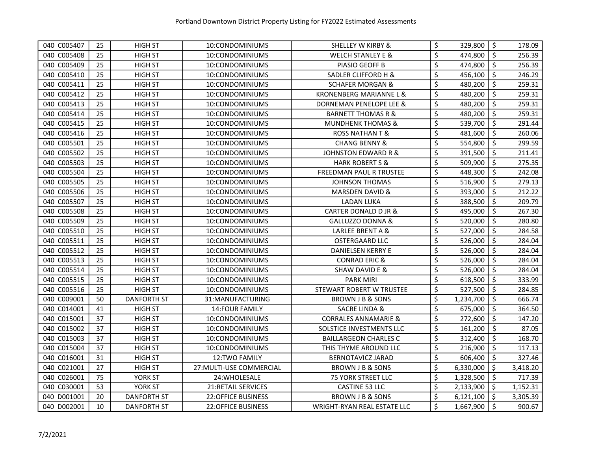| 040 C005407 | 25 | <b>HIGH ST</b>     | 10:CONDOMINIUMS           | SHELLEY W KIRBY &               | \$<br>329,800   | $\ddot{\mathsf{S}}$ | 178.09   |
|-------------|----|--------------------|---------------------------|---------------------------------|-----------------|---------------------|----------|
| 040 C005408 | 25 | <b>HIGH ST</b>     | 10:CONDOMINIUMS           | <b>WELCH STANLEY E &amp;</b>    | \$<br>474,800   | \$                  | 256.39   |
| 040 C005409 | 25 | <b>HIGH ST</b>     | 10:CONDOMINIUMS           | PIASIO GEOFF B                  | \$<br>474,800   | $\zeta$             | 256.39   |
| 040 C005410 | 25 | <b>HIGH ST</b>     | 10:CONDOMINIUMS           | <b>SADLER CLIFFORD H &amp;</b>  | \$<br>456,100   | \$                  | 246.29   |
| 040 C005411 | 25 | <b>HIGH ST</b>     | 10:CONDOMINIUMS           | <b>SCHAFER MORGAN &amp;</b>     | \$<br>480,200   | \$                  | 259.31   |
| 040 C005412 | 25 | <b>HIGH ST</b>     | 10:CONDOMINIUMS           | KRONENBERG MARIANNE L &         | \$<br>480,200   | \$                  | 259.31   |
| 040 C005413 | 25 | <b>HIGH ST</b>     | 10:CONDOMINIUMS           | DORNEMAN PENELOPE LEE &         | \$<br>480,200   | $\zeta$             | 259.31   |
| 040 C005414 | 25 | <b>HIGH ST</b>     | 10:CONDOMINIUMS           | <b>BARNETT THOMAS R &amp;</b>   | \$<br>480,200   | \$                  | 259.31   |
| 040 C005415 | 25 | <b>HIGH ST</b>     | 10:CONDOMINIUMS           | <b>MUNDHENK THOMAS &amp;</b>    | \$<br>539,700   | $\zeta$             | 291.44   |
| 040 C005416 | 25 | <b>HIGH ST</b>     | 10:CONDOMINIUMS           | <b>ROSS NATHAN T &amp;</b>      | \$<br>481,600   | \$                  | 260.06   |
| 040 C005501 | 25 | <b>HIGH ST</b>     | 10:CONDOMINIUMS           | <b>CHANG BENNY &amp;</b>        | \$<br>554,800   | $\zeta$             | 299.59   |
| 040 C005502 | 25 | <b>HIGH ST</b>     | 10:CONDOMINIUMS           | <b>JOHNSTON EDWARD R &amp;</b>  | \$<br>391,500   | $\zeta$             | 211.41   |
| 040 C005503 | 25 | <b>HIGH ST</b>     | 10:CONDOMINIUMS           | <b>HARK ROBERT S &amp;</b>      | \$<br>509,900   | $\zeta$             | 275.35   |
| 040 C005504 | 25 | <b>HIGH ST</b>     | 10:CONDOMINIUMS           | FREEDMAN PAUL R TRUSTEE         | \$<br>448,300   | \$                  | 242.08   |
| 040 C005505 | 25 | <b>HIGH ST</b>     | 10:CONDOMINIUMS           | <b>JOHNSON THOMAS</b>           | \$<br>516,900   | $\zeta$             | 279.13   |
| 040 C005506 | 25 | <b>HIGH ST</b>     | 10:CONDOMINIUMS           | <b>MARSDEN DAVID &amp;</b>      | \$<br>393,000   | \$                  | 212.22   |
| 040 C005507 | 25 | <b>HIGH ST</b>     | 10:CONDOMINIUMS           | <b>LADAN LUKA</b>               | \$<br>388,500   | \$                  | 209.79   |
| 040 C005508 | 25 | <b>HIGH ST</b>     | 10:CONDOMINIUMS           | CARTER DONALD D JR &            | \$<br>495,000   | \$                  | 267.30   |
| 040 C005509 | 25 | <b>HIGH ST</b>     | 10:CONDOMINIUMS           | GALLUZZO DONNA &                | \$<br>520,000   | \$                  | 280.80   |
| 040 C005510 | 25 | <b>HIGH ST</b>     | 10:CONDOMINIUMS           | LARLEE BRENT A &                | \$<br>527,000   | \$                  | 284.58   |
| 040 C005511 | 25 | <b>HIGH ST</b>     | 10:CONDOMINIUMS           | <b>OSTERGAARD LLC</b>           | \$<br>526,000   | \$                  | 284.04   |
| 040 C005512 | 25 | <b>HIGH ST</b>     | 10:CONDOMINIUMS           | DANIELSEN KERRY E               | \$<br>526,000   | \$                  | 284.04   |
| 040 C005513 | 25 | <b>HIGH ST</b>     | 10:CONDOMINIUMS           | <b>CONRAD ERIC &amp;</b>        | \$<br>526,000   | \$                  | 284.04   |
| 040 C005514 | 25 | <b>HIGH ST</b>     | 10:CONDOMINIUMS           | SHAW DAVID E &                  | \$<br>526,000   | \$                  | 284.04   |
| 040 C005515 | 25 | <b>HIGH ST</b>     | 10:CONDOMINIUMS           | <b>PARK MIRI</b>                | \$<br>618,500   | \$                  | 333.99   |
| 040 C005516 | 25 | <b>HIGH ST</b>     | 10:CONDOMINIUMS           | STEWART ROBERT W TRUSTEE        | \$<br>527,500   | $\zeta$             | 284.85   |
| 040 C009001 | 50 | <b>DANFORTH ST</b> | 31:MANUFACTURING          | <b>BROWN J B &amp; SONS</b>     | \$<br>1,234,700 | $\zeta$             | 666.74   |
| 040 C014001 | 41 | <b>HIGH ST</b>     | <b>14:FOUR FAMILY</b>     | SACRE LINDA &                   | \$<br>675,000   | \$                  | 364.50   |
| 040 C015001 | 37 | <b>HIGH ST</b>     | 10:CONDOMINIUMS           | <b>CORRALES ANNAMARIE &amp;</b> | \$<br>272,600   | $\zeta$             | 147.20   |
| 040 C015002 | 37 | <b>HIGH ST</b>     | 10:CONDOMINIUMS           | SOLSTICE INVESTMENTS LLC        | \$<br>161,200   | $\zeta$             | 87.05    |
| 040 C015003 | 37 | <b>HIGH ST</b>     | 10:CONDOMINIUMS           | <b>BAILLARGEON CHARLES C</b>    | \$<br>312,400   | \$                  | 168.70   |
| 040 C015004 | 37 | <b>HIGH ST</b>     | 10:CONDOMINIUMS           | THIS THYME AROUND LLC           | \$<br>216,900   | \$                  | 117.13   |
| 040 C016001 | 31 | <b>HIGH ST</b>     | <b>12:TWO FAMILY</b>      | BERNOTAVICZ JARAD               | \$<br>606,400   | \$                  | 327.46   |
| 040 C021001 | 27 | <b>HIGH ST</b>     | 27: MULTI-USE COMMERCIAL  | <b>BROWN J B &amp; SONS</b>     | \$<br>6,330,000 | \$                  | 3,418.20 |
| 040 C026001 | 75 | YORK ST            | 24: WHOLESALE             | <b>75 YORK STREET LLC</b>       | \$<br>1,328,500 | \$                  | 717.39   |
| 040 C030001 | 53 | YORK ST            | 21: RETAIL SERVICES       | CASTINE 53 LLC                  | \$<br>2,133,900 | \$                  | 1,152.31 |
| 040 D001001 | 20 | <b>DANFORTH ST</b> | 22:OFFICE BUSINESS        | BROWN J B & SONS                | \$<br>6,121,100 | \$                  | 3,305.39 |
| 040 D002001 | 10 | <b>DANFORTH ST</b> | <b>22:OFFICE BUSINESS</b> | WRIGHT-RYAN REAL ESTATE LLC     | \$<br>1,667,900 | $\zeta$             | 900.67   |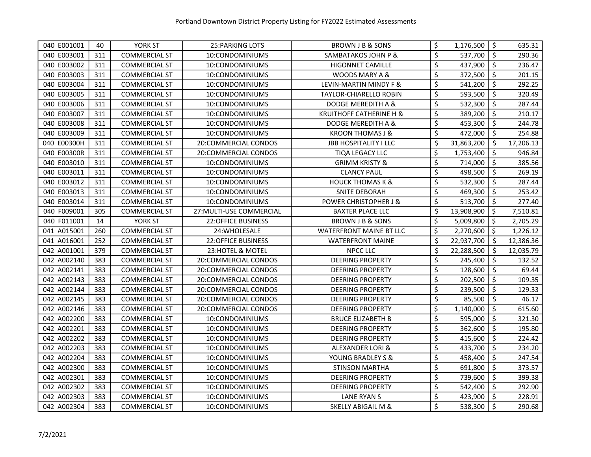| 040 E001001 | 40  | <b>YORK ST</b>       | <b>25: PARKING LOTS</b>   | BROWN J B & SONS                   | \$<br>1,176,500  | \$                  | 635.31    |
|-------------|-----|----------------------|---------------------------|------------------------------------|------------------|---------------------|-----------|
| 040 E003001 | 311 | <b>COMMERCIAL ST</b> | 10:CONDOMINIUMS           | SAMBATAKOS JOHN P &                | \$<br>537,700    | $\ddot{\mathsf{s}}$ | 290.36    |
| 040 E003002 | 311 | <b>COMMERCIAL ST</b> | 10:CONDOMINIUMS           | <b>HIGONNET CAMILLE</b>            | \$<br>437,900    | $\zeta$             | 236.47    |
| 040 E003003 | 311 | <b>COMMERCIAL ST</b> | 10:CONDOMINIUMS           | WOODS MARY A &                     | \$<br>372,500    | \$                  | 201.15    |
| 040 E003004 | 311 | <b>COMMERCIAL ST</b> | 10:CONDOMINIUMS           | LEVIN-MARTIN MINDY F &             | \$<br>541,200    | \$                  | 292.25    |
| 040 E003005 | 311 | <b>COMMERCIAL ST</b> | 10:CONDOMINIUMS           | <b>TAYLOR-CHIARELLO ROBIN</b>      | \$<br>593,500    | \$                  | 320.49    |
| 040 E003006 | 311 | <b>COMMERCIAL ST</b> | 10:CONDOMINIUMS           | DODGE MEREDITH A &                 | \$<br>532,300    | \$                  | 287.44    |
| 040 E003007 | 311 | <b>COMMERCIAL ST</b> | 10:CONDOMINIUMS           | <b>KRUITHOFF CATHERINE H &amp;</b> | \$<br>389,200    | $\zeta$             | 210.17    |
| 040 E003008 | 311 | <b>COMMERCIAL ST</b> | 10:CONDOMINIUMS           | DODGE MEREDITH A &                 | \$<br>453,300    | \$                  | 244.78    |
| 040 E003009 | 311 | <b>COMMERCIAL ST</b> | 10:CONDOMINIUMS           | <b>KROON THOMAS J &amp;</b>        | \$<br>472,000    | \$                  | 254.88    |
| 040 E00300H | 311 | <b>COMMERCIAL ST</b> | 20:COMMERCIAL CONDOS      | <b>JBB HOSPITALITY I LLC</b>       | \$<br>31,863,200 | \$                  | 17,206.13 |
| 040 E00300R | 311 | <b>COMMERCIAL ST</b> | 20:COMMERCIAL CONDOS      | TIQA LEGACY LLC                    | \$<br>1,753,400  | \$                  | 946.84    |
| 040 E003010 | 311 | <b>COMMERCIAL ST</b> | 10:CONDOMINIUMS           | <b>GRIMM KRISTY &amp;</b>          | \$<br>714,000    | $\zeta$             | 385.56    |
| 040 E003011 | 311 | <b>COMMERCIAL ST</b> | 10:CONDOMINIUMS           | <b>CLANCY PAUL</b>                 | \$<br>498,500    | \$                  | 269.19    |
| 040 E003012 | 311 | <b>COMMERCIAL ST</b> | 10:CONDOMINIUMS           | <b>HOUCK THOMAS K &amp;</b>        | \$<br>532,300    | $\zeta$             | 287.44    |
| 040 E003013 | 311 | <b>COMMERCIAL ST</b> | 10:CONDOMINIUMS           | <b>SNITE DEBORAH</b>               | \$<br>469,300    | \$                  | 253.42    |
| 040 E003014 | 311 | <b>COMMERCIAL ST</b> | 10:CONDOMINIUMS           | <b>POWER CHRISTOPHER J &amp;</b>   | \$<br>513,700    | \$                  | 277.40    |
| 040 F009001 | 305 | <b>COMMERCIAL ST</b> | 27: MULTI-USE COMMERCIAL  | <b>BAXTER PLACE LLC</b>            | \$<br>13,908,900 | \$                  | 7,510.81  |
| 040 F011001 | 14  | <b>YORK ST</b>       | <b>22:OFFICE BUSINESS</b> | BROWN J B & SONS                   | \$<br>5,009,800  | \$                  | 2,705.29  |
| 041 A015001 | 260 | <b>COMMERCIAL ST</b> | 24:WHOLESALE              | <b>WATERFRONT MAINE BT LLC</b>     | \$<br>2,270,600  | $\zeta$             | 1,226.12  |
| 041 A016001 | 252 | <b>COMMERCIAL ST</b> | <b>22:OFFICE BUSINESS</b> | <b>WATERFRONT MAINE</b>            | \$<br>22,937,700 | \$                  | 12,386.36 |
| 042 A001001 | 379 | <b>COMMERCIAL ST</b> | 23: HOTEL & MOTEL         | <b>NPCC LLC</b>                    | \$<br>22,288,500 | \$                  | 12,035.79 |
| 042 A002140 | 383 | <b>COMMERCIAL ST</b> | 20:COMMERCIAL CONDOS      | <b>DEERING PROPERTY</b>            | \$<br>245,400    | \$                  | 132.52    |
| 042 A002141 | 383 | <b>COMMERCIAL ST</b> | 20:COMMERCIAL CONDOS      | <b>DEERING PROPERTY</b>            | \$<br>128,600    | \$                  | 69.44     |
| 042 A002143 | 383 | <b>COMMERCIAL ST</b> | 20:COMMERCIAL CONDOS      | <b>DEERING PROPERTY</b>            | \$<br>202,500    | $\zeta$             | 109.35    |
| 042 A002144 | 383 | <b>COMMERCIAL ST</b> | 20:COMMERCIAL CONDOS      | <b>DEERING PROPERTY</b>            | \$<br>239,500    | $\zeta$             | 129.33    |
| 042 A002145 | 383 | <b>COMMERCIAL ST</b> | 20:COMMERCIAL CONDOS      | <b>DEERING PROPERTY</b>            | \$<br>85,500     | $\zeta$             | 46.17     |
| 042 A002146 | 383 | <b>COMMERCIAL ST</b> | 20:COMMERCIAL CONDOS      | <b>DEERING PROPERTY</b>            | \$<br>1,140,000  | $\zeta$             | 615.60    |
| 042 A002200 | 383 | <b>COMMERCIAL ST</b> | 10:CONDOMINIUMS           | <b>BRUCE ELIZABETH B</b>           | \$<br>595,000    | $\zeta$             | 321.30    |
| 042 A002201 | 383 | <b>COMMERCIAL ST</b> | 10:CONDOMINIUMS           | <b>DEERING PROPERTY</b>            | \$<br>362,600    | \$                  | 195.80    |
| 042 A002202 | 383 | <b>COMMERCIAL ST</b> | 10:CONDOMINIUMS           | <b>DEERING PROPERTY</b>            | \$<br>415,600    | \$                  | 224.42    |
| 042 A002203 | 383 | <b>COMMERCIAL ST</b> | 10:CONDOMINIUMS           | ALEXANDER LORI &                   | \$<br>433,700    | \$                  | 234.20    |
| 042 A002204 | 383 | <b>COMMERCIAL ST</b> | 10:CONDOMINIUMS           | YOUNG BRADLEY S &                  | \$<br>458,400    | $\zeta$             | 247.54    |
| 042 A002300 | 383 | <b>COMMERCIAL ST</b> | 10:CONDOMINIUMS           | STINSON MARTHA                     | \$<br>691,800    | \$                  | 373.57    |
| 042 A002301 | 383 | <b>COMMERCIAL ST</b> | 10:CONDOMINIUMS           | <b>DEERING PROPERTY</b>            | \$<br>739,600    | \$                  | 399.38    |
| 042 A002302 | 383 | <b>COMMERCIAL ST</b> | 10:CONDOMINIUMS           | <b>DEERING PROPERTY</b>            | \$<br>542,400    | $\zeta$             | 292.90    |
| 042 A002303 | 383 | <b>COMMERCIAL ST</b> | 10:CONDOMINIUMS           | <b>LANE RYAN S</b>                 | \$<br>423,900    | \$                  | 228.91    |
| 042 A002304 | 383 | <b>COMMERCIAL ST</b> | 10:CONDOMINIUMS           | <b>SKELLY ABIGAIL M &amp;</b>      | \$<br>538,300    | $\ddot{\mathsf{s}}$ | 290.68    |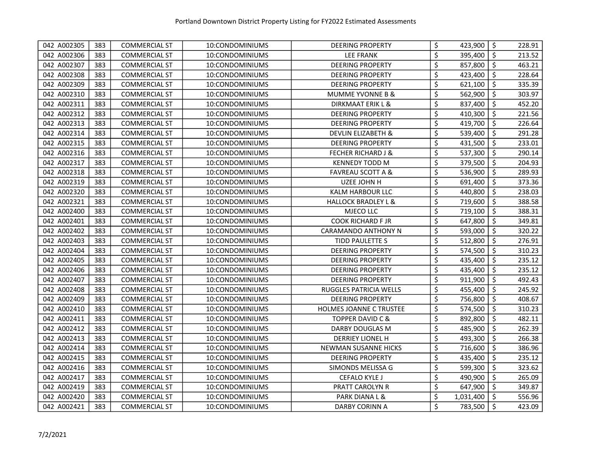| 042 A002305 | 383 | <b>COMMERCIAL ST</b> | 10:CONDOMINIUMS | <b>DEERING PROPERTY</b>        | \$<br>423,900   | l \$                | 228.91 |
|-------------|-----|----------------------|-----------------|--------------------------------|-----------------|---------------------|--------|
| 042 A002306 | 383 | <b>COMMERCIAL ST</b> | 10:CONDOMINIUMS | <b>LEE FRANK</b>               | \$<br>395,400   | $\ddot{\mathsf{S}}$ | 213.52 |
| 042 A002307 | 383 | <b>COMMERCIAL ST</b> | 10:CONDOMINIUMS | <b>DEERING PROPERTY</b>        | \$<br>857,800   | \$                  | 463.21 |
| 042 A002308 | 383 | <b>COMMERCIAL ST</b> | 10:CONDOMINIUMS | <b>DEERING PROPERTY</b>        | \$<br>423,400   | \$                  | 228.64 |
| 042 A002309 | 383 | <b>COMMERCIAL ST</b> | 10:CONDOMINIUMS | <b>DEERING PROPERTY</b>        | \$<br>621,100   | \$                  | 335.39 |
| 042 A002310 | 383 | <b>COMMERCIAL ST</b> | 10:CONDOMINIUMS | <b>MUMME YVONNE B &amp;</b>    | \$<br>562,900   | \$                  | 303.97 |
| 042 A002311 | 383 | <b>COMMERCIAL ST</b> | 10:CONDOMINIUMS | DIRKMAAT ERIK L &              | \$<br>837,400   | $\zeta$             | 452.20 |
| 042 A002312 | 383 | <b>COMMERCIAL ST</b> | 10:CONDOMINIUMS | <b>DEERING PROPERTY</b>        | \$<br>410,300   | $\zeta$             | 221.56 |
| 042 A002313 | 383 | <b>COMMERCIAL ST</b> | 10:CONDOMINIUMS | <b>DEERING PROPERTY</b>        | \$<br>419,700   | \$                  | 226.64 |
| 042 A002314 | 383 | <b>COMMERCIAL ST</b> | 10:CONDOMINIUMS | <b>DEVLIN ELIZABETH &amp;</b>  | \$<br>539,400   | $\zeta$             | 291.28 |
| 042 A002315 | 383 | <b>COMMERCIAL ST</b> | 10:CONDOMINIUMS | <b>DEERING PROPERTY</b>        | \$<br>431,500   | $\zeta$             | 233.01 |
| 042 A002316 | 383 | <b>COMMERCIAL ST</b> | 10:CONDOMINIUMS | <b>FECHER RICHARD J &amp;</b>  | \$<br>537,300   | $\ddot{\mathsf{s}}$ | 290.14 |
| 042 A002317 | 383 | <b>COMMERCIAL ST</b> | 10:CONDOMINIUMS | <b>KENNEDY TODD M</b>          | \$<br>379,500   | $\ddot{\mathsf{S}}$ | 204.93 |
| 042 A002318 | 383 | <b>COMMERCIAL ST</b> | 10:CONDOMINIUMS | <b>FAVREAU SCOTT A &amp;</b>   | \$<br>536,900   | $\ddot{\mathsf{s}}$ | 289.93 |
| 042 A002319 | 383 | <b>COMMERCIAL ST</b> | 10:CONDOMINIUMS | UZEE JOHN H                    | \$<br>691,400   | $\ddot{\mathsf{S}}$ | 373.36 |
| 042 A002320 | 383 | <b>COMMERCIAL ST</b> | 10:CONDOMINIUMS | KALM HARBOUR LLC               | \$<br>440,800   | \$                  | 238.03 |
| 042 A002321 | 383 | <b>COMMERCIAL ST</b> | 10:CONDOMINIUMS | <b>HALLOCK BRADLEY L &amp;</b> | \$<br>719,600   | \$                  | 388.58 |
| 042 A002400 | 383 | <b>COMMERCIAL ST</b> | 10:CONDOMINIUMS | MJECO LLC                      | \$<br>719,100   | \$                  | 388.31 |
| 042 A002401 | 383 | <b>COMMERCIAL ST</b> | 10:CONDOMINIUMS | <b>COOK RICHARD F JR</b>       | \$<br>647,800   | \$                  | 349.81 |
| 042 A002402 | 383 | <b>COMMERCIAL ST</b> | 10:CONDOMINIUMS | <b>CARAMANDO ANTHONY N</b>     | \$<br>593,000   | \$                  | 320.22 |
| 042 A002403 | 383 | <b>COMMERCIAL ST</b> | 10:CONDOMINIUMS | TIDD PAULETTE S                | \$<br>512,800   | \$                  | 276.91 |
| 042 A002404 | 383 | <b>COMMERCIAL ST</b> | 10:CONDOMINIUMS | <b>DEERING PROPERTY</b>        | \$<br>574,500   | \$                  | 310.23 |
| 042 A002405 | 383 | <b>COMMERCIAL ST</b> | 10:CONDOMINIUMS | <b>DEERING PROPERTY</b>        | \$<br>435,400   | \$                  | 235.12 |
| 042 A002406 | 383 | <b>COMMERCIAL ST</b> | 10:CONDOMINIUMS | <b>DEERING PROPERTY</b>        | \$<br>435,400   | \$                  | 235.12 |
| 042 A002407 | 383 | <b>COMMERCIAL ST</b> | 10:CONDOMINIUMS | <b>DEERING PROPERTY</b>        | \$<br>911,900   | \$                  | 492.43 |
| 042 A002408 | 383 | <b>COMMERCIAL ST</b> | 10:CONDOMINIUMS | RUGGLES PATRICIA WELLS         | \$<br>455,400   | $\zeta$             | 245.92 |
| 042 A002409 | 383 | <b>COMMERCIAL ST</b> | 10:CONDOMINIUMS | <b>DEERING PROPERTY</b>        | \$<br>756,800   | $\ddot{\mathsf{S}}$ | 408.67 |
| 042 A002410 | 383 | <b>COMMERCIAL ST</b> | 10:CONDOMINIUMS | <b>HOLMES JOANNE C TRUSTEE</b> | \$<br>574,500   | $\ddot{\mathsf{S}}$ | 310.23 |
| 042 A002411 | 383 | <b>COMMERCIAL ST</b> | 10:CONDOMINIUMS | <b>TOPPER DAVID C &amp;</b>    | \$<br>892,800   | $\ddot{\mathsf{S}}$ | 482.11 |
| 042 A002412 | 383 | <b>COMMERCIAL ST</b> | 10:CONDOMINIUMS | DARBY DOUGLAS M                | \$<br>485,900   | $\zeta$             | 262.39 |
| 042 A002413 | 383 | <b>COMMERCIAL ST</b> | 10:CONDOMINIUMS | <b>DERRIEY LIONEL H</b>        | \$<br>493,300   | \$                  | 266.38 |
| 042 A002414 | 383 | <b>COMMERCIAL ST</b> | 10:CONDOMINIUMS | NEWMAN SUSANNE HICKS           | \$<br>716,600   | \$                  | 386.96 |
| 042 A002415 | 383 | <b>COMMERCIAL ST</b> | 10:CONDOMINIUMS | <b>DEERING PROPERTY</b>        | \$<br>435,400   | $\zeta$             | 235.12 |
| 042 A002416 | 383 | <b>COMMERCIAL ST</b> | 10:CONDOMINIUMS | SIMONDS MELISSA G              | \$<br>599,300   | $\zeta$             | 323.62 |
| 042 A002417 | 383 | <b>COMMERCIAL ST</b> | 10:CONDOMINIUMS | <b>CEFALO KYLE J</b>           | \$<br>490,900   | \$                  | 265.09 |
| 042 A002419 | 383 | <b>COMMERCIAL ST</b> | 10:CONDOMINIUMS | PRATT CAROLYN R                | \$<br>647,900   | \$                  | 349.87 |
| 042 A002420 | 383 | <b>COMMERCIAL ST</b> | 10:CONDOMINIUMS | PARK DIANA L &                 | \$<br>1,031,400 | $\ddot{\mathsf{S}}$ | 556.96 |
| 042 A002421 | 383 | <b>COMMERCIAL ST</b> | 10:CONDOMINIUMS | <b>DARBY CORINN A</b>          | \$<br>783,500   | $\ddot{\mathsf{s}}$ | 423.09 |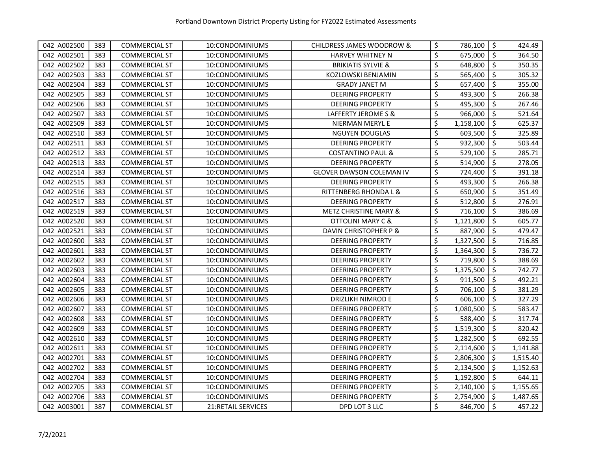| 042 A002500 | 383 | <b>COMMERCIAL ST</b> | 10:CONDOMINIUMS           | CHILDRESS JAMES WOODROW &        | \$<br>786,100   | l \$                | 424.49   |
|-------------|-----|----------------------|---------------------------|----------------------------------|-----------------|---------------------|----------|
| 042 A002501 | 383 | <b>COMMERCIAL ST</b> | 10:CONDOMINIUMS           | <b>HARVEY WHITNEY N</b>          | \$<br>675,000   | -\$                 | 364.50   |
| 042 A002502 | 383 | <b>COMMERCIAL ST</b> | 10:CONDOMINIUMS           | <b>BRIKIATIS SYLVIE &amp;</b>    | \$<br>648,800   | \$                  | 350.35   |
| 042 A002503 | 383 | <b>COMMERCIAL ST</b> | 10:CONDOMINIUMS           | KOZLOWSKI BENJAMIN               | \$<br>565,400   | $\zeta$             | 305.32   |
| 042 A002504 | 383 | <b>COMMERCIAL ST</b> | 10:CONDOMINIUMS           | <b>GRADY JANET M</b>             | \$<br>657,400   | $\zeta$             | 355.00   |
| 042 A002505 | 383 | <b>COMMERCIAL ST</b> | 10:CONDOMINIUMS           | <b>DEERING PROPERTY</b>          | \$<br>493,300   | \$                  | 266.38   |
| 042 A002506 | 383 | <b>COMMERCIAL ST</b> | 10:CONDOMINIUMS           | <b>DEERING PROPERTY</b>          | \$<br>495,300   | \$                  | 267.46   |
| 042 A002507 | 383 | <b>COMMERCIAL ST</b> | 10:CONDOMINIUMS           | LAFFERTY JEROME S &              | \$<br>966,000   | \$                  | 521.64   |
| 042 A002509 | 383 | <b>COMMERCIAL ST</b> | 10:CONDOMINIUMS           | NIERMAN MERYL E                  | \$<br>1,158,100 | \$                  | 625.37   |
| 042 A002510 | 383 | <b>COMMERCIAL ST</b> | 10:CONDOMINIUMS           | <b>NGUYEN DOUGLAS</b>            | \$<br>603,500   | \$                  | 325.89   |
| 042 A002511 | 383 | <b>COMMERCIAL ST</b> | 10:CONDOMINIUMS           | <b>DEERING PROPERTY</b>          | \$<br>932,300   | $\zeta$             | 503.44   |
| 042 A002512 | 383 | <b>COMMERCIAL ST</b> | 10:CONDOMINIUMS           | <b>COSTANTINO PAUL &amp;</b>     | \$<br>529,100   | \$                  | 285.71   |
| 042 A002513 | 383 | <b>COMMERCIAL ST</b> | 10:CONDOMINIUMS           | <b>DEERING PROPERTY</b>          | \$<br>514,900   | $\ddot{\mathsf{S}}$ | 278.05   |
| 042 A002514 | 383 | <b>COMMERCIAL ST</b> | 10:CONDOMINIUMS           | GLOVER DAWSON COLEMAN IV         | \$<br>724,400   | $\ddot{\bm{\zeta}}$ | 391.18   |
| 042 A002515 | 383 | <b>COMMERCIAL ST</b> | 10:CONDOMINIUMS           | <b>DEERING PROPERTY</b>          | \$<br>493,300   | $\ddot{\mathsf{s}}$ | 266.38   |
| 042 A002516 | 383 | <b>COMMERCIAL ST</b> | 10:CONDOMINIUMS           | RITTENBERG RHONDA L &            | \$<br>650,900   | $\zeta$             | 351.49   |
| 042 A002517 | 383 | <b>COMMERCIAL ST</b> | 10:CONDOMINIUMS           | <b>DEERING PROPERTY</b>          | \$<br>512,800   | \$                  | 276.91   |
| 042 A002519 | 383 | <b>COMMERCIAL ST</b> | 10:CONDOMINIUMS           | <b>METZ CHRISTINE MARY &amp;</b> | \$<br>716,100   | \$                  | 386.69   |
| 042 A002520 | 383 | <b>COMMERCIAL ST</b> | 10:CONDOMINIUMS           | <b>OTTOLINI MARY C &amp;</b>     | \$<br>1,121,800 | \$                  | 605.77   |
| 042 A002521 | 383 | <b>COMMERCIAL ST</b> | 10:CONDOMINIUMS           | DAVIN CHRISTOPHER P &            | \$<br>887,900   | \$                  | 479.47   |
| 042 A002600 | 383 | <b>COMMERCIAL ST</b> | 10:CONDOMINIUMS           | <b>DEERING PROPERTY</b>          | \$<br>1,327,500 | \$                  | 716.85   |
| 042 A002601 | 383 | <b>COMMERCIAL ST</b> | 10:CONDOMINIUMS           | <b>DEERING PROPERTY</b>          | \$<br>1,364,300 | \$                  | 736.72   |
| 042 A002602 | 383 | <b>COMMERCIAL ST</b> | 10:CONDOMINIUMS           | <b>DEERING PROPERTY</b>          | \$<br>719,800   | \$                  | 388.69   |
| 042 A002603 | 383 | <b>COMMERCIAL ST</b> | 10:CONDOMINIUMS           | <b>DEERING PROPERTY</b>          | \$<br>1,375,500 | \$                  | 742.77   |
| 042 A002604 | 383 | <b>COMMERCIAL ST</b> | 10:CONDOMINIUMS           | <b>DEERING PROPERTY</b>          | \$<br>911,500   | $\zeta$             | 492.21   |
| 042 A002605 | 383 | <b>COMMERCIAL ST</b> | 10:CONDOMINIUMS           | <b>DEERING PROPERTY</b>          | \$<br>706,100   | \$                  | 381.29   |
| 042 A002606 | 383 | <b>COMMERCIAL ST</b> | 10:CONDOMINIUMS           | DRIZLIKH NIMROD E                | \$<br>606,100   | \$                  | 327.29   |
| 042 A002607 | 383 | <b>COMMERCIAL ST</b> | 10:CONDOMINIUMS           | <b>DEERING PROPERTY</b>          | \$<br>1,080,500 | $\zeta$             | 583.47   |
| 042 A002608 | 383 | <b>COMMERCIAL ST</b> | 10:CONDOMINIUMS           | <b>DEERING PROPERTY</b>          | \$<br>588,400   | \$                  | 317.74   |
| 042 A002609 | 383 | <b>COMMERCIAL ST</b> | 10:CONDOMINIUMS           | <b>DEERING PROPERTY</b>          | \$<br>1,519,300 | $\ddot{\mathsf{S}}$ | 820.42   |
| 042 A002610 | 383 | <b>COMMERCIAL ST</b> | 10:CONDOMINIUMS           | <b>DEERING PROPERTY</b>          | \$<br>1,282,500 | $\ddot{\bm{\zeta}}$ | 692.55   |
| 042 A002611 | 383 | <b>COMMERCIAL ST</b> | 10:CONDOMINIUMS           | <b>DEERING PROPERTY</b>          | \$<br>2,114,600 | $\ddot{\mathsf{S}}$ | 1,141.88 |
| 042 A002701 | 383 | <b>COMMERCIAL ST</b> | 10:CONDOMINIUMS           | <b>DEERING PROPERTY</b>          | \$<br>2,806,300 | $\ddot{\mathsf{S}}$ | 1,515.40 |
| 042 A002702 | 383 | <b>COMMERCIAL ST</b> | 10:CONDOMINIUMS           | <b>DEERING PROPERTY</b>          | \$<br>2,134,500 | $\ddot{\mathsf{S}}$ | 1,152.63 |
| 042 A002704 | 383 | <b>COMMERCIAL ST</b> | 10:CONDOMINIUMS           | <b>DEERING PROPERTY</b>          | \$<br>1,192,800 | \$                  | 644.11   |
| 042 A002705 | 383 | <b>COMMERCIAL ST</b> | 10:CONDOMINIUMS           | <b>DEERING PROPERTY</b>          | \$<br>2,140,100 | \$                  | 1,155.65 |
| 042 A002706 | 383 | <b>COMMERCIAL ST</b> | 10:CONDOMINIUMS           | <b>DEERING PROPERTY</b>          | \$<br>2,754,900 | $\ddot{\mathsf{S}}$ | 1,487.65 |
| 042 A003001 | 387 | <b>COMMERCIAL ST</b> | <b>21:RETAIL SERVICES</b> | DPD LOT 3 LLC                    | \$<br>846,700   | $\zeta$             | 457.22   |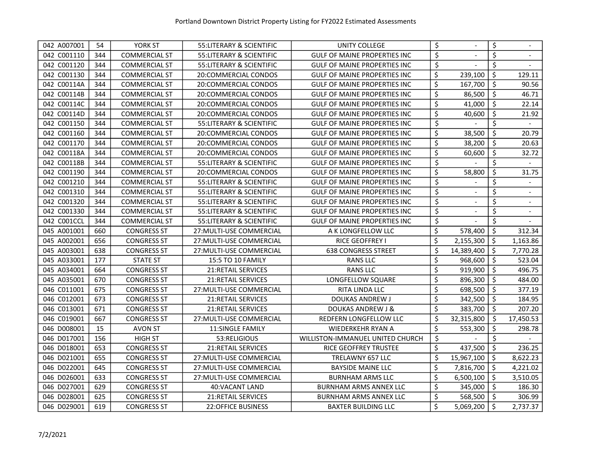| 042 A007001 | 54  | YORK ST              | 55: LITERARY & SCIENTIFIC | UNITY COLLEGE                       | \$                              |                | \$                  |                |
|-------------|-----|----------------------|---------------------------|-------------------------------------|---------------------------------|----------------|---------------------|----------------|
| 042 C001110 | 344 | <b>COMMERCIAL ST</b> | 55: LITERARY & SCIENTIFIC | <b>GULF OF MAINE PROPERTIES INC</b> | \$                              |                | \$                  |                |
| 042 C001120 | 344 | <b>COMMERCIAL ST</b> | 55: LITERARY & SCIENTIFIC | <b>GULF OF MAINE PROPERTIES INC</b> | $\overline{\boldsymbol{\zeta}}$ |                | \$                  |                |
| 042 C001130 | 344 | <b>COMMERCIAL ST</b> | 20:COMMERCIAL CONDOS      | <b>GULF OF MAINE PROPERTIES INC</b> | \$                              | 239,100        | $\zeta$             | 129.11         |
| 042 C00114A | 344 | <b>COMMERCIAL ST</b> | 20:COMMERCIAL CONDOS      | <b>GULF OF MAINE PROPERTIES INC</b> | \$                              | 167,700        | $\zeta$             | 90.56          |
| 042 C00114B | 344 | <b>COMMERCIAL ST</b> | 20:COMMERCIAL CONDOS      | <b>GULF OF MAINE PROPERTIES INC</b> | \$                              | 86,500         | $\zeta$             | 46.71          |
| 042 C00114C | 344 | <b>COMMERCIAL ST</b> | 20:COMMERCIAL CONDOS      | <b>GULF OF MAINE PROPERTIES INC</b> | \$                              | 41,000         | $\zeta$             | 22.14          |
| 042 C00114D | 344 | <b>COMMERCIAL ST</b> | 20:COMMERCIAL CONDOS      | <b>GULF OF MAINE PROPERTIES INC</b> | \$                              | 40,600         | \$                  | 21.92          |
| 042 C001150 | 344 | <b>COMMERCIAL ST</b> | 55: LITERARY & SCIENTIFIC | <b>GULF OF MAINE PROPERTIES INC</b> | \$                              |                | \$                  |                |
| 042 C001160 | 344 | <b>COMMERCIAL ST</b> | 20:COMMERCIAL CONDOS      | <b>GULF OF MAINE PROPERTIES INC</b> | \$                              | 38,500         | \$                  | 20.79          |
| 042 C001170 | 344 | <b>COMMERCIAL ST</b> | 20:COMMERCIAL CONDOS      | <b>GULF OF MAINE PROPERTIES INC</b> | \$                              | 38,200         | \$                  | 20.63          |
| 042 C00118A | 344 | <b>COMMERCIAL ST</b> | 20:COMMERCIAL CONDOS      | <b>GULF OF MAINE PROPERTIES INC</b> | \$                              | 60,600         | \$                  | 32.72          |
| 042 C00118B | 344 | <b>COMMERCIAL ST</b> | 55:LITERARY & SCIENTIFIC  | <b>GULF OF MAINE PROPERTIES INC</b> | \$                              |                | \$                  |                |
| 042 C001190 | 344 | <b>COMMERCIAL ST</b> | 20:COMMERCIAL CONDOS      | <b>GULF OF MAINE PROPERTIES INC</b> | \$                              | 58,800         | \$                  | 31.75          |
| 042 C001210 | 344 | <b>COMMERCIAL ST</b> | 55:LITERARY & SCIENTIFIC  | <b>GULF OF MAINE PROPERTIES INC</b> | \$                              |                | \$                  |                |
| 042 C001310 | 344 | <b>COMMERCIAL ST</b> | 55:LITERARY & SCIENTIFIC  | <b>GULF OF MAINE PROPERTIES INC</b> | \$                              | $\blacksquare$ | \$                  | $\blacksquare$ |
| 042 C001320 | 344 | <b>COMMERCIAL ST</b> | 55: LITERARY & SCIENTIFIC | <b>GULF OF MAINE PROPERTIES INC</b> | \$                              | $\overline{a}$ | \$                  | $\blacksquare$ |
| 042 C001330 | 344 | <b>COMMERCIAL ST</b> | 55:LITERARY & SCIENTIFIC  | <b>GULF OF MAINE PROPERTIES INC</b> | \$                              | $\blacksquare$ | \$                  | $\blacksquare$ |
| 042 C001CCL | 344 | <b>COMMERCIAL ST</b> | 55: LITERARY & SCIENTIFIC | <b>GULF OF MAINE PROPERTIES INC</b> | \$                              |                | \$                  |                |
| 045 A001001 | 660 | <b>CONGRESS ST</b>   | 27: MULTI-USE COMMERCIAL  | A K LONGFELLOW LLC                  | \$                              | 578,400        | \$                  | 312.34         |
| 045 A002001 | 656 | <b>CONGRESS ST</b>   | 27: MULTI-USE COMMERCIAL  | <b>RICE GEOFFREY I</b>              | \$                              | 2,155,300      | \$                  | 1,163.86       |
| 045 A003001 | 638 | <b>CONGRESS ST</b>   | 27: MULTI-USE COMMERCIAL  | <b>638 CONGRESS STREET</b>          | \$                              | 14,389,400     | \$                  | 7,770.28       |
| 045 A033001 | 177 | <b>STATE ST</b>      | 15:5 TO 10 FAMILY         | <b>RANS LLC</b>                     | \$                              | 968,600        | \$                  | 523.04         |
| 045 A034001 | 664 | <b>CONGRESS ST</b>   | <b>21:RETAIL SERVICES</b> | <b>RANS LLC</b>                     | \$                              | 919,900        | \$                  | 496.75         |
| 045 A035001 | 670 | <b>CONGRESS ST</b>   | 21: RETAIL SERVICES       | LONGFELLOW SQUARE                   | \$                              | 896,300        | \$                  | 484.00         |
| 046 C011001 | 675 | <b>CONGRESS ST</b>   | 27: MULTI-USE COMMERCIAL  | RITA LINDA LLC                      | \$                              | 698,500        | \$                  | 377.19         |
| 046 C012001 | 673 | <b>CONGRESS ST</b>   | 21: RETAIL SERVICES       | DOUKAS ANDREW J                     | \$                              | 342,500        | \$                  | 184.95         |
| 046 C013001 | 671 | <b>CONGRESS ST</b>   | <b>21:RETAIL SERVICES</b> | <b>DOUKAS ANDREW J &amp;</b>        | \$                              | 383,700        | $\zeta$             | 207.20         |
| 046 C019001 | 667 | <b>CONGRESS ST</b>   | 27: MULTI-USE COMMERCIAL  | REDFERN LONGFELLOW LLC              | \$                              | 32,315,800     | \$                  | 17,450.53      |
| 046 D008001 | 15  | <b>AVON ST</b>       | <b>11:SINGLE FAMILY</b>   | <b>WIEDERKEHR RYAN A</b>            | \$                              | 553,300        | $\zeta$             | 298.78         |
| 046 D017001 | 156 | <b>HIGH ST</b>       | 53:RELIGIOUS              | WILLISTON-IMMANUEL UNITED CHURCH    | \$                              |                | \$                  |                |
| 046 D018001 | 653 | <b>CONGRESS ST</b>   | <b>21:RETAIL SERVICES</b> | RICE GEOFFREY TRUSTEE               | \$                              | 437,500        | $\zeta$             | 236.25         |
| 046 D021001 | 655 | <b>CONGRESS ST</b>   | 27: MULTI-USE COMMERCIAL  | TRELAWNY 657 LLC                    | \$                              | 15,967,100     | $\ddot{\mathsf{S}}$ | 8,622.23       |
| 046 D022001 | 645 | <b>CONGRESS ST</b>   | 27: MULTI-USE COMMERCIAL  | <b>BAYSIDE MAINE LLC</b>            | \$                              | 7,816,700      | \$                  | 4,221.02       |
| 046 D026001 | 633 | <b>CONGRESS ST</b>   | 27: MULTI-USE COMMERCIAL  | <b>BURNHAM ARMS LLC</b>             | \$                              | 6,500,100      | \$                  | 3,510.05       |
| 046 D027001 | 629 | <b>CONGRESS ST</b>   | 40: VACANT LAND           | <b>BURNHAM ARMS ANNEX LLC</b>       | \$                              | 345,000        | $\zeta$             | 186.30         |
| 046 D028001 | 625 | <b>CONGRESS ST</b>   | <b>21:RETAIL SERVICES</b> | <b>BURNHAM ARMS ANNEX LLC</b>       | \$                              | 568,500        | \$                  | 306.99         |
| 046 D029001 | 619 | <b>CONGRESS ST</b>   | <b>22:OFFICE BUSINESS</b> | <b>BAXTER BUILDING LLC</b>          | \$                              | 5,069,200      | $\zeta$             | 2,737.37       |